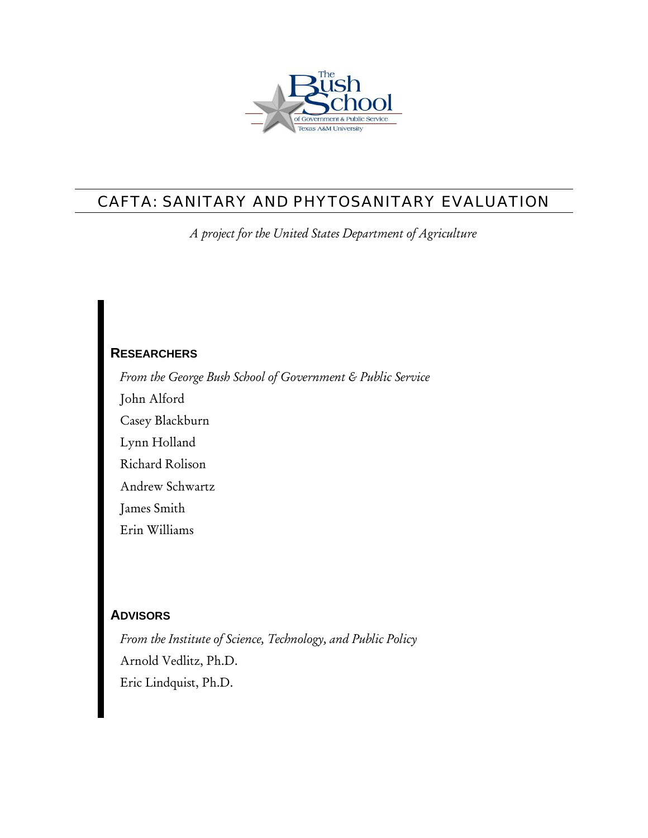

# CAFTA: SANITARY AND PHYTOSANITARY EVALUATION

*A project for the United States Department of Agriculture* 

#### **RESEARCHERS**

*From the George Bush School of Government & Public Service*  John Alford Casey Blackburn Lynn Holland Richard Rolison Andrew Schwartz James Smith

Erin Williams

# **ADVISORS**

*From the Institute of Science, Technology, and Public Policy*  Arnold Vedlitz, Ph.D. Eric Lindquist, Ph.D.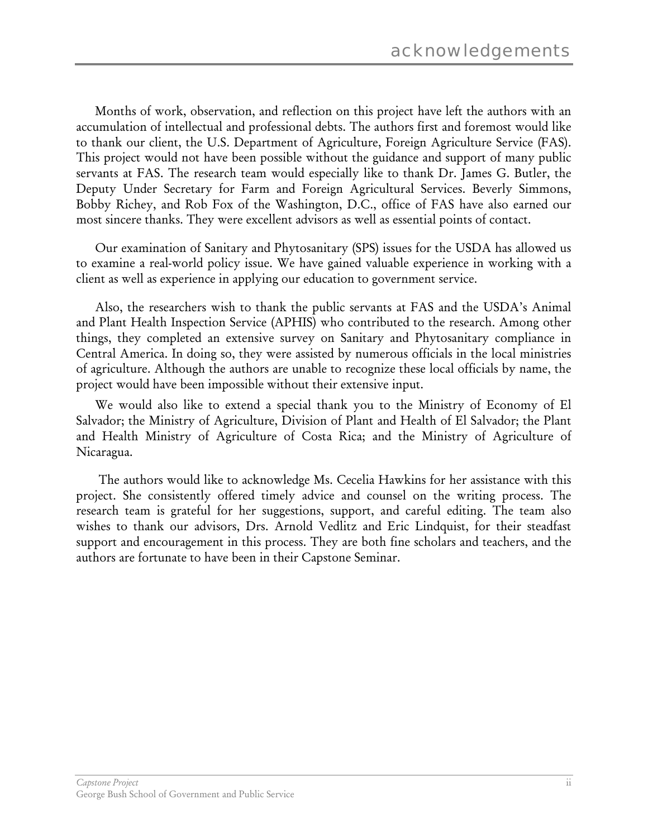Months of work, observation, and reflection on this project have left the authors with an accumulation of intellectual and professional debts. The authors first and foremost would like to thank our client, the U.S. Department of Agriculture, Foreign Agriculture Service (FAS). This project would not have been possible without the guidance and support of many public servants at FAS. The research team would especially like to thank Dr. James G. Butler, the Deputy Under Secretary for Farm and Foreign Agricultural Services. Beverly Simmons, Bobby Richey, and Rob Fox of the Washington, D.C., office of FAS have also earned our most sincere thanks. They were excellent advisors as well as essential points of contact.

Our examination of Sanitary and Phytosanitary (SPS) issues for the USDA has allowed us to examine a real-world policy issue. We have gained valuable experience in working with a client as well as experience in applying our education to government service.

Also, the researchers wish to thank the public servants at FAS and the USDA's Animal and Plant Health Inspection Service (APHIS) who contributed to the research. Among other things, they completed an extensive survey on Sanitary and Phytosanitary compliance in Central America. In doing so, they were assisted by numerous officials in the local ministries of agriculture. Although the authors are unable to recognize these local officials by name, the project would have been impossible without their extensive input.

We would also like to extend a special thank you to the Ministry of Economy of El Salvador; the Ministry of Agriculture, Division of Plant and Health of El Salvador; the Plant and Health Ministry of Agriculture of Costa Rica; and the Ministry of Agriculture of Nicaragua.

 The authors would like to acknowledge Ms. Cecelia Hawkins for her assistance with this project. She consistently offered timely advice and counsel on the writing process. The research team is grateful for her suggestions, support, and careful editing. The team also wishes to thank our advisors, Drs. Arnold Vedlitz and Eric Lindquist, for their steadfast support and encouragement in this process. They are both fine scholars and teachers, and the authors are fortunate to have been in their Capstone Seminar.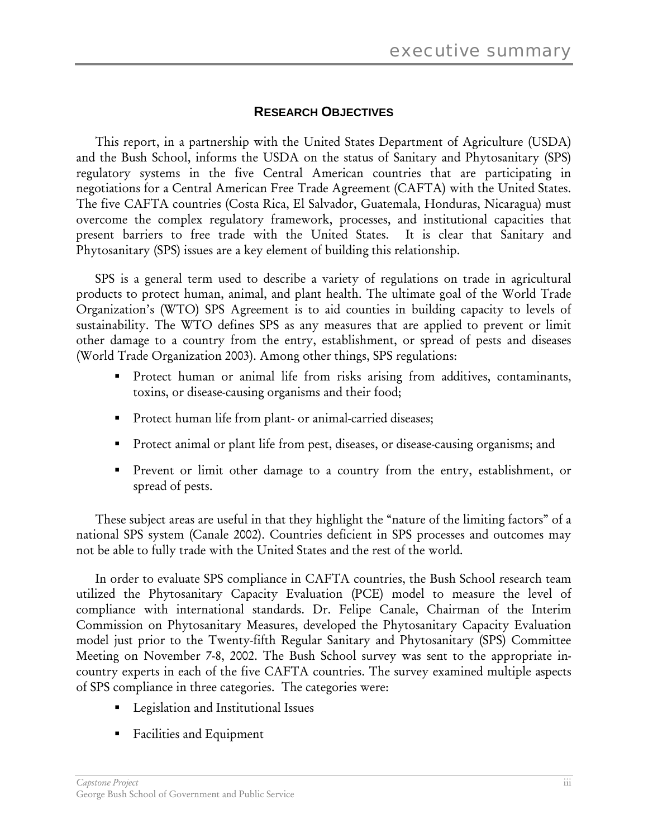# **RESEARCH OBJECTIVES**

This report, in a partnership with the United States Department of Agriculture (USDA) and the Bush School, informs the USDA on the status of Sanitary and Phytosanitary (SPS) regulatory systems in the five Central American countries that are participating in negotiations for a Central American Free Trade Agreement (CAFTA) with the United States. The five CAFTA countries (Costa Rica, El Salvador, Guatemala, Honduras, Nicaragua) must overcome the complex regulatory framework, processes, and institutional capacities that present barriers to free trade with the United States. It is clear that Sanitary and Phytosanitary (SPS) issues are a key element of building this relationship.

SPS is a general term used to describe a variety of regulations on trade in agricultural products to protect human, animal, and plant health. The ultimate goal of the World Trade Organization's (WTO) SPS Agreement is to aid counties in building capacity to levels of sustainability. The WTO defines SPS as any measures that are applied to prevent or limit other damage to a country from the entry, establishment, or spread of pests and diseases (World Trade Organization 2003). Among other things, SPS regulations:

- Protect human or animal life from risks arising from additives, contaminants, toxins, or disease-causing organisms and their food;
- **Protect human life from plant- or animal-carried diseases;**
- Protect animal or plant life from pest, diseases, or disease-causing organisms; and
- Prevent or limit other damage to a country from the entry, establishment, or spread of pests.

These subject areas are useful in that they highlight the "nature of the limiting factors" of a national SPS system (Canale 2002). Countries deficient in SPS processes and outcomes may not be able to fully trade with the United States and the rest of the world.

In order to evaluate SPS compliance in CAFTA countries, the Bush School research team utilized the Phytosanitary Capacity Evaluation (PCE) model to measure the level of compliance with international standards. Dr. Felipe Canale, Chairman of the Interim Commission on Phytosanitary Measures, developed the Phytosanitary Capacity Evaluation model just prior to the Twenty-fifth Regular Sanitary and Phytosanitary (SPS) Committee Meeting on November 7-8, 2002. The Bush School survey was sent to the appropriate incountry experts in each of the five CAFTA countries. The survey examined multiple aspects of SPS compliance in three categories. The categories were:

- **Legislation and Institutional Issues**
- Facilities and Equipment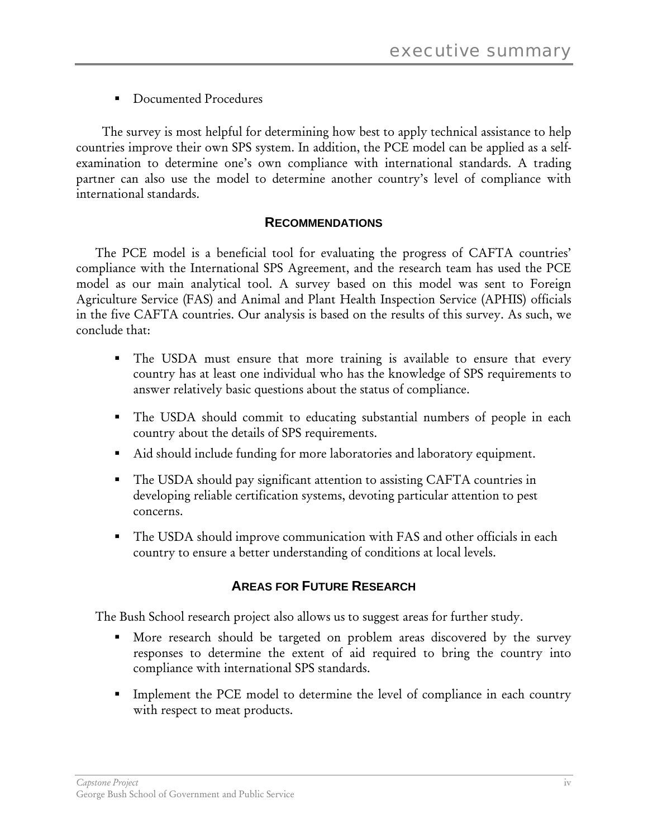**•** Documented Procedures

 The survey is most helpful for determining how best to apply technical assistance to help countries improve their own SPS system. In addition, the PCE model can be applied as a selfexamination to determine one's own compliance with international standards. A trading partner can also use the model to determine another country's level of compliance with international standards.

# **RECOMMENDATIONS**

The PCE model is a beneficial tool for evaluating the progress of CAFTA countries' compliance with the International SPS Agreement, and the research team has used the PCE model as our main analytical tool. A survey based on this model was sent to Foreign Agriculture Service (FAS) and Animal and Plant Health Inspection Service (APHIS) officials in the five CAFTA countries. Our analysis is based on the results of this survey. As such, we conclude that:

- The USDA must ensure that more training is available to ensure that every country has at least one individual who has the knowledge of SPS requirements to answer relatively basic questions about the status of compliance.
- The USDA should commit to educating substantial numbers of people in each country about the details of SPS requirements.
- Aid should include funding for more laboratories and laboratory equipment.
- The USDA should pay significant attention to assisting CAFTA countries in developing reliable certification systems, devoting particular attention to pest concerns.
- The USDA should improve communication with FAS and other officials in each country to ensure a better understanding of conditions at local levels.

# **AREAS FOR FUTURE RESEARCH**

The Bush School research project also allows us to suggest areas for further study.

- More research should be targeted on problem areas discovered by the survey responses to determine the extent of aid required to bring the country into compliance with international SPS standards.
- Implement the PCE model to determine the level of compliance in each country with respect to meat products.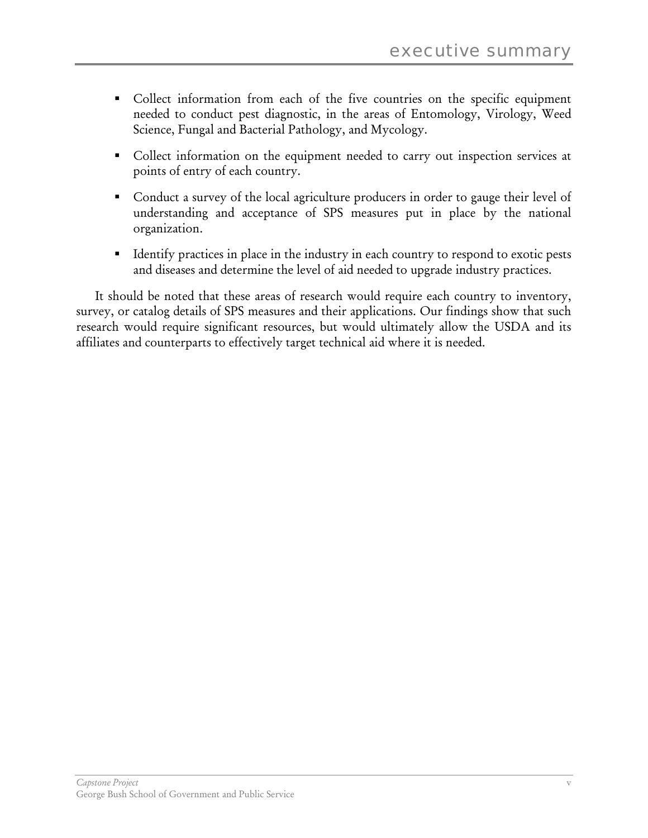- Collect information from each of the five countries on the specific equipment needed to conduct pest diagnostic, in the areas of Entomology, Virology, Weed Science, Fungal and Bacterial Pathology, and Mycology.
- Collect information on the equipment needed to carry out inspection services at points of entry of each country.
- Conduct a survey of the local agriculture producers in order to gauge their level of understanding and acceptance of SPS measures put in place by the national organization.
- Identify practices in place in the industry in each country to respond to exotic pests and diseases and determine the level of aid needed to upgrade industry practices.

It should be noted that these areas of research would require each country to inventory, survey, or catalog details of SPS measures and their applications. Our findings show that such research would require significant resources, but would ultimately allow the USDA and its affiliates and counterparts to effectively target technical aid where it is needed.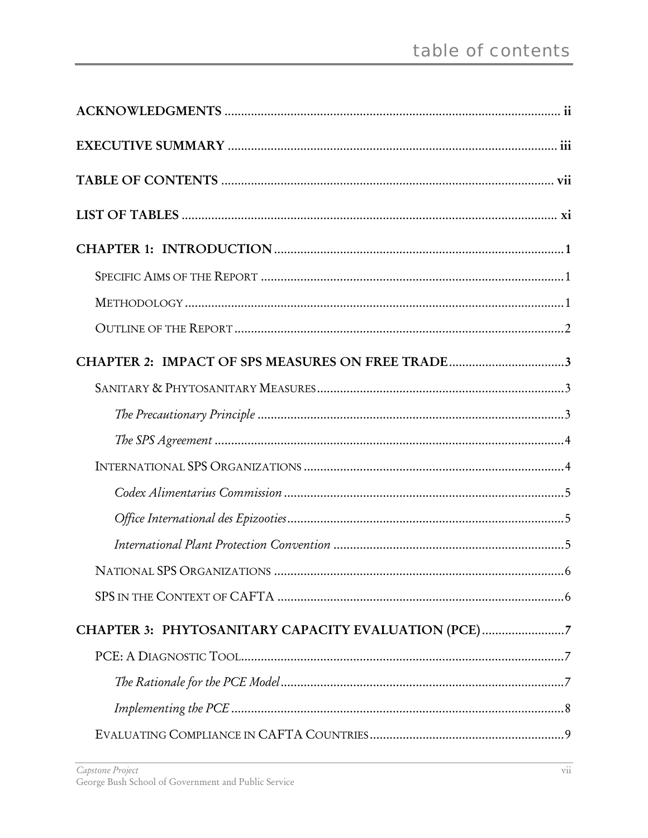| CHAPTER 2: IMPACT OF SPS MEASURES ON FREE TRADE3    |
|-----------------------------------------------------|
|                                                     |
|                                                     |
|                                                     |
|                                                     |
|                                                     |
|                                                     |
|                                                     |
|                                                     |
|                                                     |
| CHAPTER 3: PHYTOSANITARY CAPACITY EVALUATION (PCE)7 |
|                                                     |
|                                                     |
|                                                     |
|                                                     |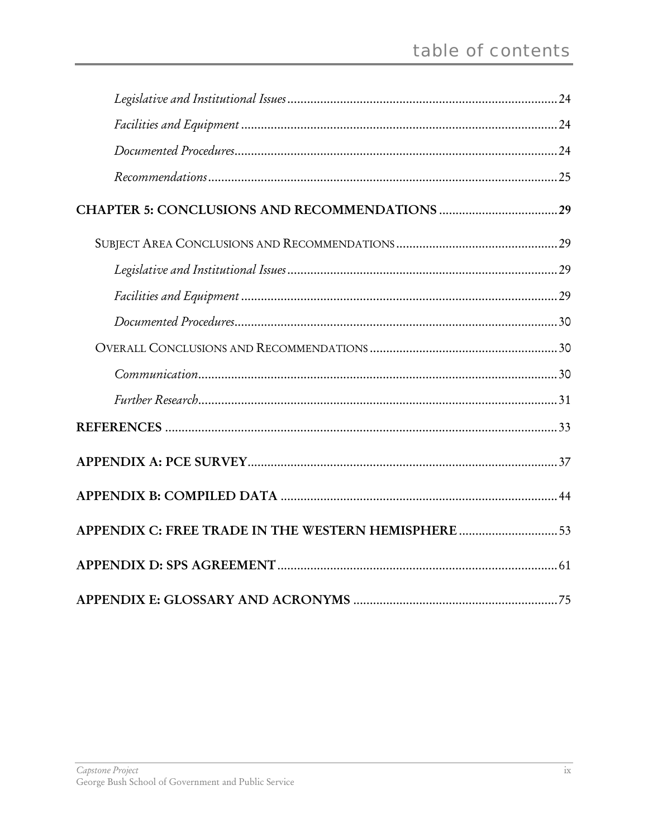| APPENDIX C: FREE TRADE IN THE WESTERN HEMISPHERE 53 |  |
|-----------------------------------------------------|--|
|                                                     |  |
|                                                     |  |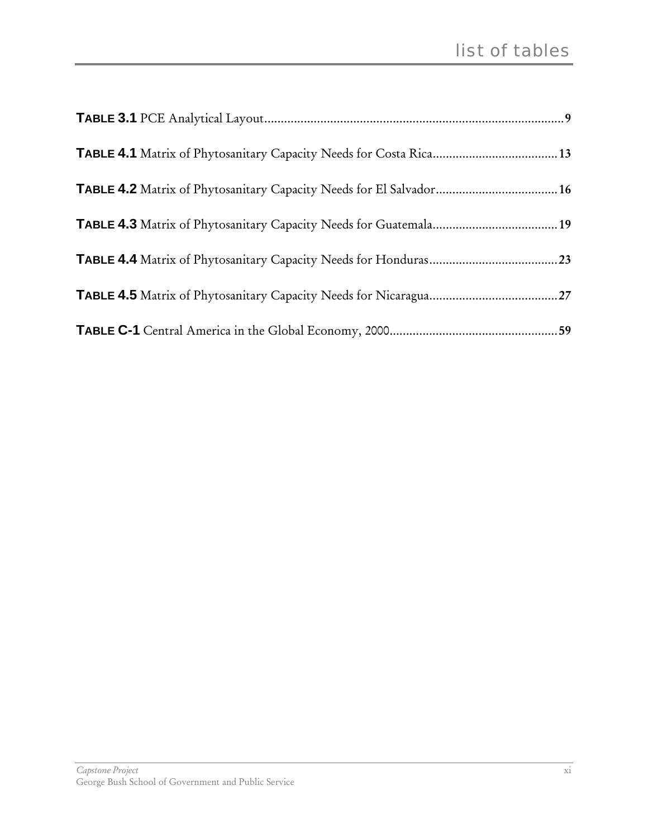| TABLE 4.2 Matrix of Phytosanitary Capacity Needs for El Salvador 16 |  |
|---------------------------------------------------------------------|--|
|                                                                     |  |
|                                                                     |  |
|                                                                     |  |
|                                                                     |  |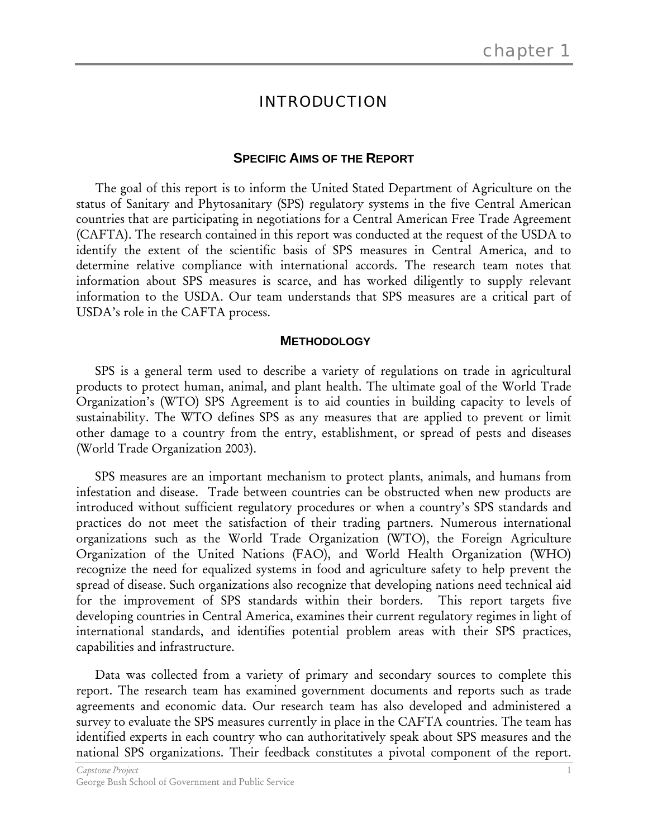# INTRODUCTION

#### **SPECIFIC AIMS OF THE REPORT**

The goal of this report is to inform the United Stated Department of Agriculture on the status of Sanitary and Phytosanitary (SPS) regulatory systems in the five Central American countries that are participating in negotiations for a Central American Free Trade Agreement (CAFTA). The research contained in this report was conducted at the request of the USDA to identify the extent of the scientific basis of SPS measures in Central America, and to determine relative compliance with international accords. The research team notes that information about SPS measures is scarce, and has worked diligently to supply relevant information to the USDA. Our team understands that SPS measures are a critical part of USDA's role in the CAFTA process.

#### **METHODOLOGY**

SPS is a general term used to describe a variety of regulations on trade in agricultural products to protect human, animal, and plant health. The ultimate goal of the World Trade Organization's (WTO) SPS Agreement is to aid counties in building capacity to levels of sustainability. The WTO defines SPS as any measures that are applied to prevent or limit other damage to a country from the entry, establishment, or spread of pests and diseases (World Trade Organization 2003).

SPS measures are an important mechanism to protect plants, animals, and humans from infestation and disease. Trade between countries can be obstructed when new products are introduced without sufficient regulatory procedures or when a country's SPS standards and practices do not meet the satisfaction of their trading partners. Numerous international organizations such as the World Trade Organization (WTO), the Foreign Agriculture Organization of the United Nations (FAO), and World Health Organization (WHO) recognize the need for equalized systems in food and agriculture safety to help prevent the spread of disease. Such organizations also recognize that developing nations need technical aid for the improvement of SPS standards within their borders. This report targets five developing countries in Central America, examines their current regulatory regimes in light of international standards, and identifies potential problem areas with their SPS practices, capabilities and infrastructure.

Data was collected from a variety of primary and secondary sources to complete this report. The research team has examined government documents and reports such as trade agreements and economic data. Our research team has also developed and administered a survey to evaluate the SPS measures currently in place in the CAFTA countries. The team has identified experts in each country who can authoritatively speak about SPS measures and the national SPS organizations. Their feedback constitutes a pivotal component of the report.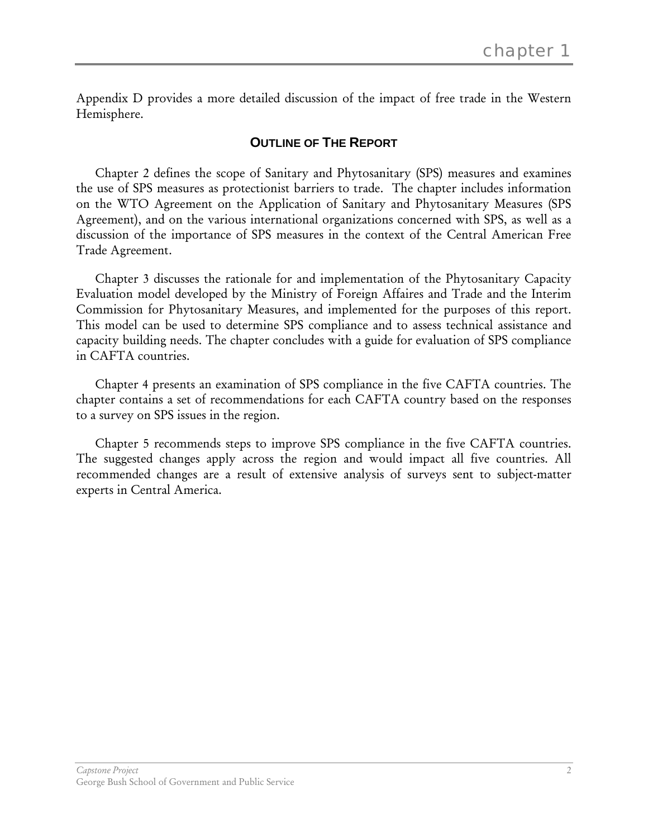Appendix D provides a more detailed discussion of the impact of free trade in the Western Hemisphere.

# **OUTLINE OF THE REPORT**

Chapter 2 defines the scope of Sanitary and Phytosanitary (SPS) measures and examines the use of SPS measures as protectionist barriers to trade. The chapter includes information on the WTO Agreement on the Application of Sanitary and Phytosanitary Measures (SPS Agreement), and on the various international organizations concerned with SPS, as well as a discussion of the importance of SPS measures in the context of the Central American Free Trade Agreement.

Chapter 3 discusses the rationale for and implementation of the Phytosanitary Capacity Evaluation model developed by the Ministry of Foreign Affaires and Trade and the Interim Commission for Phytosanitary Measures, and implemented for the purposes of this report. This model can be used to determine SPS compliance and to assess technical assistance and capacity building needs. The chapter concludes with a guide for evaluation of SPS compliance in CAFTA countries.

Chapter 4 presents an examination of SPS compliance in the five CAFTA countries. The chapter contains a set of recommendations for each CAFTA country based on the responses to a survey on SPS issues in the region.

Chapter 5 recommends steps to improve SPS compliance in the five CAFTA countries. The suggested changes apply across the region and would impact all five countries. All recommended changes are a result of extensive analysis of surveys sent to subject-matter experts in Central America.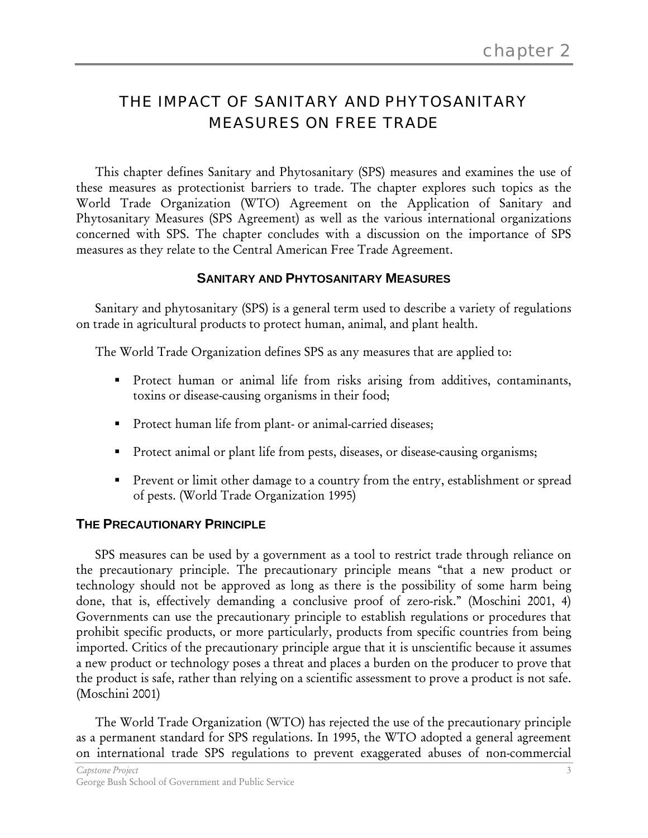# THE IMPACT OF SANITARY AND PHYTOSANITARY MEASURES ON FREE TRADE

This chapter defines Sanitary and Phytosanitary (SPS) measures and examines the use of these measures as protectionist barriers to trade. The chapter explores such topics as the World Trade Organization (WTO) Agreement on the Application of Sanitary and Phytosanitary Measures (SPS Agreement) as well as the various international organizations concerned with SPS. The chapter concludes with a discussion on the importance of SPS measures as they relate to the Central American Free Trade Agreement.

# **SANITARY AND PHYTOSANITARY MEASURES**

Sanitary and phytosanitary (SPS) is a general term used to describe a variety of regulations on trade in agricultural products to protect human, animal, and plant health.

The World Trade Organization defines SPS as any measures that are applied to:

- Protect human or animal life from risks arising from additives, contaminants, toxins or disease-causing organisms in their food;
- Protect human life from plant- or animal-carried diseases;
- Protect animal or plant life from pests, diseases, or disease-causing organisms;
- Prevent or limit other damage to a country from the entry, establishment or spread of pests. (World Trade Organization 1995)

# **THE PRECAUTIONARY PRINCIPLE**

SPS measures can be used by a government as a tool to restrict trade through reliance on the precautionary principle. The precautionary principle means "that a new product or technology should not be approved as long as there is the possibility of some harm being done, that is, effectively demanding a conclusive proof of zero-risk." (Moschini 2001, 4) Governments can use the precautionary principle to establish regulations or procedures that prohibit specific products, or more particularly, products from specific countries from being imported. Critics of the precautionary principle argue that it is unscientific because it assumes a new product or technology poses a threat and places a burden on the producer to prove that the product is safe, rather than relying on a scientific assessment to prove a product is not safe. (Moschini 2001)

The World Trade Organization (WTO) has rejected the use of the precautionary principle as a permanent standard for SPS regulations. In 1995, the WTO adopted a general agreement on international trade SPS regulations to prevent exaggerated abuses of non-commercial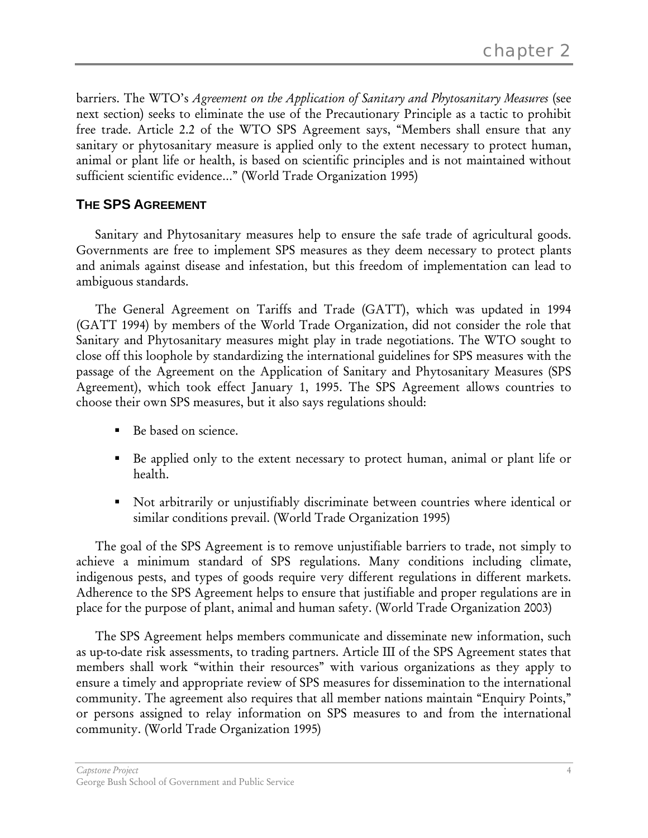barriers. The WTO's *Agreement on the Application of Sanitary and Phytosanitary Measures* (see next section) seeks to eliminate the use of the Precautionary Principle as a tactic to prohibit free trade. Article 2.2 of the WTO SPS Agreement says, "Members shall ensure that any sanitary or phytosanitary measure is applied only to the extent necessary to protect human, animal or plant life or health, is based on scientific principles and is not maintained without sufficient scientific evidence…" (World Trade Organization 1995)

# **THE SPS AGREEMENT**

Sanitary and Phytosanitary measures help to ensure the safe trade of agricultural goods. Governments are free to implement SPS measures as they deem necessary to protect plants and animals against disease and infestation, but this freedom of implementation can lead to ambiguous standards.

The General Agreement on Tariffs and Trade (GATT), which was updated in 1994 (GATT 1994) by members of the World Trade Organization, did not consider the role that Sanitary and Phytosanitary measures might play in trade negotiations. The WTO sought to close off this loophole by standardizing the international guidelines for SPS measures with the passage of the Agreement on the Application of Sanitary and Phytosanitary Measures (SPS Agreement), which took effect January 1, 1995. The SPS Agreement allows countries to choose their own SPS measures, but it also says regulations should:

- Be based on science.
- Be applied only to the extent necessary to protect human, animal or plant life or health.
- Not arbitrarily or unjustifiably discriminate between countries where identical or similar conditions prevail. (World Trade Organization 1995)

The goal of the SPS Agreement is to remove unjustifiable barriers to trade, not simply to achieve a minimum standard of SPS regulations. Many conditions including climate, indigenous pests, and types of goods require very different regulations in different markets. Adherence to the SPS Agreement helps to ensure that justifiable and proper regulations are in place for the purpose of plant, animal and human safety. (World Trade Organization 2003)

The SPS Agreement helps members communicate and disseminate new information, such as up-to-date risk assessments, to trading partners. Article III of the SPS Agreement states that members shall work "within their resources" with various organizations as they apply to ensure a timely and appropriate review of SPS measures for dissemination to the international community. The agreement also requires that all member nations maintain "Enquiry Points," or persons assigned to relay information on SPS measures to and from the international community. (World Trade Organization 1995)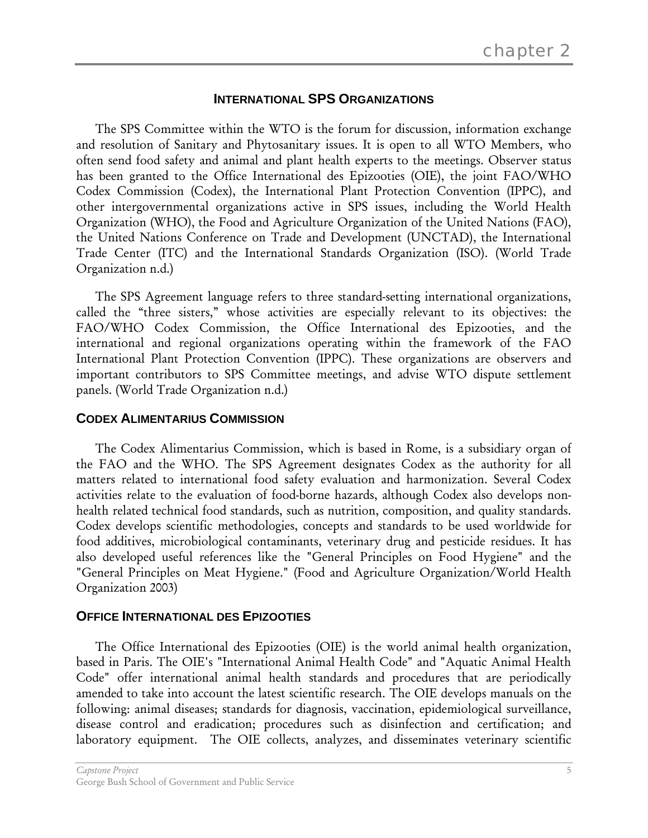## **INTERNATIONAL SPS ORGANIZATIONS**

The SPS Committee within the WTO is the forum for discussion, information exchange and resolution of Sanitary and Phytosanitary issues. It is open to all WTO Members, who often send food safety and animal and plant health experts to the meetings. Observer status has been granted to the Office International des Epizooties (OIE), the joint FAO/WHO Codex Commission (Codex), the International Plant Protection Convention (IPPC), and other intergovernmental organizations active in SPS issues, including the World Health Organization (WHO), the Food and Agriculture Organization of the United Nations (FAO), the United Nations Conference on Trade and Development (UNCTAD), the International Trade Center (ITC) and the International Standards Organization (ISO). (World Trade Organization n.d.)

The SPS Agreement language refers to three standard-setting international organizations, called the "three sisters," whose activities are especially relevant to its objectives: the FAO/WHO Codex Commission, the Office International des Epizooties, and the international and regional organizations operating within the framework of the FAO International Plant Protection Convention (IPPC). These organizations are observers and important contributors to SPS Committee meetings, and advise WTO dispute settlement panels. (World Trade Organization n.d.)

#### **CODEX ALIMENTARIUS COMMISSION**

The Codex Alimentarius Commission, which is based in Rome, is a subsidiary organ of the FAO and the WHO. The SPS Agreement designates Codex as the authority for all matters related to international food safety evaluation and harmonization. Several Codex activities relate to the evaluation of food-borne hazards, although Codex also develops nonhealth related technical food standards, such as nutrition, composition, and quality standards. Codex develops scientific methodologies, concepts and standards to be used worldwide for food additives, microbiological contaminants, veterinary drug and pesticide residues. It has also developed useful references like the "General Principles on Food Hygiene" and the "General Principles on Meat Hygiene." (Food and Agriculture Organization/World Health Organization 2003)

#### **OFFICE INTERNATIONAL DES EPIZOOTIES**

The Office International des Epizooties (OIE) is the world animal health organization, based in Paris. The OIE's "International Animal Health Code" and "Aquatic Animal Health Code" offer international animal health standards and procedures that are periodically amended to take into account the latest scientific research. The OIE develops manuals on the following: animal diseases; standards for diagnosis, vaccination, epidemiological surveillance, disease control and eradication; procedures such as disinfection and certification; and laboratory equipment. The OIE collects, analyzes, and disseminates veterinary scientific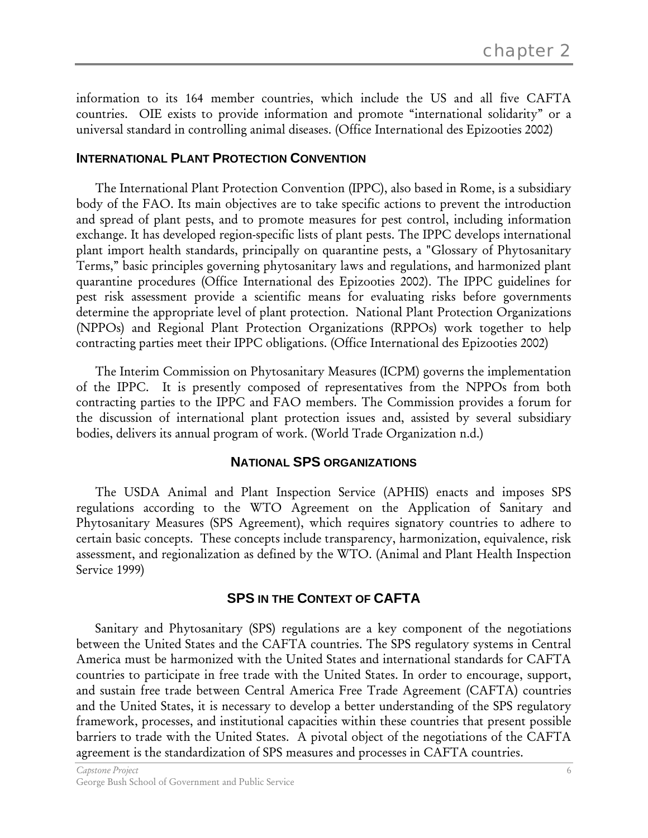information to its 164 member countries, which include the US and all five CAFTA countries. OIE exists to provide information and promote "international solidarity" or a universal standard in controlling animal diseases. (Office International des Epizooties 2002)

#### **INTERNATIONAL PLANT PROTECTION CONVENTION**

The International Plant Protection Convention (IPPC), also based in Rome, is a subsidiary body of the FAO. Its main objectives are to take specific actions to prevent the introduction and spread of plant pests, and to promote measures for pest control, including information exchange. It has developed region-specific lists of plant pests. The IPPC develops international plant import health standards, principally on quarantine pests, a "Glossary of Phytosanitary Terms," basic principles governing phytosanitary laws and regulations, and harmonized plant quarantine procedures (Office International des Epizooties 2002). The IPPC guidelines for pest risk assessment provide a scientific means for evaluating risks before governments determine the appropriate level of plant protection. National Plant Protection Organizations (NPPOs) and Regional Plant Protection Organizations (RPPOs) work together to help contracting parties meet their IPPC obligations. (Office International des Epizooties 2002)

The Interim Commission on Phytosanitary Measures (ICPM) governs the implementation of the IPPC. It is presently composed of representatives from the NPPOs from both contracting parties to the IPPC and FAO members. The Commission provides a forum for the discussion of international plant protection issues and, assisted by several subsidiary bodies, delivers its annual program of work. (World Trade Organization n.d.)

#### **NATIONAL SPS ORGANIZATIONS**

The USDA Animal and Plant Inspection Service (APHIS) enacts and imposes SPS regulations according to the WTO Agreement on the Application of Sanitary and Phytosanitary Measures (SPS Agreement), which requires signatory countries to adhere to certain basic concepts. These concepts include transparency, harmonization, equivalence, risk assessment, and regionalization as defined by the WTO. (Animal and Plant Health Inspection Service 1999)

# **SPS IN THE CONTEXT OF CAFTA**

Sanitary and Phytosanitary (SPS) regulations are a key component of the negotiations between the United States and the CAFTA countries. The SPS regulatory systems in Central America must be harmonized with the United States and international standards for CAFTA countries to participate in free trade with the United States. In order to encourage, support, and sustain free trade between Central America Free Trade Agreement (CAFTA) countries and the United States, it is necessary to develop a better understanding of the SPS regulatory framework, processes, and institutional capacities within these countries that present possible barriers to trade with the United States. A pivotal object of the negotiations of the CAFTA agreement is the standardization of SPS measures and processes in CAFTA countries.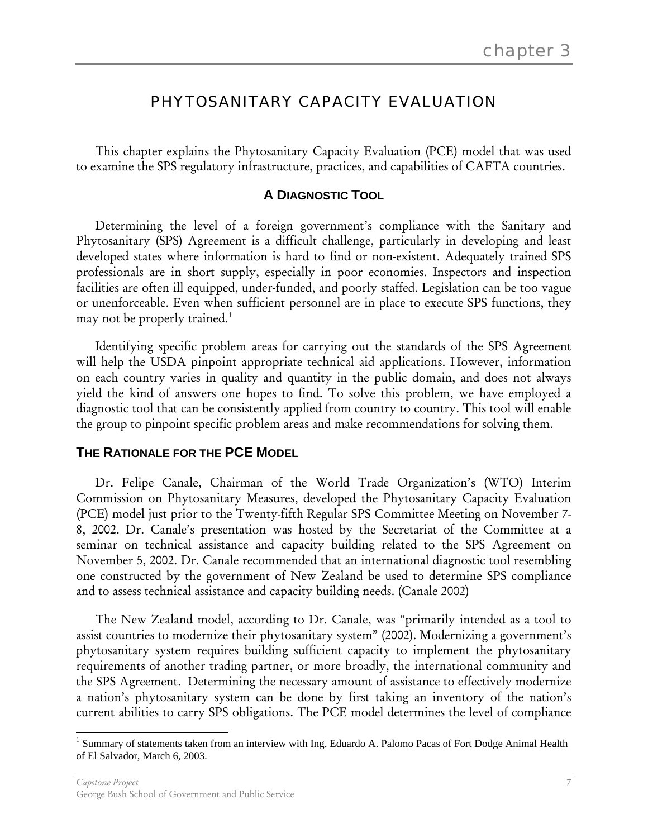# PHYTOSANITARY CAPACITY EVALUATION

This chapter explains the Phytosanitary Capacity Evaluation (PCE) model that was used to examine the SPS regulatory infrastructure, practices, and capabilities of CAFTA countries.

#### **A DIAGNOSTIC TOOL**

Determining the level of a foreign government's compliance with the Sanitary and Phytosanitary (SPS) Agreement is a difficult challenge, particularly in developing and least developed states where information is hard to find or non-existent. Adequately trained SPS professionals are in short supply, especially in poor economies. Inspectors and inspection facilities are often ill equipped, under-funded, and poorly staffed. Legislation can be too vague or unenforceable. Even when sufficient personnel are in place to execute SPS functions, they may not be properly trained.<sup>1</sup>

Identifying specific problem areas for carrying out the standards of the SPS Agreement will help the USDA pinpoint appropriate technical aid applications. However, information on each country varies in quality and quantity in the public domain, and does not always yield the kind of answers one hopes to find. To solve this problem, we have employed a diagnostic tool that can be consistently applied from country to country. This tool will enable the group to pinpoint specific problem areas and make recommendations for solving them.

#### **THE RATIONALE FOR THE PCE MODEL**

Dr. Felipe Canale, Chairman of the World Trade Organization's (WTO) Interim Commission on Phytosanitary Measures, developed the Phytosanitary Capacity Evaluation (PCE) model just prior to the Twenty-fifth Regular SPS Committee Meeting on November 7- 8, 2002. Dr. Canale's presentation was hosted by the Secretariat of the Committee at a seminar on technical assistance and capacity building related to the SPS Agreement on November 5, 2002. Dr. Canale recommended that an international diagnostic tool resembling one constructed by the government of New Zealand be used to determine SPS compliance and to assess technical assistance and capacity building needs. (Canale 2002)

The New Zealand model, according to Dr. Canale, was "primarily intended as a tool to assist countries to modernize their phytosanitary system" (2002). Modernizing a government's phytosanitary system requires building sufficient capacity to implement the phytosanitary requirements of another trading partner, or more broadly, the international community and the SPS Agreement. Determining the necessary amount of assistance to effectively modernize a nation's phytosanitary system can be done by first taking an inventory of the nation's current abilities to carry SPS obligations. The PCE model determines the level of compliance

 $\overline{\phantom{a}}$ 

<sup>&</sup>lt;sup>1</sup> Summary of statements taken from an interview with Ing. Eduardo A. Palomo Pacas of Fort Dodge Animal Health of El Salvador, March 6, 2003.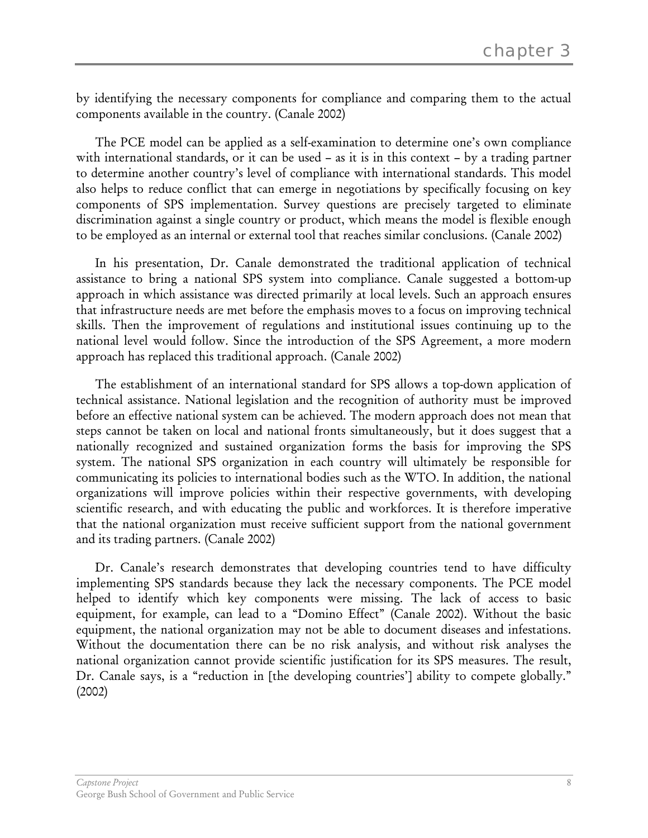by identifying the necessary components for compliance and comparing them to the actual components available in the country. (Canale 2002)

The PCE model can be applied as a self-examination to determine one's own compliance with international standards, or it can be used – as it is in this context – by a trading partner to determine another country's level of compliance with international standards. This model also helps to reduce conflict that can emerge in negotiations by specifically focusing on key components of SPS implementation. Survey questions are precisely targeted to eliminate discrimination against a single country or product, which means the model is flexible enough to be employed as an internal or external tool that reaches similar conclusions. (Canale 2002)

In his presentation, Dr. Canale demonstrated the traditional application of technical assistance to bring a national SPS system into compliance. Canale suggested a bottom-up approach in which assistance was directed primarily at local levels. Such an approach ensures that infrastructure needs are met before the emphasis moves to a focus on improving technical skills. Then the improvement of regulations and institutional issues continuing up to the national level would follow. Since the introduction of the SPS Agreement, a more modern approach has replaced this traditional approach. (Canale 2002)

The establishment of an international standard for SPS allows a top-down application of technical assistance. National legislation and the recognition of authority must be improved before an effective national system can be achieved. The modern approach does not mean that steps cannot be taken on local and national fronts simultaneously, but it does suggest that a nationally recognized and sustained organization forms the basis for improving the SPS system. The national SPS organization in each country will ultimately be responsible for communicating its policies to international bodies such as the WTO. In addition, the national organizations will improve policies within their respective governments, with developing scientific research, and with educating the public and workforces. It is therefore imperative that the national organization must receive sufficient support from the national government and its trading partners. (Canale 2002)

Dr. Canale's research demonstrates that developing countries tend to have difficulty implementing SPS standards because they lack the necessary components. The PCE model helped to identify which key components were missing. The lack of access to basic equipment, for example, can lead to a "Domino Effect" (Canale 2002). Without the basic equipment, the national organization may not be able to document diseases and infestations. Without the documentation there can be no risk analysis, and without risk analyses the national organization cannot provide scientific justification for its SPS measures. The result, Dr. Canale says, is a "reduction in [the developing countries'] ability to compete globally." (2002)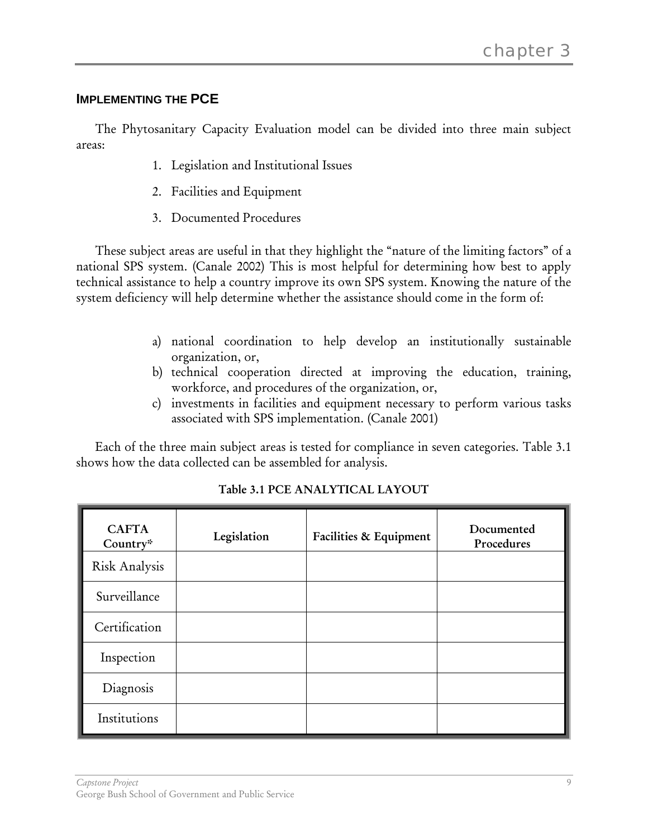## **IMPLEMENTING THE PCE**

The Phytosanitary Capacity Evaluation model can be divided into three main subject areas:

- 1. Legislation and Institutional Issues
- 2. Facilities and Equipment
- 3. Documented Procedures

These subject areas are useful in that they highlight the "nature of the limiting factors" of a national SPS system. (Canale 2002) This is most helpful for determining how best to apply technical assistance to help a country improve its own SPS system. Knowing the nature of the system deficiency will help determine whether the assistance should come in the form of:

- a) national coordination to help develop an institutionally sustainable organization, or,
- b) technical cooperation directed at improving the education, training, workforce, and procedures of the organization, or,
- c) investments in facilities and equipment necessary to perform various tasks associated with SPS implementation. (Canale 2001)

Each of the three main subject areas is tested for compliance in seven categories. Table 3.1 shows how the data collected can be assembled for analysis.

| <b>CAFTA</b><br>Country* | Legislation | Facilities & Equipment | Documented<br>Procedures |
|--------------------------|-------------|------------------------|--------------------------|
| Risk Analysis            |             |                        |                          |
| Surveillance             |             |                        |                          |
| Certification            |             |                        |                          |
| Inspection               |             |                        |                          |
| Diagnosis                |             |                        |                          |
| Institutions             |             |                        |                          |

Table 3.1 PCE ANALYTICAL LAYOUT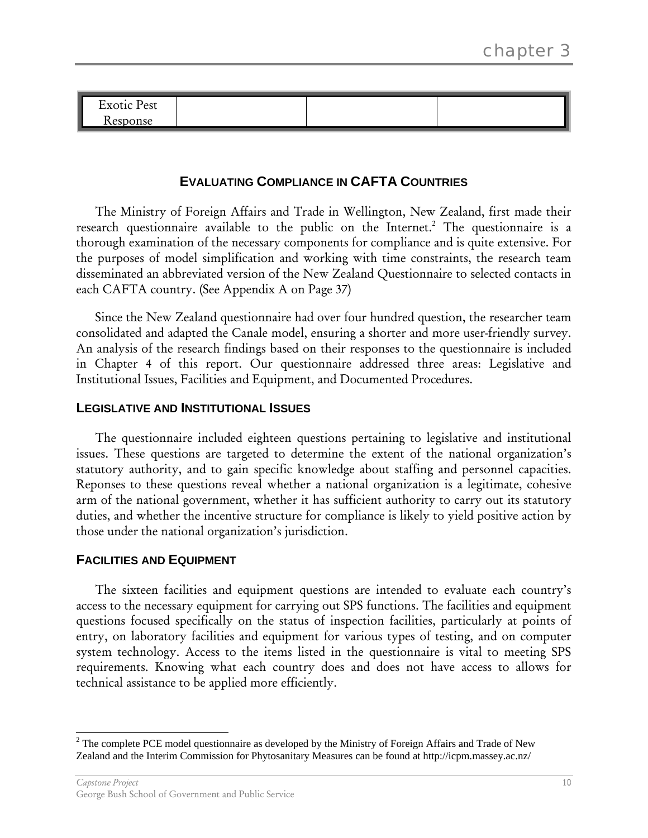| -<br>᠇<br>Exotic Pest         |  |  |
|-------------------------------|--|--|
| 00<br>$\overline{1}$<br>UIIJU |  |  |

#### **EVALUATING COMPLIANCE IN CAFTA COUNTRIES**

The Ministry of Foreign Affairs and Trade in Wellington, New Zealand, first made their research questionnaire available to the public on the Internet.<sup>2</sup> The questionnaire is a thorough examination of the necessary components for compliance and is quite extensive. For the purposes of model simplification and working with time constraints, the research team disseminated an abbreviated version of the New Zealand Questionnaire to selected contacts in each CAFTA country. (See Appendix A on Page 37)

Since the New Zealand questionnaire had over four hundred question, the researcher team consolidated and adapted the Canale model, ensuring a shorter and more user-friendly survey. An analysis of the research findings based on their responses to the questionnaire is included in Chapter 4 of this report. Our questionnaire addressed three areas: Legislative and Institutional Issues, Facilities and Equipment, and Documented Procedures.

#### **LEGISLATIVE AND INSTITUTIONAL ISSUES**

The questionnaire included eighteen questions pertaining to legislative and institutional issues. These questions are targeted to determine the extent of the national organization's statutory authority, and to gain specific knowledge about staffing and personnel capacities. Reponses to these questions reveal whether a national organization is a legitimate, cohesive arm of the national government, whether it has sufficient authority to carry out its statutory duties, and whether the incentive structure for compliance is likely to yield positive action by those under the national organization's jurisdiction.

#### **FACILITIES AND EQUIPMENT**

 $\overline{\phantom{a}}$ 

The sixteen facilities and equipment questions are intended to evaluate each country's access to the necessary equipment for carrying out SPS functions. The facilities and equipment questions focused specifically on the status of inspection facilities, particularly at points of entry, on laboratory facilities and equipment for various types of testing, and on computer system technology. Access to the items listed in the questionnaire is vital to meeting SPS requirements. Knowing what each country does and does not have access to allows for technical assistance to be applied more efficiently.

 $2^2$  The complete PCE model questionnaire as developed by the Ministry of Foreign Affairs and Trade of New Zealand and the Interim Commission for Phytosanitary Measures can be found at http://icpm.massey.ac.nz/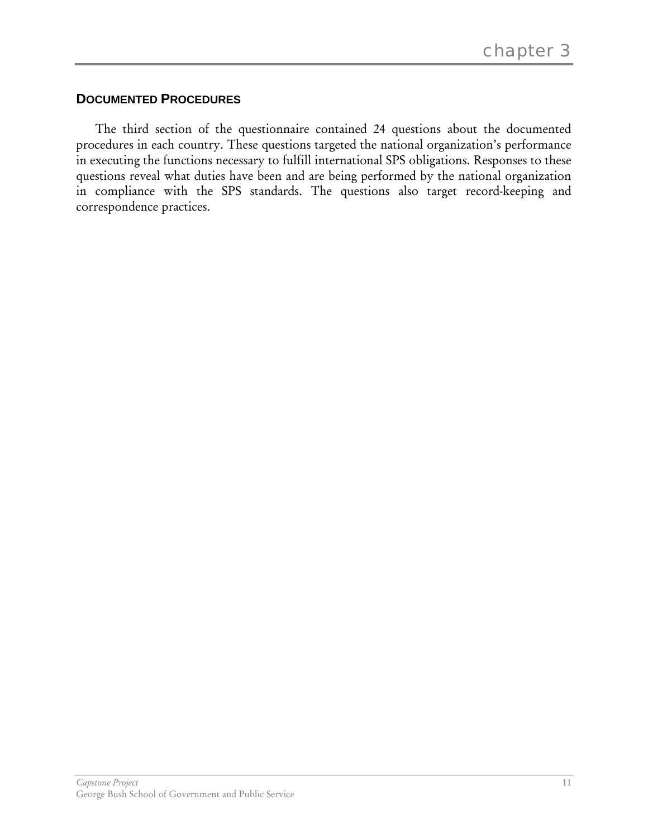# **DOCUMENTED PROCEDURES**

The third section of the questionnaire contained 24 questions about the documented procedures in each country. These questions targeted the national organization's performance in executing the functions necessary to fulfill international SPS obligations. Responses to these questions reveal what duties have been and are being performed by the national organization in compliance with the SPS standards. The questions also target record-keeping and correspondence practices.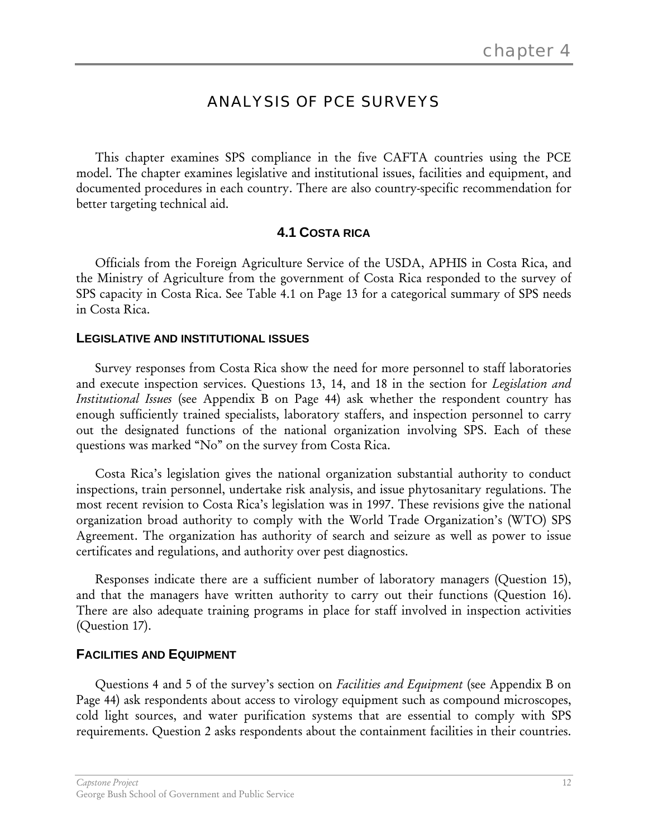# ANALYSIS OF PCE SURVEYS

This chapter examines SPS compliance in the five CAFTA countries using the PCE model. The chapter examines legislative and institutional issues, facilities and equipment, and documented procedures in each country. There are also country-specific recommendation for better targeting technical aid.

#### **4.1 COSTA RICA**

Officials from the Foreign Agriculture Service of the USDA, APHIS in Costa Rica, and the Ministry of Agriculture from the government of Costa Rica responded to the survey of SPS capacity in Costa Rica. See Table 4.1 on Page 13 for a categorical summary of SPS needs in Costa Rica.

#### **LEGISLATIVE AND INSTITUTIONAL ISSUES**

Survey responses from Costa Rica show the need for more personnel to staff laboratories and execute inspection services. Questions 13, 14, and 18 in the section for *Legislation and Institutional Issues* (see Appendix B on Page 44) ask whether the respondent country has enough sufficiently trained specialists, laboratory staffers, and inspection personnel to carry out the designated functions of the national organization involving SPS. Each of these questions was marked "No" on the survey from Costa Rica.

Costa Rica's legislation gives the national organization substantial authority to conduct inspections, train personnel, undertake risk analysis, and issue phytosanitary regulations. The most recent revision to Costa Rica's legislation was in 1997. These revisions give the national organization broad authority to comply with the World Trade Organization's (WTO) SPS Agreement. The organization has authority of search and seizure as well as power to issue certificates and regulations, and authority over pest diagnostics.

Responses indicate there are a sufficient number of laboratory managers (Question 15), and that the managers have written authority to carry out their functions (Question 16). There are also adequate training programs in place for staff involved in inspection activities (Question 17).

#### **FACILITIES AND EQUIPMENT**

Questions 4 and 5 of the survey's section on *Facilities and Equipment* (see Appendix B on Page 44) ask respondents about access to virology equipment such as compound microscopes, cold light sources, and water purification systems that are essential to comply with SPS requirements. Question 2 asks respondents about the containment facilities in their countries.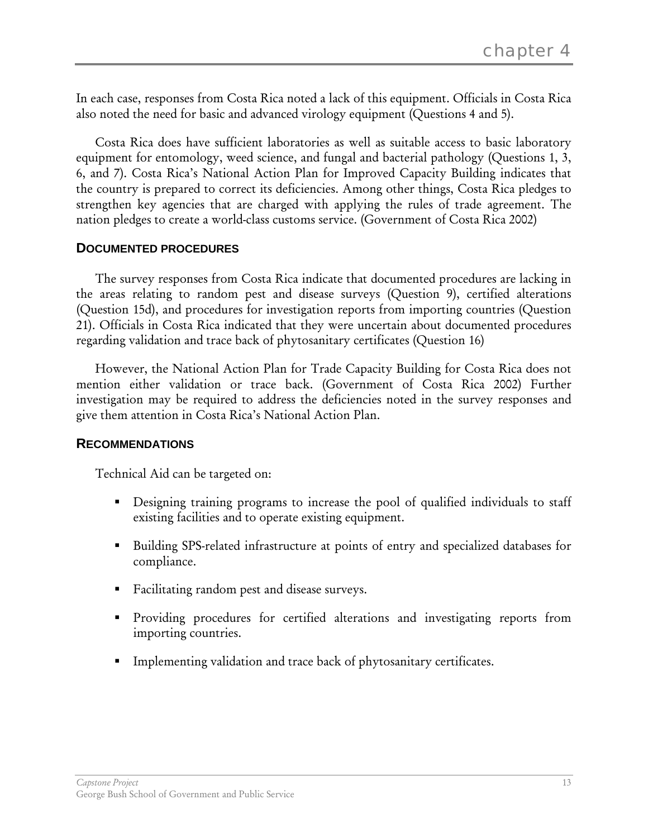In each case, responses from Costa Rica noted a lack of this equipment. Officials in Costa Rica also noted the need for basic and advanced virology equipment (Questions 4 and 5).

Costa Rica does have sufficient laboratories as well as suitable access to basic laboratory equipment for entomology, weed science, and fungal and bacterial pathology (Questions 1, 3, 6, and 7). Costa Rica's National Action Plan for Improved Capacity Building indicates that the country is prepared to correct its deficiencies. Among other things, Costa Rica pledges to strengthen key agencies that are charged with applying the rules of trade agreement. The nation pledges to create a world-class customs service. (Government of Costa Rica 2002)

#### **DOCUMENTED PROCEDURES**

The survey responses from Costa Rica indicate that documented procedures are lacking in the areas relating to random pest and disease surveys (Question 9), certified alterations (Question 15d), and procedures for investigation reports from importing countries (Question 21). Officials in Costa Rica indicated that they were uncertain about documented procedures regarding validation and trace back of phytosanitary certificates (Question 16)

However, the National Action Plan for Trade Capacity Building for Costa Rica does not mention either validation or trace back. (Government of Costa Rica 2002) Further investigation may be required to address the deficiencies noted in the survey responses and give them attention in Costa Rica's National Action Plan.

#### **RECOMMENDATIONS**

Technical Aid can be targeted on:

- Designing training programs to increase the pool of qualified individuals to staff existing facilities and to operate existing equipment.
- Building SPS-related infrastructure at points of entry and specialized databases for compliance.
- Facilitating random pest and disease surveys.
- Providing procedures for certified alterations and investigating reports from importing countries.
- Implementing validation and trace back of phytosanitary certificates.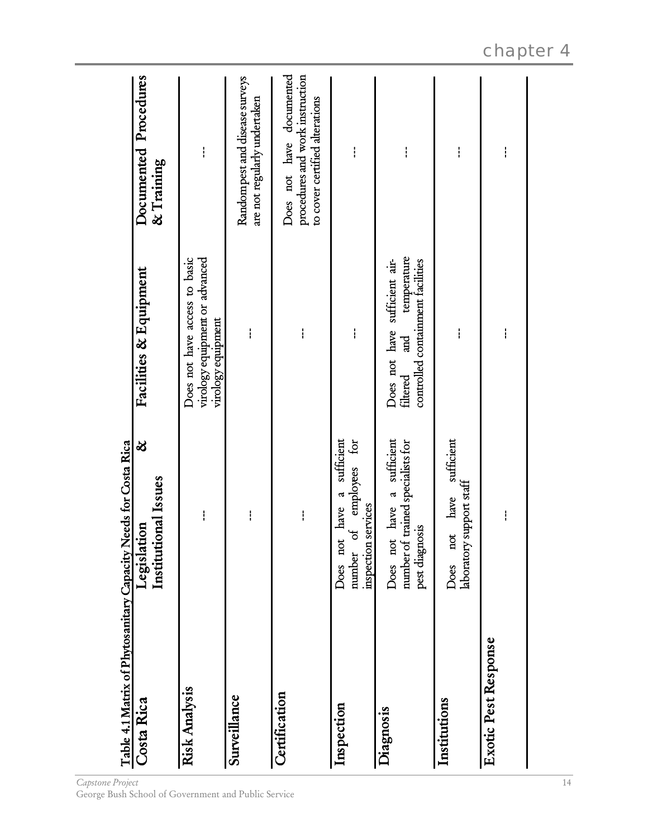|                      | Table 4.1 Matrix of Phytosanitary Capacity Needs for Costa Rica                    |                                                                                                      |                                                                                               |
|----------------------|------------------------------------------------------------------------------------|------------------------------------------------------------------------------------------------------|-----------------------------------------------------------------------------------------------|
| Costa Rica           | ಜ<br>Institutional Issues<br>Legislation                                           | Facilities & Equipment                                                                               | Documented Procedures<br>& Training                                                           |
| Risk Analysis        | I                                                                                  | virology equipment or advanced<br>Does not have access to basic<br>virology equipment                | I                                                                                             |
| Surveillance         | İ                                                                                  | ł                                                                                                    | Randompest and disease surveys<br>are not regularly undertaken                                |
| Certification        | $\mathbf{i}$                                                                       | I                                                                                                    | procedures and work instruction<br>Does not have documented<br>to cover certified alterations |
| Inspection           | not have a sufficient<br>of employees for<br>inspection services<br>number<br>Does | I                                                                                                    | I                                                                                             |
| Diagnosis            | Does not have a sufficient<br>number of trained specialists for<br>pest diagnosis  | temperature<br>controlled containment facilities<br>Does not have sufficient air-<br>and<br>filtered | ł                                                                                             |
| Institutions         | not have sufficient<br>laboratory support staff<br>Does                            | ł                                                                                                    | I                                                                                             |
| Exotic Pest Response | ł                                                                                  | I                                                                                                    | I                                                                                             |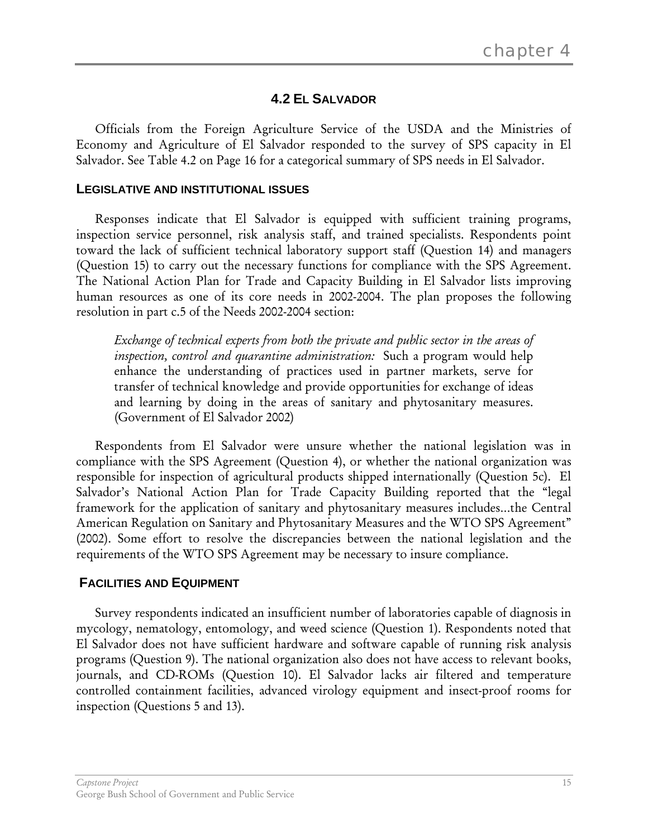## **4.2 EL SALVADOR**

Officials from the Foreign Agriculture Service of the USDA and the Ministries of Economy and Agriculture of El Salvador responded to the survey of SPS capacity in El Salvador. See Table 4.2 on Page 16 for a categorical summary of SPS needs in El Salvador.

#### **LEGISLATIVE AND INSTITUTIONAL ISSUES**

Responses indicate that El Salvador is equipped with sufficient training programs, inspection service personnel, risk analysis staff, and trained specialists. Respondents point toward the lack of sufficient technical laboratory support staff (Question 14) and managers (Question 15) to carry out the necessary functions for compliance with the SPS Agreement. The National Action Plan for Trade and Capacity Building in El Salvador lists improving human resources as one of its core needs in 2002-2004. The plan proposes the following resolution in part c.5 of the Needs 2002-2004 section:

*Exchange of technical experts from both the private and public sector in the areas of inspection, control and quarantine administration:* Such a program would help enhance the understanding of practices used in partner markets, serve for transfer of technical knowledge and provide opportunities for exchange of ideas and learning by doing in the areas of sanitary and phytosanitary measures. (Government of El Salvador 2002)

Respondents from El Salvador were unsure whether the national legislation was in compliance with the SPS Agreement (Question 4), or whether the national organization was responsible for inspection of agricultural products shipped internationally (Question 5c). El Salvador's National Action Plan for Trade Capacity Building reported that the "legal framework for the application of sanitary and phytosanitary measures includes…the Central American Regulation on Sanitary and Phytosanitary Measures and the WTO SPS Agreement" (2002). Some effort to resolve the discrepancies between the national legislation and the requirements of the WTO SPS Agreement may be necessary to insure compliance.

#### **FACILITIES AND EQUIPMENT**

Survey respondents indicated an insufficient number of laboratories capable of diagnosis in mycology, nematology, entomology, and weed science (Question 1). Respondents noted that El Salvador does not have sufficient hardware and software capable of running risk analysis programs (Question 9). The national organization also does not have access to relevant books, journals, and CD-ROMs (Question 10). El Salvador lacks air filtered and temperature controlled containment facilities, advanced virology equipment and insect-proof rooms for inspection (Questions 5 and 13).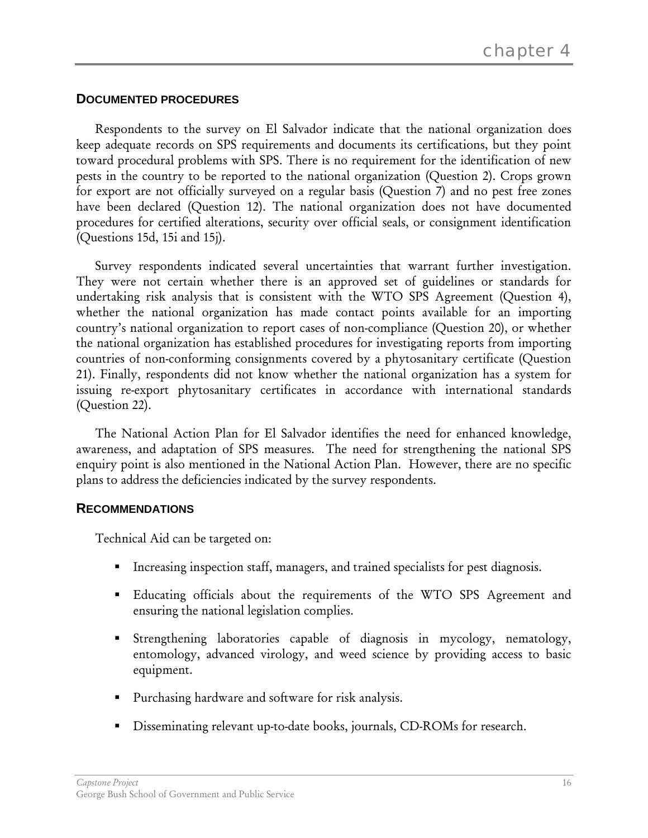#### **DOCUMENTED PROCEDURES**

Respondents to the survey on El Salvador indicate that the national organization does keep adequate records on SPS requirements and documents its certifications, but they point toward procedural problems with SPS. There is no requirement for the identification of new pests in the country to be reported to the national organization (Question 2). Crops grown for export are not officially surveyed on a regular basis (Question 7) and no pest free zones have been declared (Question 12). The national organization does not have documented procedures for certified alterations, security over official seals, or consignment identification (Questions 15d, 15i and 15j).

Survey respondents indicated several uncertainties that warrant further investigation. They were not certain whether there is an approved set of guidelines or standards for undertaking risk analysis that is consistent with the WTO SPS Agreement (Question 4), whether the national organization has made contact points available for an importing country's national organization to report cases of non-compliance (Question 20), or whether the national organization has established procedures for investigating reports from importing countries of non-conforming consignments covered by a phytosanitary certificate (Question 21). Finally, respondents did not know whether the national organization has a system for issuing re-export phytosanitary certificates in accordance with international standards (Question 22).

The National Action Plan for El Salvador identifies the need for enhanced knowledge, awareness, and adaptation of SPS measures. The need for strengthening the national SPS enquiry point is also mentioned in the National Action Plan. However, there are no specific plans to address the deficiencies indicated by the survey respondents.

#### **RECOMMENDATIONS**

Technical Aid can be targeted on:

- Increasing inspection staff, managers, and trained specialists for pest diagnosis.
- Educating officials about the requirements of the WTO SPS Agreement and ensuring the national legislation complies.
- Strengthening laboratories capable of diagnosis in mycology, nematology, entomology, advanced virology, and weed science by providing access to basic equipment.
- Purchasing hardware and software for risk analysis.
- Disseminating relevant up-to-date books, journals, CD-ROMs for research.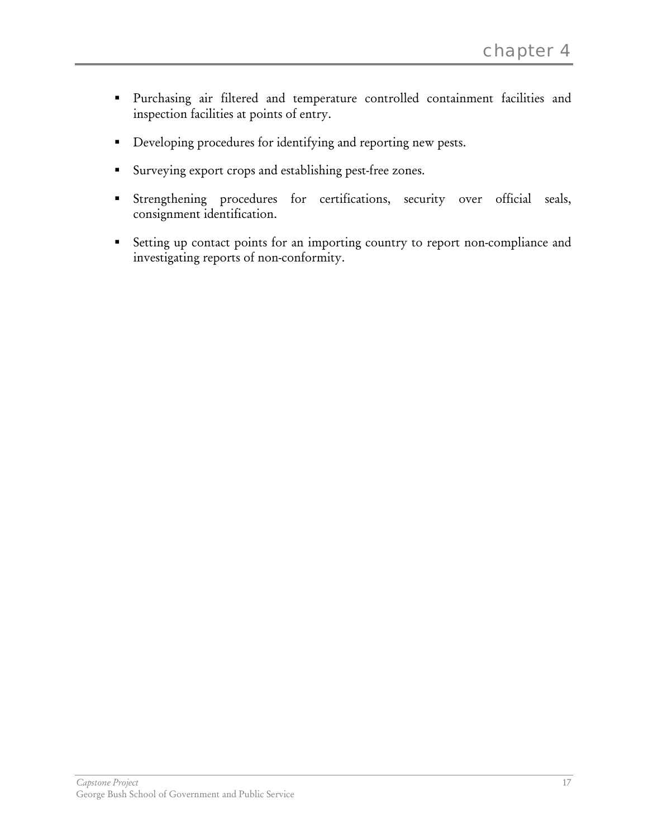- Purchasing air filtered and temperature controlled containment facilities and inspection facilities at points of entry.
- Developing procedures for identifying and reporting new pests.
- Surveying export crops and establishing pest-free zones.
- Strengthening procedures for certifications, security over official seals, consignment identification.
- Setting up contact points for an importing country to report non-compliance and investigating reports of non-conformity.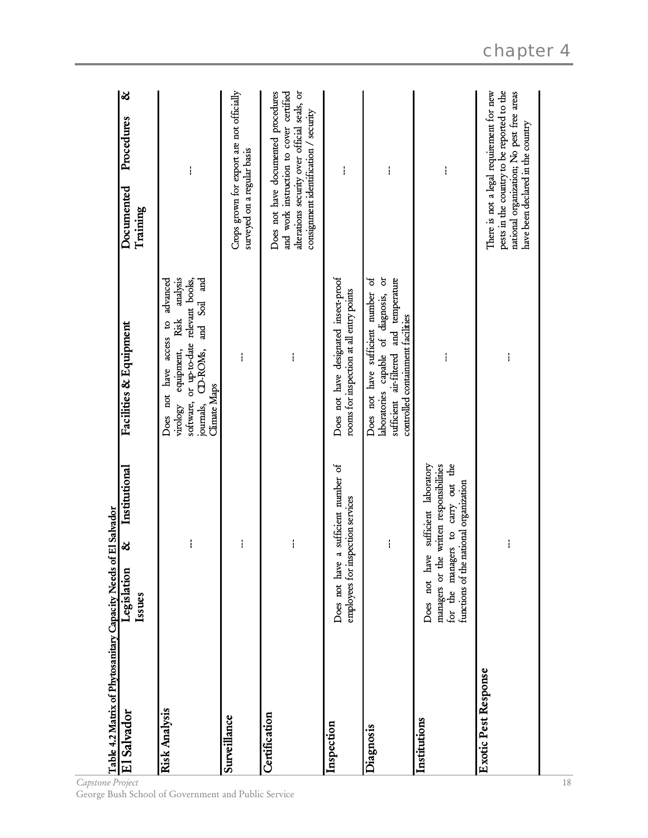| El Salvador<br>Capstone Project | Institutional<br>X<br>Legislation<br>Issues                                                                                                                          | Facilities & Equipment                                                                                                                                                                              | ಜ<br>Procedures<br>Documented<br>Training                                                                                                                                |
|---------------------------------|----------------------------------------------------------------------------------------------------------------------------------------------------------------------|-----------------------------------------------------------------------------------------------------------------------------------------------------------------------------------------------------|--------------------------------------------------------------------------------------------------------------------------------------------------------------------------|
| <b>Risk Analysis</b>            | ł                                                                                                                                                                    | analysis<br>and<br>advanced<br>software, or up-to-date relevant books,<br>Soil<br>Risk<br>access to<br>and<br>B<br>CD-ROMs,<br>equipment,<br>Does not have<br>Climate Maps<br>journals,<br>virology | ł                                                                                                                                                                        |
| Surveillance                    | ł                                                                                                                                                                    | I                                                                                                                                                                                                   | Crops grown for export are not officially<br>surveyed on a regular basis                                                                                                 |
| Certification                   | ł                                                                                                                                                                    | I                                                                                                                                                                                                   | Does not have documented procedures<br>alterations security over official seals, or<br>and work instruction to cover certified<br>consignment identification / security  |
| Inspection                      | a sufficient number of<br>employees for inspection services<br>Does not have                                                                                         | Does not have designated insect-proof<br>rooms for inspection at all entry points                                                                                                                   | ł                                                                                                                                                                        |
| Diagnosis                       | ł                                                                                                                                                                    | Does not have sufficient number of<br>laboratories capable of diagnosis, or<br>sufficient air-filtered and temperature<br>controlled containment facilities                                         | ł                                                                                                                                                                        |
| Institutions                    | for the managers to carry out the<br>sufficient laboratory<br>written responsibilities<br>functions of the national organization<br>Does not have<br>managers or the | I                                                                                                                                                                                                   | ł                                                                                                                                                                        |
| Exotic Pest Response            | ł                                                                                                                                                                    | I                                                                                                                                                                                                   | There is not a legal requirement for new<br>pests in the country to be reported to the<br>national organization; No pest free areas<br>have been declared in the country |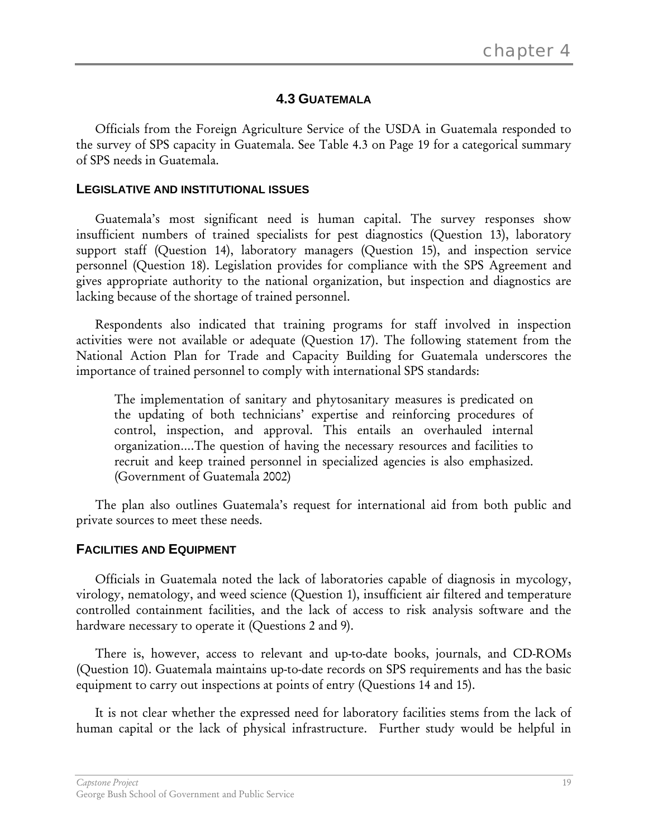# **4.3 GUATEMALA**

Officials from the Foreign Agriculture Service of the USDA in Guatemala responded to the survey of SPS capacity in Guatemala. See Table 4.3 on Page 19 for a categorical summary of SPS needs in Guatemala.

#### **LEGISLATIVE AND INSTITUTIONAL ISSUES**

Guatemala's most significant need is human capital. The survey responses show insufficient numbers of trained specialists for pest diagnostics (Question 13), laboratory support staff (Question 14), laboratory managers (Question 15), and inspection service personnel (Question 18). Legislation provides for compliance with the SPS Agreement and gives appropriate authority to the national organization, but inspection and diagnostics are lacking because of the shortage of trained personnel.

Respondents also indicated that training programs for staff involved in inspection activities were not available or adequate (Question 17). The following statement from the National Action Plan for Trade and Capacity Building for Guatemala underscores the importance of trained personnel to comply with international SPS standards:

The implementation of sanitary and phytosanitary measures is predicated on the updating of both technicians' expertise and reinforcing procedures of control, inspection, and approval. This entails an overhauled internal organization….The question of having the necessary resources and facilities to recruit and keep trained personnel in specialized agencies is also emphasized. (Government of Guatemala 2002)

The plan also outlines Guatemala's request for international aid from both public and private sources to meet these needs.

#### **FACILITIES AND EQUIPMENT**

Officials in Guatemala noted the lack of laboratories capable of diagnosis in mycology, virology, nematology, and weed science (Question 1), insufficient air filtered and temperature controlled containment facilities, and the lack of access to risk analysis software and the hardware necessary to operate it (Questions 2 and 9).

There is, however, access to relevant and up-to-date books, journals, and CD-ROMs (Question 10). Guatemala maintains up-to-date records on SPS requirements and has the basic equipment to carry out inspections at points of entry (Questions 14 and 15).

It is not clear whether the expressed need for laboratory facilities stems from the lack of human capital or the lack of physical infrastructure. Further study would be helpful in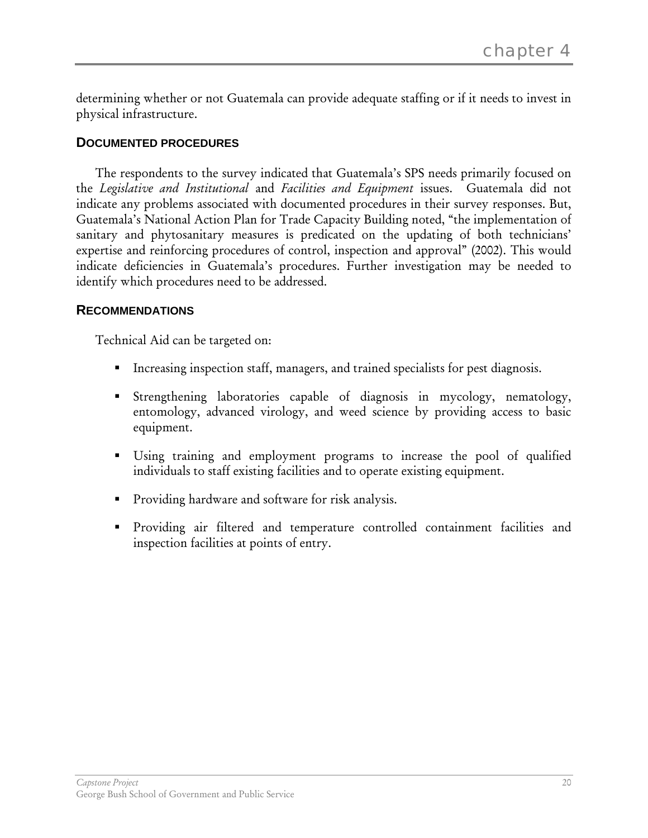determining whether or not Guatemala can provide adequate staffing or if it needs to invest in physical infrastructure.

# **DOCUMENTED PROCEDURES**

The respondents to the survey indicated that Guatemala's SPS needs primarily focused on the *Legislative and Institutional* and *Facilities and Equipment* issues. Guatemala did not indicate any problems associated with documented procedures in their survey responses. But, Guatemala's National Action Plan for Trade Capacity Building noted, "the implementation of sanitary and phytosanitary measures is predicated on the updating of both technicians' expertise and reinforcing procedures of control, inspection and approval" (2002). This would indicate deficiencies in Guatemala's procedures. Further investigation may be needed to identify which procedures need to be addressed.

### **RECOMMENDATIONS**

Technical Aid can be targeted on:

- Increasing inspection staff, managers, and trained specialists for pest diagnosis.
- Strengthening laboratories capable of diagnosis in mycology, nematology, entomology, advanced virology, and weed science by providing access to basic equipment.
- Using training and employment programs to increase the pool of qualified individuals to staff existing facilities and to operate existing equipment.
- **Providing hardware and software for risk analysis.**
- Providing air filtered and temperature controlled containment facilities and inspection facilities at points of entry.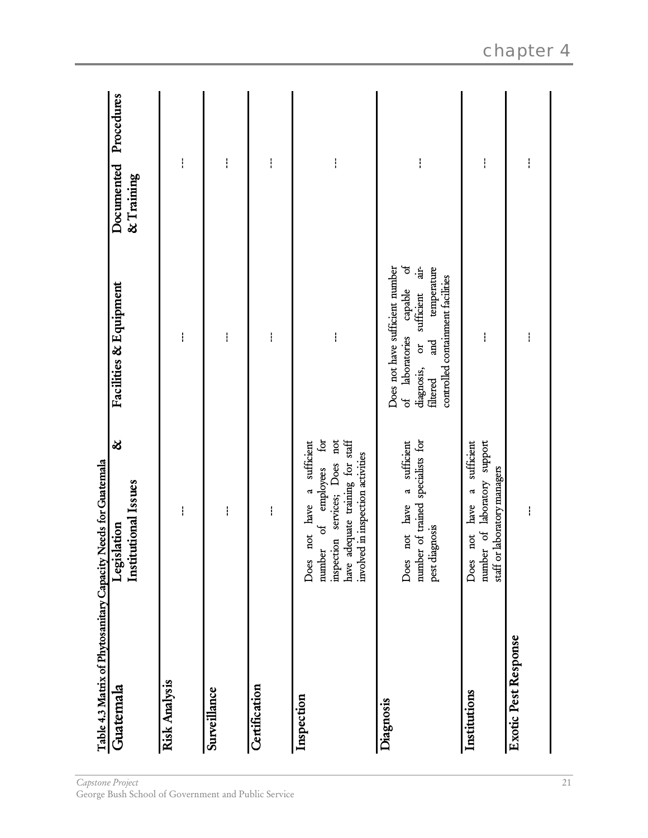| Guatemala            | ಜ<br>Table 4.3 Matrix of Phytosanitary Capacity Needs for Guatemala<br>tutional Issues<br>Legislation<br>Insti                                                        | Facilities & Equipment                                                                                                                                                                                   | Documented Procedures<br>& Training |
|----------------------|-----------------------------------------------------------------------------------------------------------------------------------------------------------------------|----------------------------------------------------------------------------------------------------------------------------------------------------------------------------------------------------------|-------------------------------------|
| Risk Analysis        | I                                                                                                                                                                     | ł                                                                                                                                                                                                        | I                                   |
| Surveillance         | ł                                                                                                                                                                     | ł                                                                                                                                                                                                        | ł                                   |
| Certification        | ł                                                                                                                                                                     | I                                                                                                                                                                                                        | $\mathbf i$                         |
| Inspection           | number of employees for<br>inspection services; Does not<br>adequate training for staff<br>not have a sufficient<br>involved in inspection activities<br>Does<br>have | ł                                                                                                                                                                                                        | $\mathbf{I}$                        |
| Diagnosis            | number of trained specialists for<br>not have a sufficient<br>pest diagnosis<br>Does                                                                                  | ٦,<br>Does not have sufficient number<br>$\cdot \frac{1}{d}$<br>temperature<br>controlled containment facilities<br>of laboratories capable<br>sufficient<br>$\overline{a}$<br>diagnosis, or<br>filtered | $\mathbf{I}$                        |
| Institutions         | number of laboratory support<br>a sufficient<br>staff or laboratory managers<br>not have<br>Does                                                                      | I                                                                                                                                                                                                        | I                                   |
| Exotic Pest Response | Í                                                                                                                                                                     | ł                                                                                                                                                                                                        | I                                   |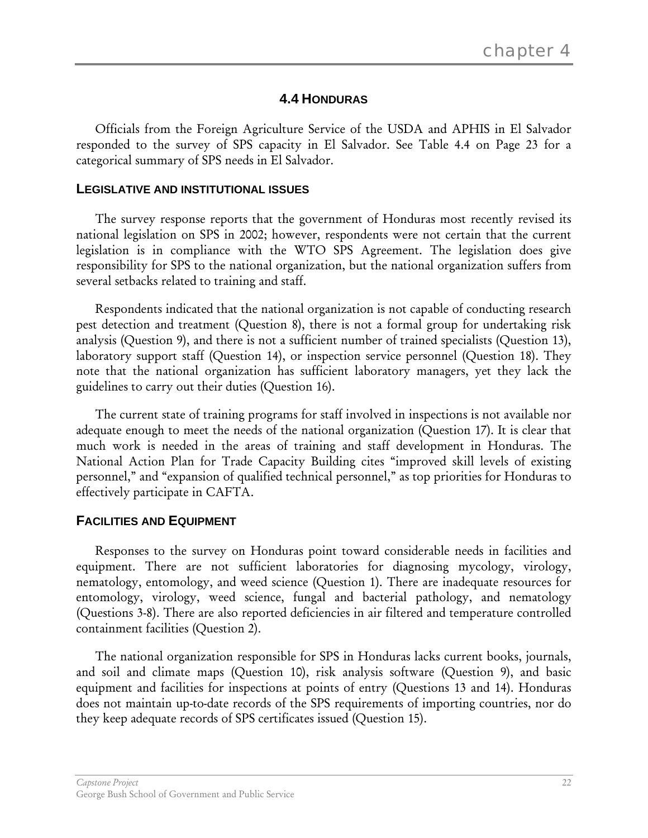# **4.4 HONDURAS**

Officials from the Foreign Agriculture Service of the USDA and APHIS in El Salvador responded to the survey of SPS capacity in El Salvador. See Table 4.4 on Page 23 for a categorical summary of SPS needs in El Salvador.

#### **LEGISLATIVE AND INSTITUTIONAL ISSUES**

The survey response reports that the government of Honduras most recently revised its national legislation on SPS in 2002; however, respondents were not certain that the current legislation is in compliance with the WTO SPS Agreement. The legislation does give responsibility for SPS to the national organization, but the national organization suffers from several setbacks related to training and staff.

Respondents indicated that the national organization is not capable of conducting research pest detection and treatment (Question 8), there is not a formal group for undertaking risk analysis (Question 9), and there is not a sufficient number of trained specialists (Question 13), laboratory support staff (Question 14), or inspection service personnel (Question 18). They note that the national organization has sufficient laboratory managers, yet they lack the guidelines to carry out their duties (Question 16).

The current state of training programs for staff involved in inspections is not available nor adequate enough to meet the needs of the national organization (Question 17). It is clear that much work is needed in the areas of training and staff development in Honduras. The National Action Plan for Trade Capacity Building cites "improved skill levels of existing personnel," and "expansion of qualified technical personnel," as top priorities for Honduras to effectively participate in CAFTA.

#### **FACILITIES AND EQUIPMENT**

Responses to the survey on Honduras point toward considerable needs in facilities and equipment. There are not sufficient laboratories for diagnosing mycology, virology, nematology, entomology, and weed science (Question 1). There are inadequate resources for entomology, virology, weed science, fungal and bacterial pathology, and nematology (Questions 3-8). There are also reported deficiencies in air filtered and temperature controlled containment facilities (Question 2).

The national organization responsible for SPS in Honduras lacks current books, journals, and soil and climate maps (Question 10), risk analysis software (Question 9), and basic equipment and facilities for inspections at points of entry (Questions 13 and 14). Honduras does not maintain up-to-date records of the SPS requirements of importing countries, nor do they keep adequate records of SPS certificates issued (Question 15).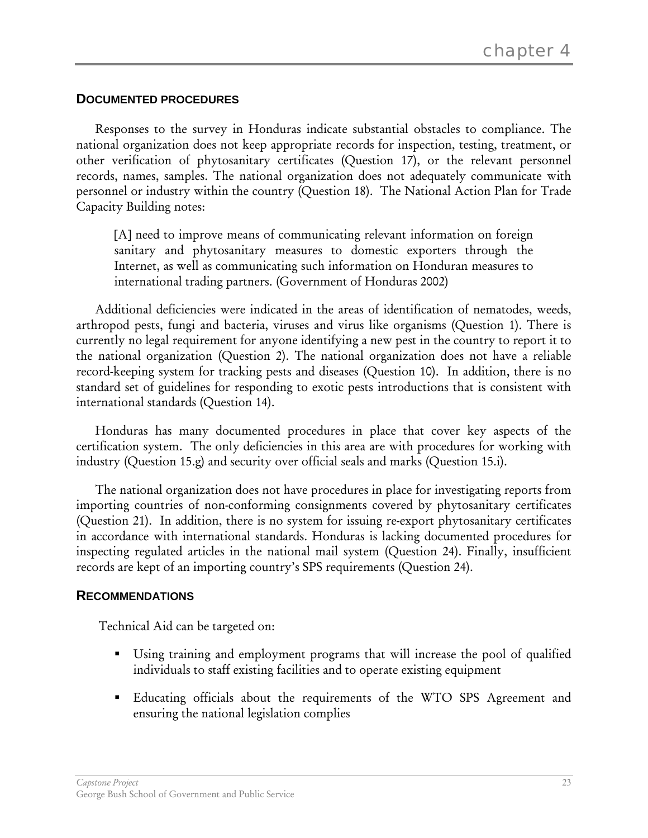#### **DOCUMENTED PROCEDURES**

Responses to the survey in Honduras indicate substantial obstacles to compliance. The national organization does not keep appropriate records for inspection, testing, treatment, or other verification of phytosanitary certificates (Question 17), or the relevant personnel records, names, samples. The national organization does not adequately communicate with personnel or industry within the country (Question 18). The National Action Plan for Trade Capacity Building notes:

[A] need to improve means of communicating relevant information on foreign sanitary and phytosanitary measures to domestic exporters through the Internet, as well as communicating such information on Honduran measures to international trading partners. (Government of Honduras 2002)

Additional deficiencies were indicated in the areas of identification of nematodes, weeds, arthropod pests, fungi and bacteria, viruses and virus like organisms (Question 1). There is currently no legal requirement for anyone identifying a new pest in the country to report it to the national organization (Question 2). The national organization does not have a reliable record-keeping system for tracking pests and diseases (Question 10). In addition, there is no standard set of guidelines for responding to exotic pests introductions that is consistent with international standards (Question 14).

Honduras has many documented procedures in place that cover key aspects of the certification system. The only deficiencies in this area are with procedures for working with industry (Question 15.g) and security over official seals and marks (Question 15.i).

The national organization does not have procedures in place for investigating reports from importing countries of non-conforming consignments covered by phytosanitary certificates (Question 21). In addition, there is no system for issuing re-export phytosanitary certificates in accordance with international standards. Honduras is lacking documented procedures for inspecting regulated articles in the national mail system (Question 24). Finally, insufficient records are kept of an importing country's SPS requirements (Question 24).

#### **RECOMMENDATIONS**

Technical Aid can be targeted on:

- Using training and employment programs that will increase the pool of qualified individuals to staff existing facilities and to operate existing equipment
- Educating officials about the requirements of the WTO SPS Agreement and ensuring the national legislation complies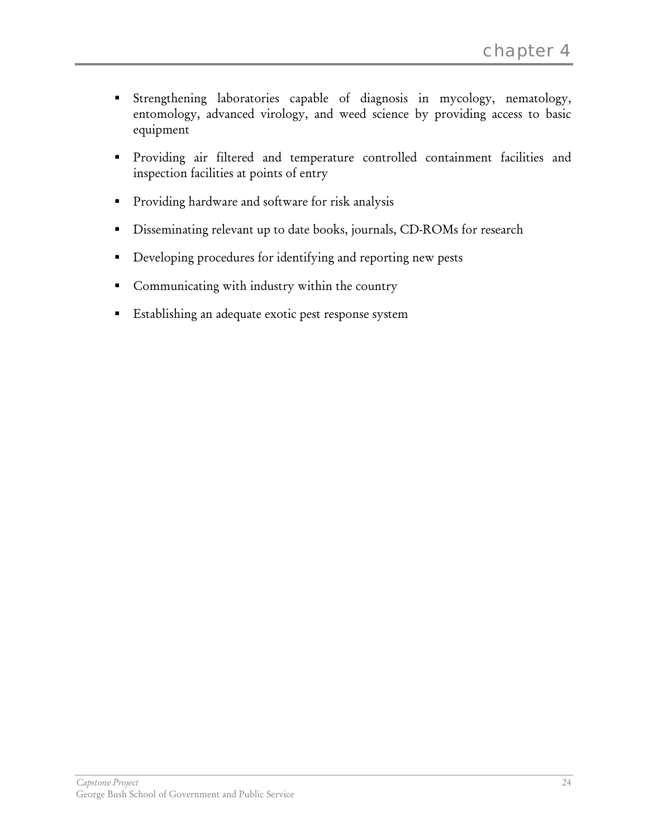- Strengthening laboratories capable of diagnosis in mycology, nematology, entomology, advanced virology, and weed science by providing access to basic equipment
- Providing air filtered and temperature controlled containment facilities and inspection facilities at points of entry
- **Providing hardware and software for risk analysis**
- Disseminating relevant up to date books, journals, CD-ROMs for research
- Developing procedures for identifying and reporting new pests
- Communicating with industry within the country
- **Establishing an adequate exotic pest response system**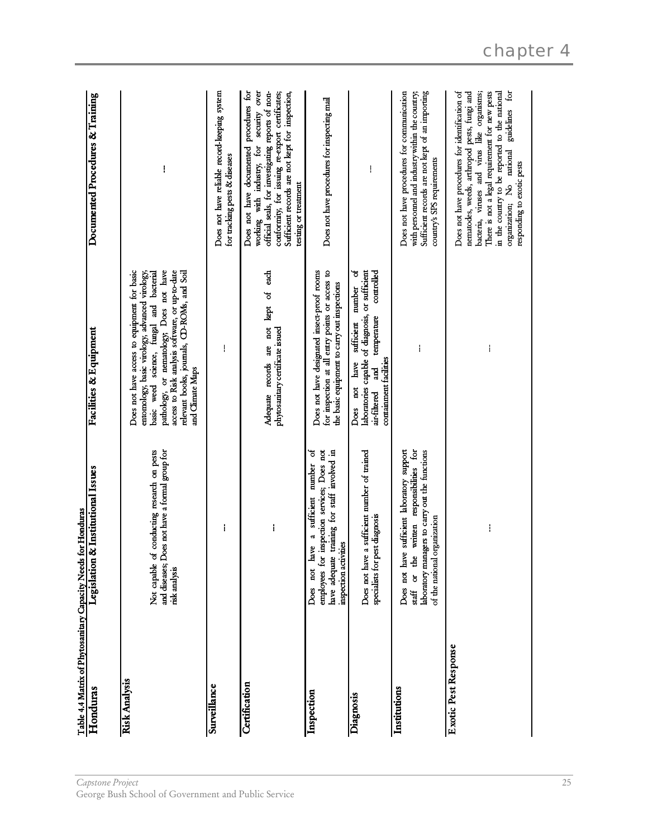| Honduras             | & Institutional Issues<br>Legislation                                                                                                                                                  | Facilities & Equipment                                                                                                                                                                                                                                                                                     | Documented Procedures & Training                                                                                                                                                                                                                                                                                              |
|----------------------|----------------------------------------------------------------------------------------------------------------------------------------------------------------------------------------|------------------------------------------------------------------------------------------------------------------------------------------------------------------------------------------------------------------------------------------------------------------------------------------------------------|-------------------------------------------------------------------------------------------------------------------------------------------------------------------------------------------------------------------------------------------------------------------------------------------------------------------------------|
| Risk Analysis        | and diseases; Does not have a formal group for<br>Not capable of conducting research on pests<br>risk analysis                                                                         | pathology, or nematology; Does not have<br>Does not have access to equipment for basic<br>entomology, basic virology, advanced virology,<br>access to Risk analysis software, or up-to-date<br>basic weed science, fungal and bacterial<br>relevant books, journals, CD-ROMs, and Soil<br>and Climate Maps | ł                                                                                                                                                                                                                                                                                                                             |
| Surveillance         | ł                                                                                                                                                                                      | ŧ                                                                                                                                                                                                                                                                                                          | Does not have reliable record-keeping system<br>for tracking pests & diseases                                                                                                                                                                                                                                                 |
| Certification        | ţ                                                                                                                                                                                      | kept of each<br>Adequate records are not<br>phytosanitary certificate issued                                                                                                                                                                                                                               | Does not have documented procedures for<br>conformity, for issuing re-export certificates;<br>over<br>official seals, for investigating reports of non-<br>Sufficient records are not kept for inspection,<br>security<br>industry, for<br>testing or treatment<br>working with                                               |
| Inspection           | training for staff involved in<br>a sufficient number of<br>inspection services; Does not<br>inspection activities<br>have<br>employees for<br>have adequate<br>Does not               | for inspection at all entry points or access to<br>Does not have designated insect-proof rooms<br>the basic equipment to carry out inspections                                                                                                                                                             | Does not have procedures for inspecting mail                                                                                                                                                                                                                                                                                  |
| Diagnosis            | a sufficient number of trained<br>specialists for pest diagnosis<br>Does not have                                                                                                      | laboratories capable of diagnosis, or sufficient<br>ð<br>controlled<br>number<br>temperature<br>sufficient<br>containment facilities<br>not have<br>ਰੂ<br>air-filtered<br>Does                                                                                                                             | ł                                                                                                                                                                                                                                                                                                                             |
| Institutions         | responsibilities for<br>Does not have sufficient laboratory support<br>laboratory managers to carry out the functions<br>organization<br>written<br>å<br>of the national<br>ð<br>staff | ł                                                                                                                                                                                                                                                                                                          | Sufficient records are not kept of an importing<br>Does not have procedures for communication<br>with personnel and industry within the country,<br>country's SPS requirements                                                                                                                                                |
| Exotic Pest Response | ł                                                                                                                                                                                      | ł                                                                                                                                                                                                                                                                                                          | guidelines for<br>Does not have procedures for identification of<br>bacteria, viruses and virus like organisms;<br>There is not a legal requirement for new pests<br>nematodes, weeds, arthropod pests, fungi and<br>in the country to be reported to the national<br>organization; No national<br>responding to exotic pests |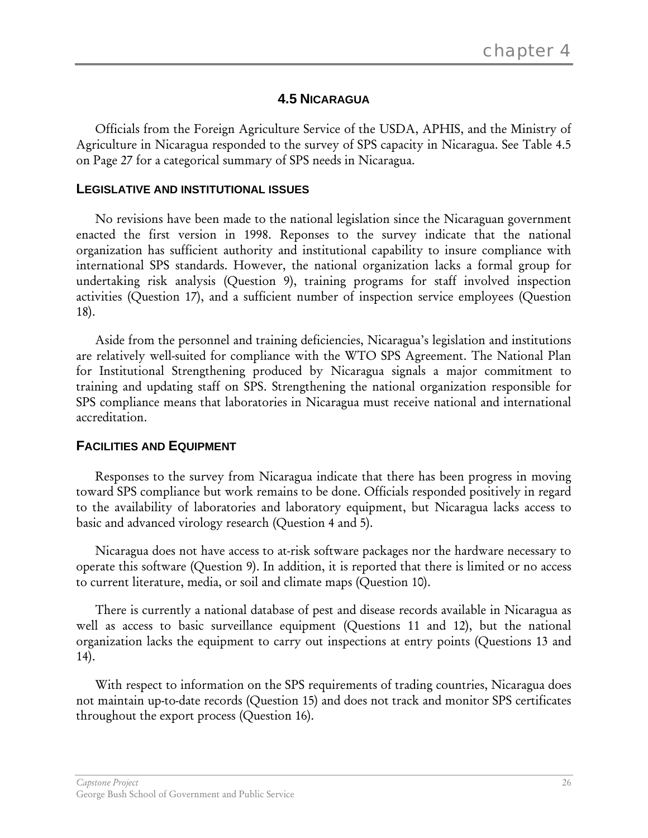# **4.5 NICARAGUA**

Officials from the Foreign Agriculture Service of the USDA, APHIS, and the Ministry of Agriculture in Nicaragua responded to the survey of SPS capacity in Nicaragua. See Table 4.5 on Page 27 for a categorical summary of SPS needs in Nicaragua.

#### **LEGISLATIVE AND INSTITUTIONAL ISSUES**

No revisions have been made to the national legislation since the Nicaraguan government enacted the first version in 1998. Reponses to the survey indicate that the national organization has sufficient authority and institutional capability to insure compliance with international SPS standards. However, the national organization lacks a formal group for undertaking risk analysis (Question 9), training programs for staff involved inspection activities (Question 17), and a sufficient number of inspection service employees (Question 18).

Aside from the personnel and training deficiencies, Nicaragua's legislation and institutions are relatively well-suited for compliance with the WTO SPS Agreement. The National Plan for Institutional Strengthening produced by Nicaragua signals a major commitment to training and updating staff on SPS. Strengthening the national organization responsible for SPS compliance means that laboratories in Nicaragua must receive national and international accreditation.

### **FACILITIES AND EQUIPMENT**

Responses to the survey from Nicaragua indicate that there has been progress in moving toward SPS compliance but work remains to be done. Officials responded positively in regard to the availability of laboratories and laboratory equipment, but Nicaragua lacks access to basic and advanced virology research (Question 4 and 5).

Nicaragua does not have access to at-risk software packages nor the hardware necessary to operate this software (Question 9). In addition, it is reported that there is limited or no access to current literature, media, or soil and climate maps (Question 10).

There is currently a national database of pest and disease records available in Nicaragua as well as access to basic surveillance equipment (Questions 11 and 12), but the national organization lacks the equipment to carry out inspections at entry points (Questions 13 and 14).

With respect to information on the SPS requirements of trading countries, Nicaragua does not maintain up-to-date records (Question 15) and does not track and monitor SPS certificates throughout the export process (Question 16).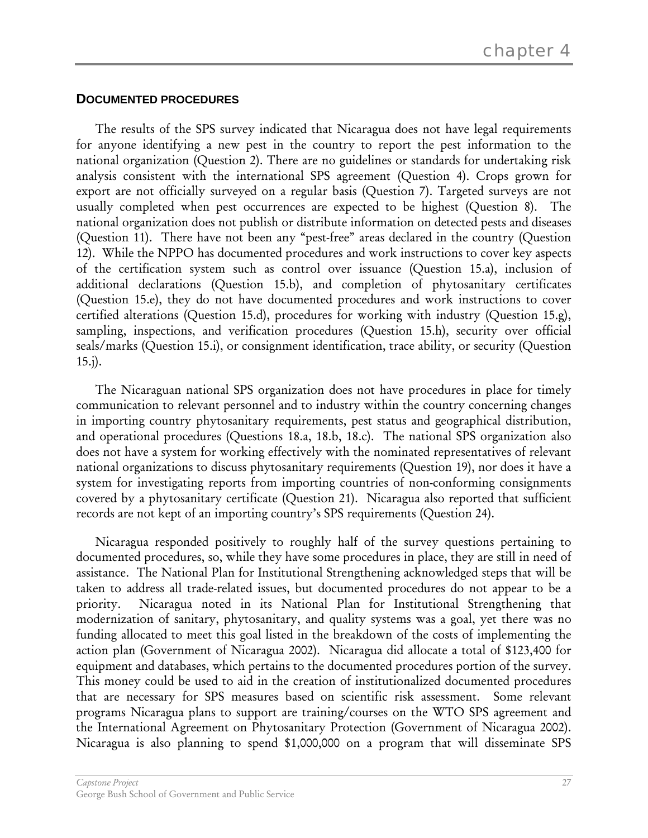### **DOCUMENTED PROCEDURES**

The results of the SPS survey indicated that Nicaragua does not have legal requirements for anyone identifying a new pest in the country to report the pest information to the national organization (Question 2). There are no guidelines or standards for undertaking risk analysis consistent with the international SPS agreement (Question 4). Crops grown for export are not officially surveyed on a regular basis (Question 7). Targeted surveys are not usually completed when pest occurrences are expected to be highest (Question 8). The national organization does not publish or distribute information on detected pests and diseases (Question 11). There have not been any "pest-free" areas declared in the country (Question 12). While the NPPO has documented procedures and work instructions to cover key aspects of the certification system such as control over issuance (Question 15.a), inclusion of additional declarations (Question 15.b), and completion of phytosanitary certificates (Question 15.e), they do not have documented procedures and work instructions to cover certified alterations (Question 15.d), procedures for working with industry (Question 15.g), sampling, inspections, and verification procedures (Question 15.h), security over official seals/marks (Question 15.i), or consignment identification, trace ability, or security (Question  $15.$ j).

The Nicaraguan national SPS organization does not have procedures in place for timely communication to relevant personnel and to industry within the country concerning changes in importing country phytosanitary requirements, pest status and geographical distribution, and operational procedures (Questions 18.a, 18.b, 18.c). The national SPS organization also does not have a system for working effectively with the nominated representatives of relevant national organizations to discuss phytosanitary requirements (Question 19), nor does it have a system for investigating reports from importing countries of non-conforming consignments covered by a phytosanitary certificate (Question 21). Nicaragua also reported that sufficient records are not kept of an importing country's SPS requirements (Question 24).

Nicaragua responded positively to roughly half of the survey questions pertaining to documented procedures, so, while they have some procedures in place, they are still in need of assistance. The National Plan for Institutional Strengthening acknowledged steps that will be taken to address all trade-related issues, but documented procedures do not appear to be a priority. Nicaragua noted in its National Plan for Institutional Strengthening that modernization of sanitary, phytosanitary, and quality systems was a goal, yet there was no funding allocated to meet this goal listed in the breakdown of the costs of implementing the action plan (Government of Nicaragua 2002). Nicaragua did allocate a total of \$123,400 for equipment and databases, which pertains to the documented procedures portion of the survey. This money could be used to aid in the creation of institutionalized documented procedures that are necessary for SPS measures based on scientific risk assessment. Some relevant programs Nicaragua plans to support are training/courses on the WTO SPS agreement and the International Agreement on Phytosanitary Protection (Government of Nicaragua 2002). Nicaragua is also planning to spend \$1,000,000 on a program that will disseminate SPS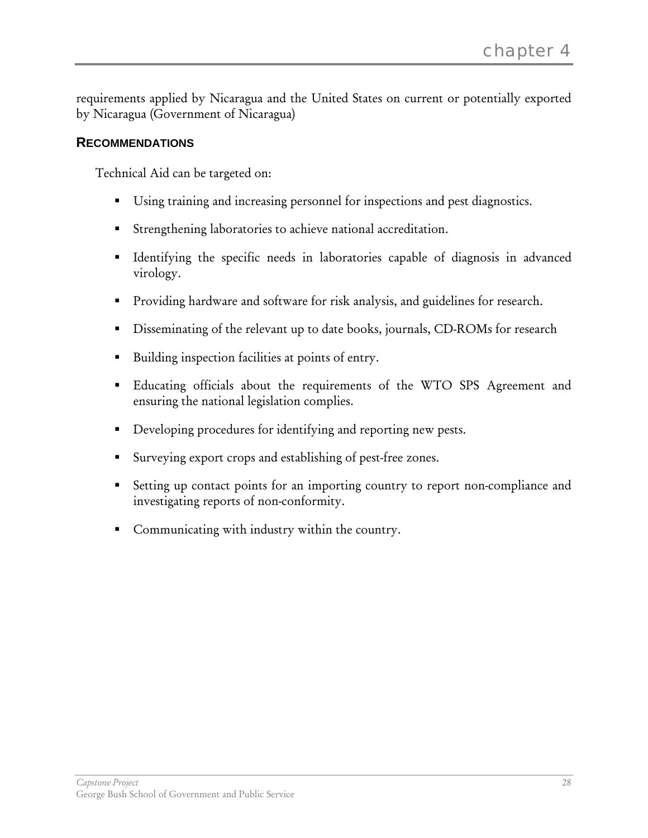requirements applied by Nicaragua and the United States on current or potentially exported by Nicaragua (Government of Nicaragua)

# **RECOMMENDATIONS**

Technical Aid can be targeted on:

- Using training and increasing personnel for inspections and pest diagnostics.
- Strengthening laboratories to achieve national accreditation.
- Identifying the specific needs in laboratories capable of diagnosis in advanced virology.
- Providing hardware and software for risk analysis, and guidelines for research.
- Disseminating of the relevant up to date books, journals, CD-ROMs for research
- Building inspection facilities at points of entry.
- Educating officials about the requirements of the WTO SPS Agreement and ensuring the national legislation complies.
- Developing procedures for identifying and reporting new pests.
- Surveying export crops and establishing of pest-free zones.
- Setting up contact points for an importing country to report non-compliance and investigating reports of non-conformity.
- Communicating with industry within the country.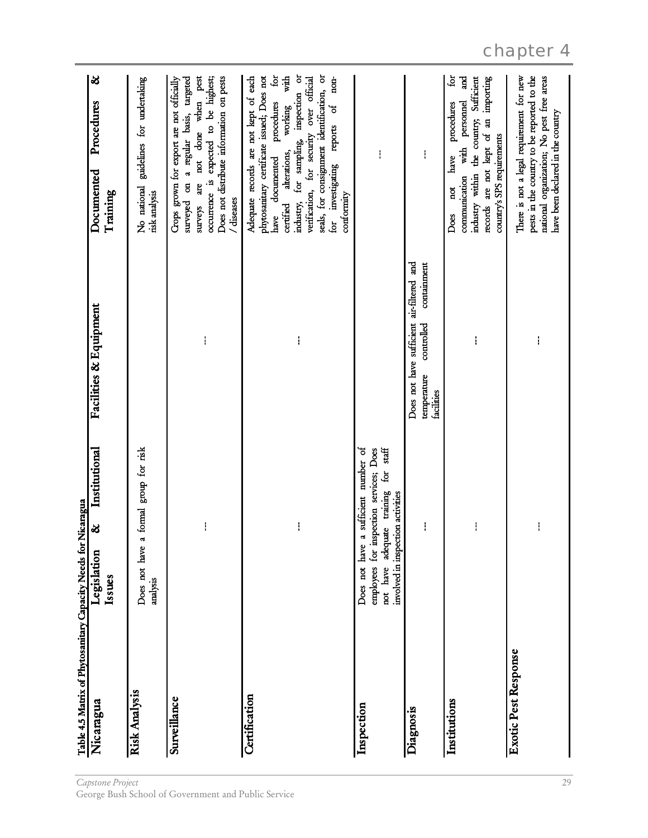| Nicaragua            | Institutional<br><u>ಟ</u><br>Legislation<br>Issues                                                                                                                         | Facilities & Equipment                                                                              | ళ<br>Procedures<br>Documented<br>Training                                                                                                                                                                                                                                                                                                                                            |
|----------------------|----------------------------------------------------------------------------------------------------------------------------------------------------------------------------|-----------------------------------------------------------------------------------------------------|--------------------------------------------------------------------------------------------------------------------------------------------------------------------------------------------------------------------------------------------------------------------------------------------------------------------------------------------------------------------------------------|
| <b>Risk Analysis</b> | a formal group for risk<br>Does not have<br>analysis                                                                                                                       |                                                                                                     | No national guidelines for undertaking<br>risk analysis                                                                                                                                                                                                                                                                                                                              |
| Surveillance         | $\mathbf{I}$                                                                                                                                                               | $\mathbf{I}$                                                                                        | Does not distribute information on pests<br>surveys are not done when pest<br>occurrence is expected to be highest;<br>surveyed on a regular basis, targeted<br>Crops grown for export are not officially<br>/ diseases                                                                                                                                                              |
| Certification        | ł                                                                                                                                                                          | ł                                                                                                   | ð<br>seals, for consignment identification, or<br>$\ddot{q}$<br>phytosanitary certificate issued; Does not<br>with<br>non-<br>Adequate records are not kept of each<br>verification, for security over official<br>industry, for sampling, inspection<br>procedures<br>investigating reports of<br>working<br>certified alterations,<br>documented<br>conformity<br>have<br>.<br>tot |
| Inspection           | a sufficient number of<br>inspection services; Does<br>staff<br>adequate training for<br>involved in inspection activities<br>Does not have<br>employees for i<br>not have |                                                                                                     | I                                                                                                                                                                                                                                                                                                                                                                                    |
| Diagnosis            | ł                                                                                                                                                                          | Does not have sufficient air-filtered and<br>containment<br>controlled<br>temperature<br>facilities | I                                                                                                                                                                                                                                                                                                                                                                                    |
| Institutions         | ł                                                                                                                                                                          | ł                                                                                                   | $\mathbf{p}$<br>ਰੂ<br>industry within the country; Sufficient<br>are not kept of an importing<br>personnel<br>procedures<br>country's SPS requirements<br>communication with<br>have<br>iot<br>records<br>Does                                                                                                                                                                       |
| Exotic Pest Response | ł                                                                                                                                                                          | I                                                                                                   | national organization; No pest free areas<br>There is not a legal requirement for new<br>pests in the country to be reported to the<br>have been declared in the country                                                                                                                                                                                                             |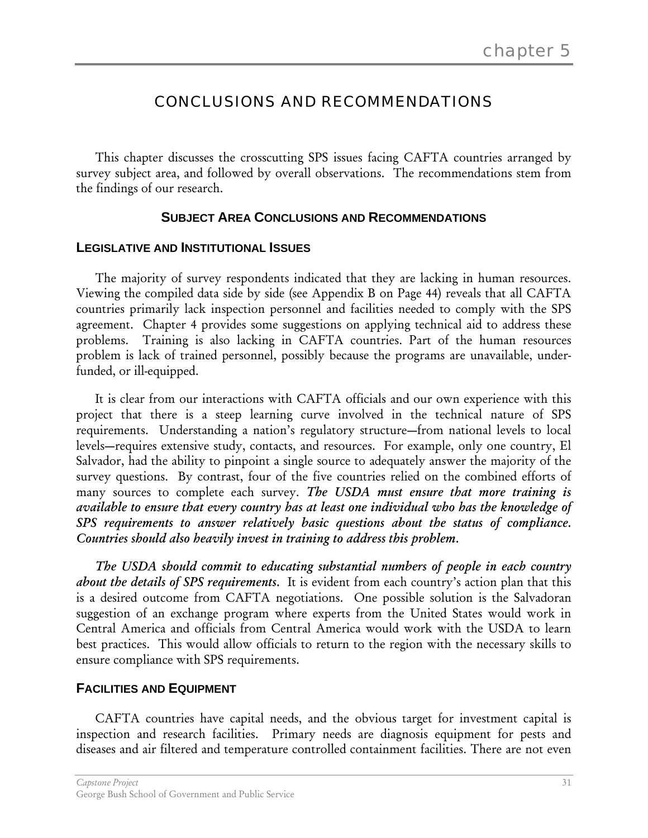# CONCLUSIONS AND RECOMMENDATIONS

This chapter discusses the crosscutting SPS issues facing CAFTA countries arranged by survey subject area, and followed by overall observations. The recommendations stem from the findings of our research.

# **SUBJECT AREA CONCLUSIONS AND RECOMMENDATIONS**

### **LEGISLATIVE AND INSTITUTIONAL ISSUES**

The majority of survey respondents indicated that they are lacking in human resources. Viewing the compiled data side by side (see Appendix B on Page 44) reveals that all CAFTA countries primarily lack inspection personnel and facilities needed to comply with the SPS agreement. Chapter 4 provides some suggestions on applying technical aid to address these problems. Training is also lacking in CAFTA countries. Part of the human resources problem is lack of trained personnel, possibly because the programs are unavailable, underfunded, or ill-equipped.

It is clear from our interactions with CAFTA officials and our own experience with this project that there is a steep learning curve involved in the technical nature of SPS requirements. Understanding a nation's regulatory structure—from national levels to local levels—requires extensive study, contacts, and resources. For example, only one country, El Salvador, had the ability to pinpoint a single source to adequately answer the majority of the survey questions. By contrast, four of the five countries relied on the combined efforts of many sources to complete each survey. *The USDA must ensure that more training is available to ensure that every country has at least one individual who has the knowledge of SPS requirements to answer relatively basic questions about the status of compliance. Countries should also heavily invest in training to address this problem.*

*The USDA should commit to educating substantial numbers of people in each country about the details of SPS requirements.* It is evident from each country's action plan that this is a desired outcome from CAFTA negotiations. One possible solution is the Salvadoran suggestion of an exchange program where experts from the United States would work in Central America and officials from Central America would work with the USDA to learn best practices. This would allow officials to return to the region with the necessary skills to ensure compliance with SPS requirements.

### **FACILITIES AND EQUIPMENT**

CAFTA countries have capital needs, and the obvious target for investment capital is inspection and research facilities. Primary needs are diagnosis equipment for pests and diseases and air filtered and temperature controlled containment facilities. There are not even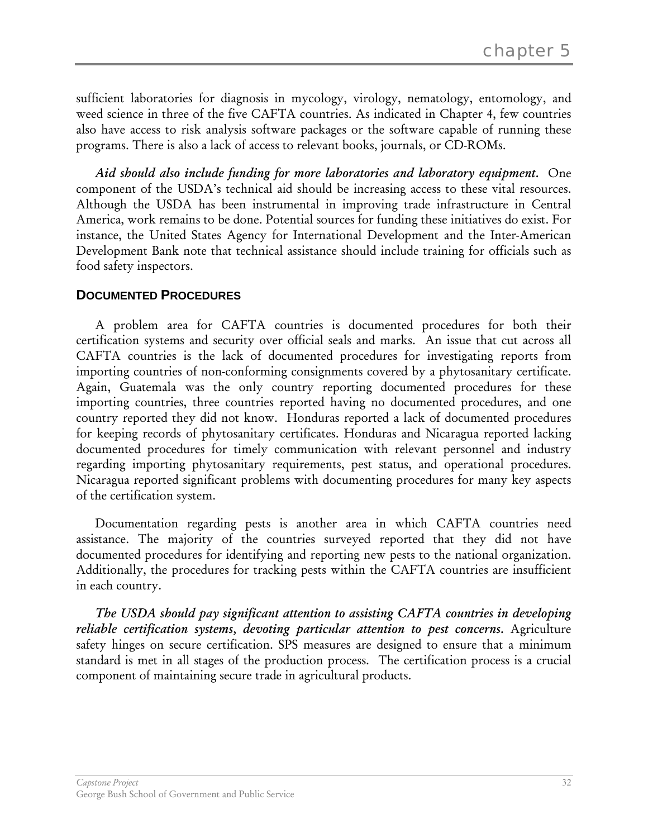sufficient laboratories for diagnosis in mycology, virology, nematology, entomology, and weed science in three of the five CAFTA countries. As indicated in Chapter 4, few countries also have access to risk analysis software packages or the software capable of running these programs. There is also a lack of access to relevant books, journals, or CD-ROMs.

*Aid should also include funding for more laboratories and laboratory equipment.* One component of the USDA's technical aid should be increasing access to these vital resources. Although the USDA has been instrumental in improving trade infrastructure in Central America, work remains to be done. Potential sources for funding these initiatives do exist. For instance, the United States Agency for International Development and the Inter-American Development Bank note that technical assistance should include training for officials such as food safety inspectors.

### **DOCUMENTED PROCEDURES**

A problem area for CAFTA countries is documented procedures for both their certification systems and security over official seals and marks. An issue that cut across all CAFTA countries is the lack of documented procedures for investigating reports from importing countries of non-conforming consignments covered by a phytosanitary certificate. Again, Guatemala was the only country reporting documented procedures for these importing countries, three countries reported having no documented procedures, and one country reported they did not know. Honduras reported a lack of documented procedures for keeping records of phytosanitary certificates. Honduras and Nicaragua reported lacking documented procedures for timely communication with relevant personnel and industry regarding importing phytosanitary requirements, pest status, and operational procedures. Nicaragua reported significant problems with documenting procedures for many key aspects of the certification system.

Documentation regarding pests is another area in which CAFTA countries need assistance. The majority of the countries surveyed reported that they did not have documented procedures for identifying and reporting new pests to the national organization. Additionally, the procedures for tracking pests within the CAFTA countries are insufficient in each country.

*The USDA should pay significant attention to assisting CAFTA countries in developing reliable certification systems, devoting particular attention to pest concerns.* Agriculture safety hinges on secure certification. SPS measures are designed to ensure that a minimum standard is met in all stages of the production process. The certification process is a crucial component of maintaining secure trade in agricultural products.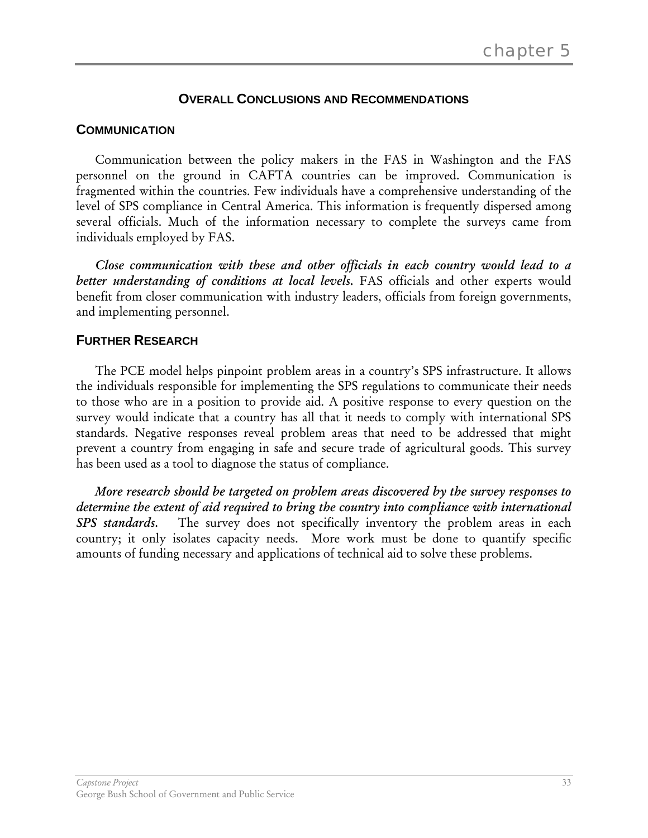# **OVERALL CONCLUSIONS AND RECOMMENDATIONS**

# **COMMUNICATION**

Communication between the policy makers in the FAS in Washington and the FAS personnel on the ground in CAFTA countries can be improved. Communication is fragmented within the countries. Few individuals have a comprehensive understanding of the level of SPS compliance in Central America. This information is frequently dispersed among several officials. Much of the information necessary to complete the surveys came from individuals employed by FAS.

*Close communication with these and other officials in each country would lead to a better understanding of conditions at local levels.* FAS officials and other experts would benefit from closer communication with industry leaders, officials from foreign governments, and implementing personnel.

# **FURTHER RESEARCH**

The PCE model helps pinpoint problem areas in a country's SPS infrastructure. It allows the individuals responsible for implementing the SPS regulations to communicate their needs to those who are in a position to provide aid. A positive response to every question on the survey would indicate that a country has all that it needs to comply with international SPS standards. Negative responses reveal problem areas that need to be addressed that might prevent a country from engaging in safe and secure trade of agricultural goods. This survey has been used as a tool to diagnose the status of compliance.

*More research should be targeted on problem areas discovered by the survey responses to determine the extent of aid required to bring the country into compliance with international SPS standards.* The survey does not specifically inventory the problem areas in each country; it only isolates capacity needs. More work must be done to quantify specific amounts of funding necessary and applications of technical aid to solve these problems.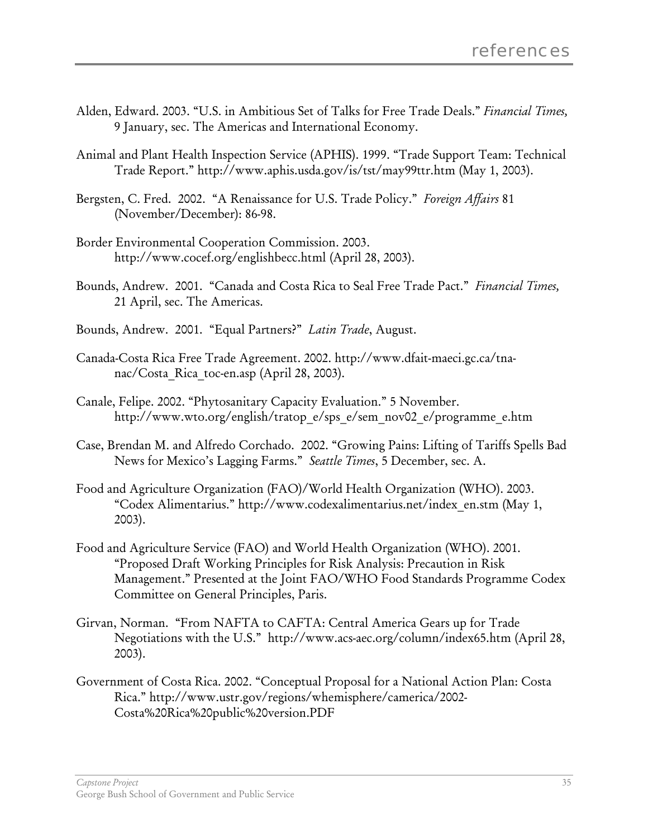- Alden, Edward. 2003. "U.S. in Ambitious Set of Talks for Free Trade Deals." *Financial Times,* 9 January, sec. The Americas and International Economy.
- Animal and Plant Health Inspection Service (APHIS). 1999. "Trade Support Team: Technical Trade Report." http://www.aphis.usda.gov/is/tst/may99ttr.htm (May 1, 2003).
- Bergsten, C. Fred. 2002. "A Renaissance for U.S. Trade Policy." *Foreign Affairs* 81 (November/December): 86-98.
- Border Environmental Cooperation Commission. 2003. http://www.cocef.org/englishbecc.html (April 28, 2003).
- Bounds, Andrew. 2001. "Canada and Costa Rica to Seal Free Trade Pact." *Financial Times,*  21 April, sec. The Americas.
- Bounds, Andrew. 2001. "Equal Partners?" *Latin Trade*, August.
- Canada-Costa Rica Free Trade Agreement. 2002. http://www.dfait-maeci.gc.ca/tnanac/Costa\_Rica\_toc-en.asp (April 28, 2003).
- Canale, Felipe. 2002. "Phytosanitary Capacity Evaluation." 5 November. http://www.wto.org/english/tratop\_e/sps\_e/sem\_nov02\_e/programme\_e.htm
- Case, Brendan M. and Alfredo Corchado. 2002. "Growing Pains: Lifting of Tariffs Spells Bad News for Mexico's Lagging Farms." *Seattle Times*, 5 December, sec. A.
- Food and Agriculture Organization (FAO)/World Health Organization (WHO). 2003. "Codex Alimentarius." http://www.codexalimentarius.net/index\_en.stm (May 1, 2003).
- Food and Agriculture Service (FAO) and World Health Organization (WHO). 2001. "Proposed Draft Working Principles for Risk Analysis: Precaution in Risk Management." Presented at the Joint FAO/WHO Food Standards Programme Codex Committee on General Principles, Paris.
- Girvan, Norman. "From NAFTA to CAFTA: Central America Gears up for Trade Negotiations with the U.S." http://www.acs-aec.org/column/index65.htm (April 28, 2003).
- Government of Costa Rica. 2002. "Conceptual Proposal for a National Action Plan: Costa Rica." http://www.ustr.gov/regions/whemisphere/camerica/2002- Costa%20Rica%20public%20version.PDF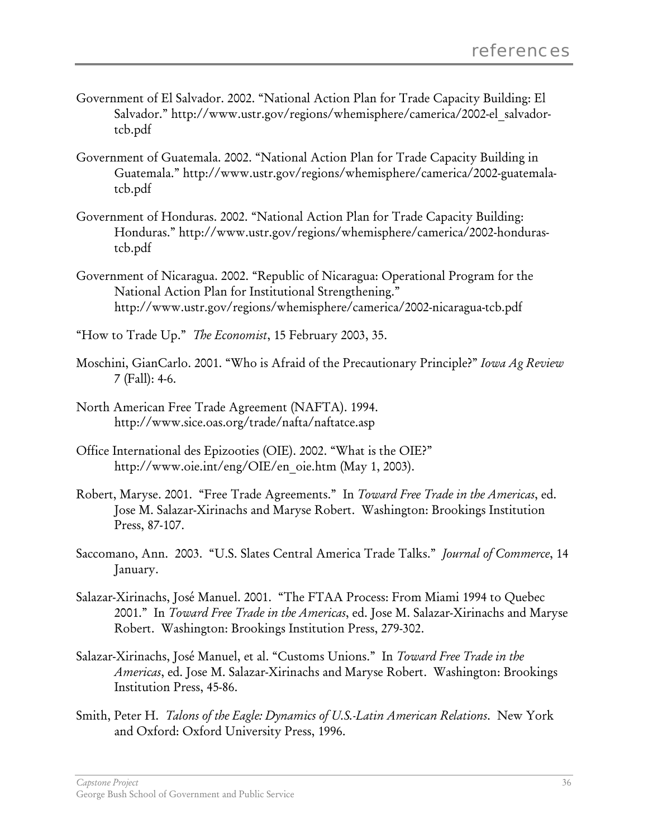- Government of El Salvador. 2002. "National Action Plan for Trade Capacity Building: El Salvador." http://www.ustr.gov/regions/whemisphere/camerica/2002-el\_salvadortcb.pdf
- Government of Guatemala. 2002. "National Action Plan for Trade Capacity Building in Guatemala." http://www.ustr.gov/regions/whemisphere/camerica/2002-guatemalatcb.pdf
- Government of Honduras. 2002. "National Action Plan for Trade Capacity Building: Honduras." http://www.ustr.gov/regions/whemisphere/camerica/2002-hondurastcb.pdf
- Government of Nicaragua. 2002. "Republic of Nicaragua: Operational Program for the National Action Plan for Institutional Strengthening." http://www.ustr.gov/regions/whemisphere/camerica/2002-nicaragua-tcb.pdf
- "How to Trade Up." *The Economist*, 15 February 2003, 35.
- Moschini, GianCarlo. 2001. "Who is Afraid of the Precautionary Principle?" *Iowa Ag Review* 7 (Fall): 4-6.
- North American Free Trade Agreement (NAFTA). 1994. http://www.sice.oas.org/trade/nafta/naftatce.asp
- Office International des Epizooties (OIE). 2002. "What is the OIE?" http://www.oie.int/eng/OIE/en\_oie.htm (May 1, 2003).
- Robert, Maryse. 2001. "Free Trade Agreements." In *Toward Free Trade in the Americas*, ed. Jose M. Salazar-Xirinachs and Maryse Robert. Washington: Brookings Institution Press, 87-107.
- Saccomano, Ann. 2003. "U.S. Slates Central America Trade Talks." *Journal of Commerce*, 14 January.
- Salazar-Xirinachs, José Manuel. 2001. "The FTAA Process: From Miami 1994 to Quebec 2001." In *Toward Free Trade in the Americas*, ed. Jose M. Salazar-Xirinachs and Maryse Robert. Washington: Brookings Institution Press, 279-302.
- Salazar-Xirinachs, José Manuel, et al. "Customs Unions." In *Toward Free Trade in the Americas*, ed. Jose M. Salazar-Xirinachs and Maryse Robert. Washington: Brookings Institution Press, 45-86.
- Smith, Peter H. *Talons of the Eagle: Dynamics of U.S.-Latin American Relations*. New York and Oxford: Oxford University Press, 1996.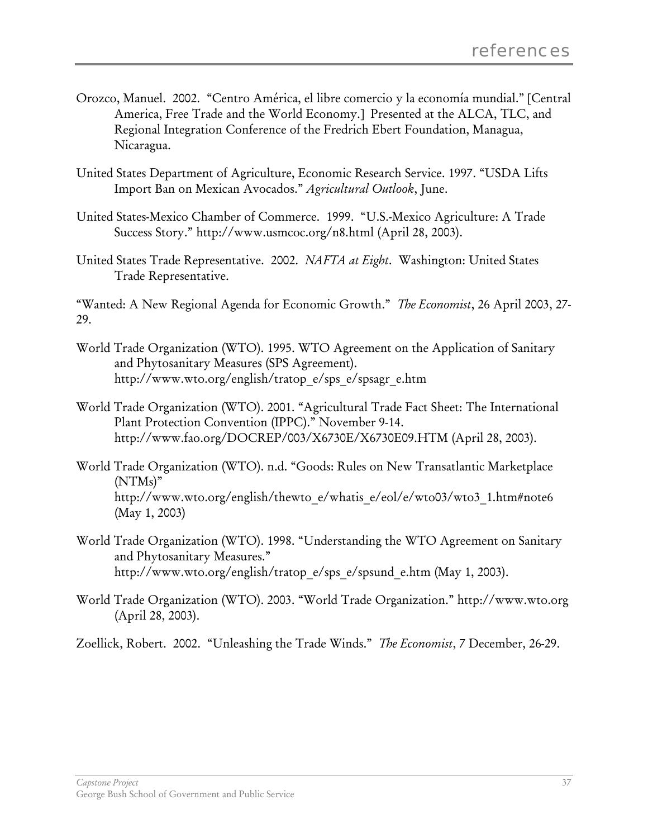- Orozco, Manuel. 2002. "Centro América, el libre comercio y la economía mundial." [Central America, Free Trade and the World Economy.] Presented at the ALCA, TLC, and Regional Integration Conference of the Fredrich Ebert Foundation, Managua, Nicaragua.
- United States Department of Agriculture, Economic Research Service. 1997. "USDA Lifts Import Ban on Mexican Avocados." *Agricultural Outlook*, June.
- United States-Mexico Chamber of Commerce. 1999. "U.S.-Mexico Agriculture: A Trade Success Story." http://www.usmcoc.org/n8.html (April 28, 2003).
- United States Trade Representative. 2002. *NAFTA at Eight*. Washington: United States Trade Representative.

"Wanted: A New Regional Agenda for Economic Growth." *The Economist*, 26 April 2003, 27- 29.

- World Trade Organization (WTO). 1995. WTO Agreement on the Application of Sanitary and Phytosanitary Measures (SPS Agreement). http://www.wto.org/english/tratop\_e/sps\_e/spsagr\_e.htm
- World Trade Organization (WTO). 2001. "Agricultural Trade Fact Sheet: The International Plant Protection Convention (IPPC)." November 9-14. http://www.fao.org/DOCREP/003/X6730E/X6730E09.HTM (April 28, 2003).
- World Trade Organization (WTO). n.d. "Goods: Rules on New Transatlantic Marketplace  $(NTMs)^"$ http://www.wto.org/english/thewto\_e/whatis\_e/eol/e/wto03/wto3\_1.htm#note6 (May 1, 2003)
- World Trade Organization (WTO). 1998. "Understanding the WTO Agreement on Sanitary and Phytosanitary Measures." http://www.wto.org/english/tratop\_e/sps\_e/spsund\_e.htm (May 1, 2003).
- World Trade Organization (WTO). 2003. "World Trade Organization." http://www.wto.org (April 28, 2003).

Zoellick, Robert. 2002. "Unleashing the Trade Winds." *The Economist*, 7 December, 26-29.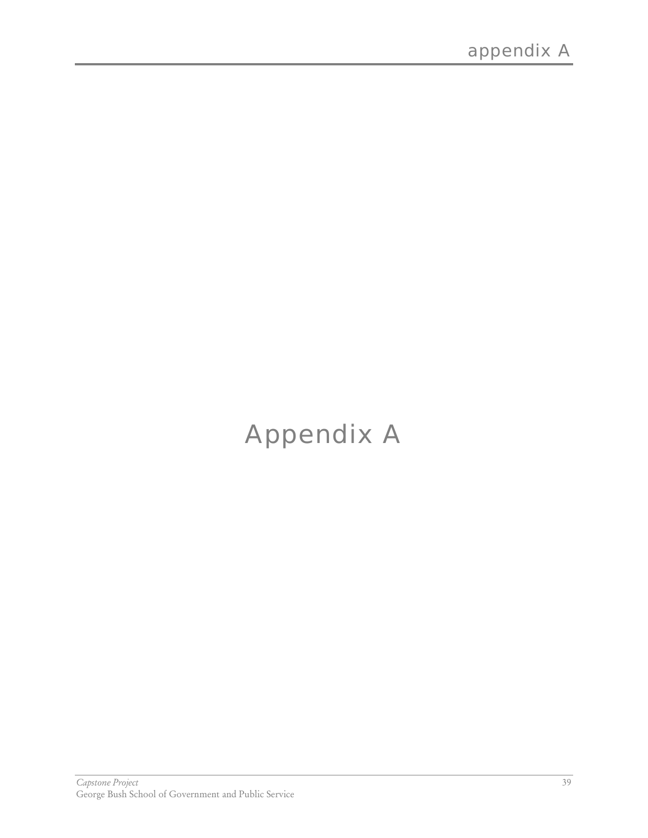# Appendix A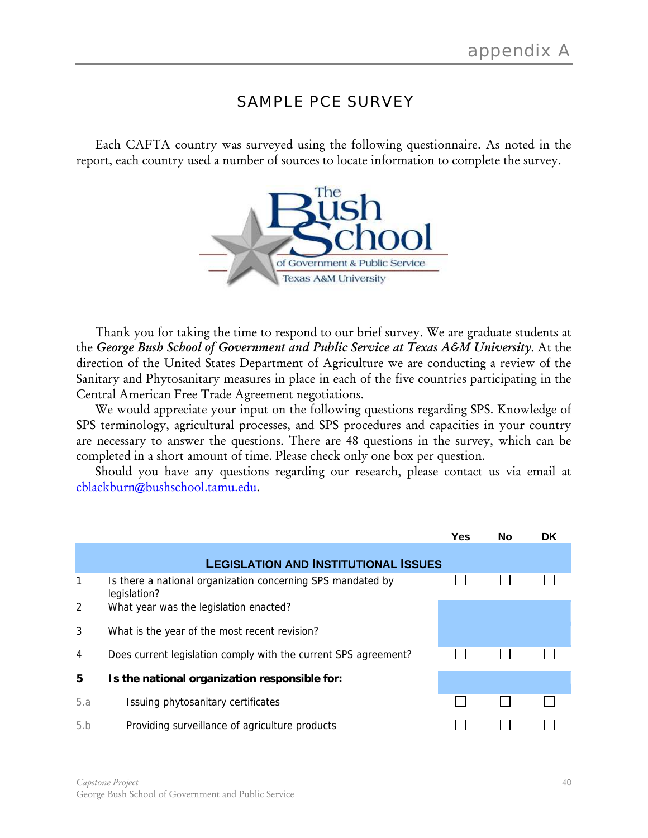# SAMPLE PCE SURVEY

Each CAFTA country was surveyed using the following questionnaire. As noted in the report, each country used a number of sources to locate information to complete the survey.



Thank you for taking the time to respond to our brief survey. We are graduate students at the *George Bush School of Government and Public Service at Texas A&M University.* At the direction of the United States Department of Agriculture we are conducting a review of the Sanitary and Phytosanitary measures in place in each of the five countries participating in the Central American Free Trade Agreement negotiations.

We would appreciate your input on the following questions regarding SPS. Knowledge of SPS terminology, agricultural processes, and SPS procedures and capacities in your country are necessary to answer the questions. There are 48 questions in the survey, which can be completed in a short amount of time. Please check only one box per question.

Should you have any questions regarding our research, please contact us via email at cblackburn@bushschool.tamu.edu.

|               |                                                                             | Yes | No. | <b>DK</b> |
|---------------|-----------------------------------------------------------------------------|-----|-----|-----------|
|               | <b>LEGISLATION AND INSTITUTIONAL ISSUES</b>                                 |     |     |           |
| 1             | Is there a national organization concerning SPS mandated by<br>legislation? |     |     |           |
| $\mathcal{P}$ | What year was the legislation enacted?                                      |     |     |           |
| 3             | What is the year of the most recent revision?                               |     |     |           |
| 4             | Does current legislation comply with the current SPS agreement?             |     |     |           |
| 5             | Is the national organization responsible for:                               |     |     |           |
| 5.a           | Issuing phytosanitary certificates                                          |     |     |           |
| 5.b           | Providing surveillance of agriculture products                              |     |     |           |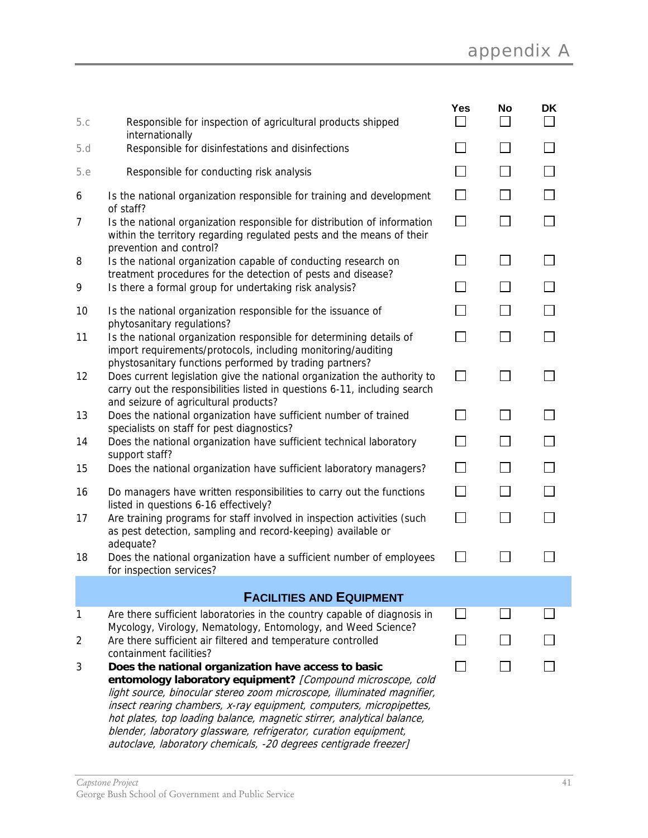| 5.c | Responsible for inspection of agricultural products shipped                                                                                                                                                                                                                                                                                                                                                                                                                                                      | <b>Yes</b>    | <b>No</b>      | <b>DK</b> |
|-----|------------------------------------------------------------------------------------------------------------------------------------------------------------------------------------------------------------------------------------------------------------------------------------------------------------------------------------------------------------------------------------------------------------------------------------------------------------------------------------------------------------------|---------------|----------------|-----------|
| 5.d | internationally<br>Responsible for disinfestations and disinfections                                                                                                                                                                                                                                                                                                                                                                                                                                             |               |                |           |
| 5.e | Responsible for conducting risk analysis                                                                                                                                                                                                                                                                                                                                                                                                                                                                         |               |                |           |
| 6   | Is the national organization responsible for training and development<br>of staff?                                                                                                                                                                                                                                                                                                                                                                                                                               |               |                |           |
| 7   | Is the national organization responsible for distribution of information<br>within the territory regarding regulated pests and the means of their<br>prevention and control?                                                                                                                                                                                                                                                                                                                                     |               |                |           |
| 8   | Is the national organization capable of conducting research on                                                                                                                                                                                                                                                                                                                                                                                                                                                   |               | $\blacksquare$ |           |
| 9   | treatment procedures for the detection of pests and disease?<br>Is there a formal group for undertaking risk analysis?                                                                                                                                                                                                                                                                                                                                                                                           |               |                |           |
| 10  | Is the national organization responsible for the issuance of                                                                                                                                                                                                                                                                                                                                                                                                                                                     |               |                |           |
| 11  | phytosanitary regulations?<br>Is the national organization responsible for determining details of<br>import requirements/protocols, including monitoring/auditing                                                                                                                                                                                                                                                                                                                                                |               |                |           |
| 12  | phystosanitary functions performed by trading partners?<br>Does current legislation give the national organization the authority to<br>carry out the responsibilities listed in questions 6-11, including search                                                                                                                                                                                                                                                                                                 | $\mathcal{L}$ |                |           |
| 13  | and seizure of agricultural products?<br>Does the national organization have sufficient number of trained                                                                                                                                                                                                                                                                                                                                                                                                        |               |                |           |
| 14  | specialists on staff for pest diagnostics?<br>Does the national organization have sufficient technical laboratory                                                                                                                                                                                                                                                                                                                                                                                                |               |                |           |
| 15  | support staff?<br>Does the national organization have sufficient laboratory managers?                                                                                                                                                                                                                                                                                                                                                                                                                            |               |                |           |
| 16  | Do managers have written responsibilities to carry out the functions                                                                                                                                                                                                                                                                                                                                                                                                                                             |               |                |           |
| 17  | listed in questions 6-16 effectively?<br>Are training programs for staff involved in inspection activities (such<br>as pest detection, sampling and record-keeping) available or                                                                                                                                                                                                                                                                                                                                 |               |                |           |
| 18  | adequate?<br>Does the national organization have a sufficient number of employees<br>for inspection services?                                                                                                                                                                                                                                                                                                                                                                                                    |               |                |           |
|     | <b>FACILITIES AND EQUIPMENT</b>                                                                                                                                                                                                                                                                                                                                                                                                                                                                                  |               |                |           |
| 1   | Are there sufficient laboratories in the country capable of diagnosis in                                                                                                                                                                                                                                                                                                                                                                                                                                         |               |                |           |
| 2   | Mycology, Virology, Nematology, Entomology, and Weed Science?<br>Are there sufficient air filtered and temperature controlled                                                                                                                                                                                                                                                                                                                                                                                    |               |                |           |
| 3   | containment facilities?<br>Does the national organization have access to basic<br>entomology laboratory equipment? [Compound microscope, cold<br>light source, binocular stereo zoom microscope, illuminated magnifier,<br>insect rearing chambers, x-ray equipment, computers, micropipettes,<br>hot plates, top loading balance, magnetic stirrer, analytical balance,<br>blender, laboratory glassware, refrigerator, curation equipment,<br>autoclave, laboratory chemicals, -20 degrees centigrade freezer] |               |                |           |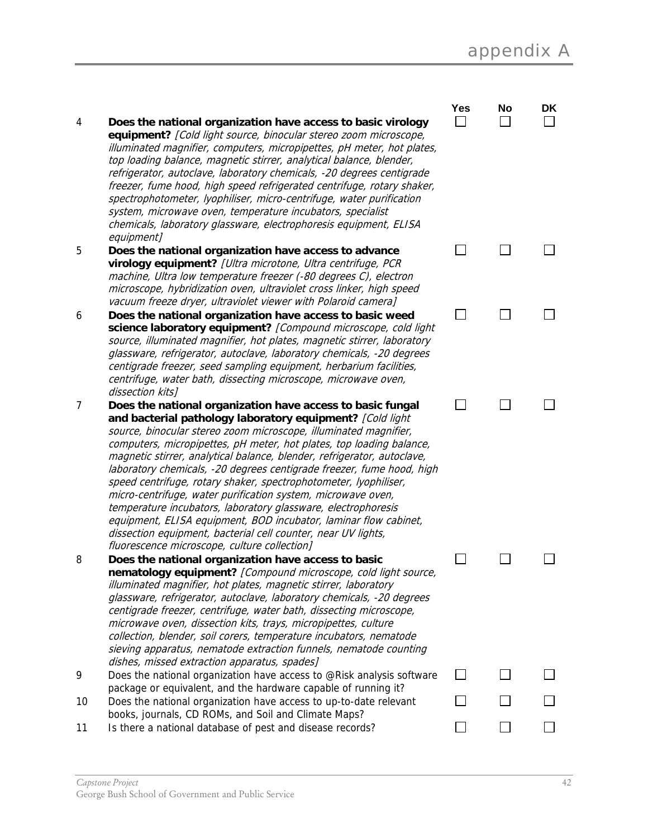**Yes No DK**   $\Box$  $\Box$ П 4 **Does the national organization have access to basic virology equipment?** [Cold light source, binocular stereo zoom microscope, illuminated magnifier, computers, micropipettes, pH meter, hot plates, top loading balance, magnetic stirrer, analytical balance, blender, refrigerator, autoclave, laboratory chemicals, -20 degrees centigrade freezer, fume hood, high speed refrigerated centrifuge, rotary shaker, spectrophotometer, lyophiliser, micro-centrifuge, water purification system, microwave oven, temperature incubators, specialist chemicals, laboratory glassware, electrophoresis equipment, ELISA equipment]  $\Box$  $\Box$ П 5 **Does the national organization have access to advance virology equipment?** [Ultra microtone, Ultra centrifuge, PCR machine, Ultra low temperature freezer (-80 degrees C), electron microscope, hybridization oven, ultraviolet cross linker, high speed vacuum freeze dryer, ultraviolet viewer with Polaroid camera]  $\Box$  $\Box$  $\Box$ 6 **Does the national organization have access to basic weed**  science laboratory equipment? [Compound microscope, cold light source, illuminated magnifier, hot plates, magnetic stirrer, laboratory glassware, refrigerator, autoclave, laboratory chemicals, -20 degrees centigrade freezer, seed sampling equipment, herbarium facilities, centrifuge, water bath, dissecting microscope, microwave oven, dissection kits] 7 **Does the national organization have access to basic fungal**   $\Box$  $\Box$  $\Box$ and bacterial pathology laboratory equipment? *[Cold light* source, binocular stereo zoom microscope, illuminated magnifier, computers, micropipettes, pH meter, hot plates, top loading balance, magnetic stirrer, analytical balance, blender, refrigerator, autoclave, laboratory chemicals, -20 degrees centigrade freezer, fume hood, high speed centrifuge, rotary shaker, spectrophotometer, lyophiliser, micro-centrifuge, water purification system, microwave oven, temperature incubators, laboratory glassware, electrophoresis equipment, ELISA equipment, BOD incubator, laminar flow cabinet, dissection equipment, bacterial cell counter, near UV lights, fluorescence microscope, culture collection] 8 **Does the national organization have access to basic**   $\Box$  $\Box$  $\Box$ **nematology equipment?** [Compound microscope, cold light source, illuminated magnifier, hot plates, magnetic stirrer, laboratory glassware, refrigerator, autoclave, laboratory chemicals, -20 degrees centigrade freezer, centrifuge, water bath, dissecting microscope, microwave oven, dissection kits, trays, micropipettes, culture collection, blender, soil corers, temperature incubators, nematode sieving apparatus, nematode extraction funnels, nematode counting dishes, missed extraction apparatus, spades] П 9 Does the national organization have access to @Risk analysis software  $\Box$ П package or equivalent, and the hardware capable of running it? 10 Does the national organization have access to up-to-date relevant  $\Box$  $\Box$  $\Box$ books, journals, CD ROMs, and Soil and Climate Maps? 11 Is there a national database of pest and disease records?  $\Box$  $\Box$  $\Box$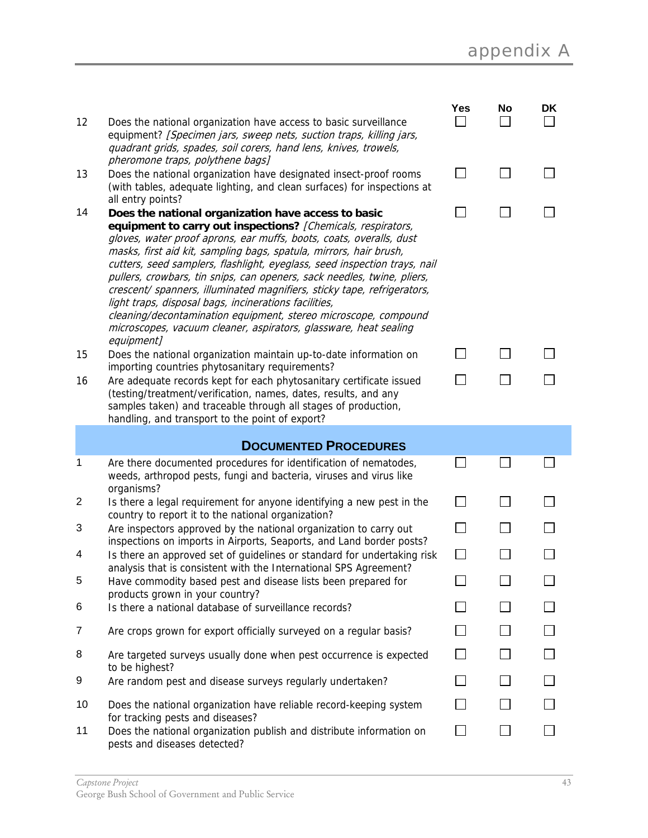|                         |                                                                                                                                                                                                                                                                                                                                                                                                                                                                                                                                                                                                                                                                                                                  | Yes    | No             | DK |
|-------------------------|------------------------------------------------------------------------------------------------------------------------------------------------------------------------------------------------------------------------------------------------------------------------------------------------------------------------------------------------------------------------------------------------------------------------------------------------------------------------------------------------------------------------------------------------------------------------------------------------------------------------------------------------------------------------------------------------------------------|--------|----------------|----|
| 12                      | Does the national organization have access to basic surveillance<br>equipment? [Specimen jars, sweep nets, suction traps, killing jars,<br>quadrant grids, spades, soil corers, hand lens, knives, trowels,<br>pheromone traps, polythene bags]                                                                                                                                                                                                                                                                                                                                                                                                                                                                  |        |                |    |
| 13                      | Does the national organization have designated insect-proof rooms<br>(with tables, adequate lighting, and clean surfaces) for inspections at<br>all entry points?                                                                                                                                                                                                                                                                                                                                                                                                                                                                                                                                                |        |                |    |
| 14                      | Does the national organization have access to basic<br>equipment to carry out inspections? [Chemicals, respirators,<br>gloves, water proof aprons, ear muffs, boots, coats, overalls, dust<br>masks, first aid kit, sampling bags, spatula, mirrors, hair brush,<br>cutters, seed samplers, flashlight, eyeglass, seed inspection trays, nail<br>pullers, crowbars, tin snips, can openers, sack needles, twine, pliers,<br>crescent/spanners, illuminated magnifiers, sticky tape, refrigerators,<br>light traps, disposal bags, incinerations facilities,<br>cleaning/decontamination equipment, stereo microscope, compound<br>microscopes, vacuum cleaner, aspirators, glassware, heat sealing<br>equipment] |        |                |    |
| 15                      | Does the national organization maintain up-to-date information on<br>importing countries phytosanitary requirements?                                                                                                                                                                                                                                                                                                                                                                                                                                                                                                                                                                                             |        |                |    |
| 16                      | Are adequate records kept for each phytosanitary certificate issued<br>(testing/treatment/verification, names, dates, results, and any<br>samples taken) and traceable through all stages of production,<br>handling, and transport to the point of export?                                                                                                                                                                                                                                                                                                                                                                                                                                                      |        |                |    |
|                         | <b>DOCUMENTED PROCEDURES</b>                                                                                                                                                                                                                                                                                                                                                                                                                                                                                                                                                                                                                                                                                     |        |                |    |
| 1                       | Are there documented procedures for identification of nematodes,<br>weeds, arthropod pests, fungi and bacteria, viruses and virus like<br>organisms?                                                                                                                                                                                                                                                                                                                                                                                                                                                                                                                                                             |        |                |    |
| $\overline{\mathbf{c}}$ | Is there a legal requirement for anyone identifying a new pest in the<br>country to report it to the national organization?                                                                                                                                                                                                                                                                                                                                                                                                                                                                                                                                                                                      |        | $\blacksquare$ |    |
| 3                       | Are inspectors approved by the national organization to carry out<br>inspections on imports in Airports, Seaports, and Land border posts?                                                                                                                                                                                                                                                                                                                                                                                                                                                                                                                                                                        |        |                |    |
| 4                       | Is there an approved set of guidelines or standard for undertaking risk<br>analysis that is consistent with the International SPS Agreement?                                                                                                                                                                                                                                                                                                                                                                                                                                                                                                                                                                     |        |                |    |
| 5                       | Have commodity based pest and disease lists been prepared for<br>products grown in your country?                                                                                                                                                                                                                                                                                                                                                                                                                                                                                                                                                                                                                 | $\Box$ |                |    |
| 6                       | Is there a national database of surveillance records?                                                                                                                                                                                                                                                                                                                                                                                                                                                                                                                                                                                                                                                            |        |                |    |
| 7                       | Are crops grown for export officially surveyed on a regular basis?                                                                                                                                                                                                                                                                                                                                                                                                                                                                                                                                                                                                                                               |        |                |    |
| 8                       | Are targeted surveys usually done when pest occurrence is expected<br>to be highest?                                                                                                                                                                                                                                                                                                                                                                                                                                                                                                                                                                                                                             |        |                |    |
| 9                       | Are random pest and disease surveys regularly undertaken?                                                                                                                                                                                                                                                                                                                                                                                                                                                                                                                                                                                                                                                        |        |                |    |
| 10                      | Does the national organization have reliable record-keeping system<br>for tracking pests and diseases?                                                                                                                                                                                                                                                                                                                                                                                                                                                                                                                                                                                                           |        |                |    |
| 11                      | Does the national organization publish and distribute information on<br>pests and diseases detected?                                                                                                                                                                                                                                                                                                                                                                                                                                                                                                                                                                                                             |        |                |    |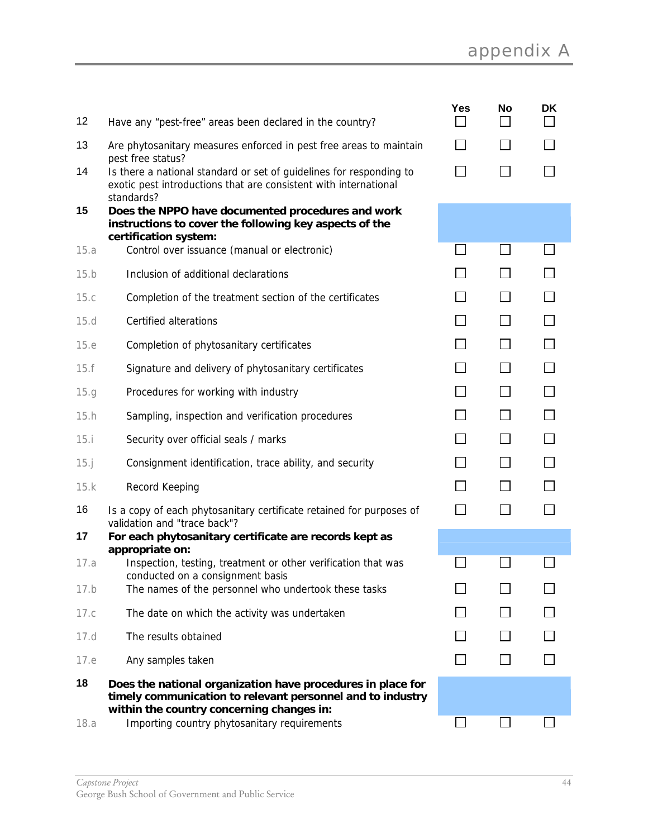# appendix A

| 12   | Have any "pest-free" areas been declared in the country?                                                                                                                   | <b>Yes</b> | <b>No</b> | DK |
|------|----------------------------------------------------------------------------------------------------------------------------------------------------------------------------|------------|-----------|----|
| 13   | Are phytosanitary measures enforced in pest free areas to maintain                                                                                                         |            |           |    |
| 14   | pest free status?<br>Is there a national standard or set of guidelines for responding to<br>exotic pest introductions that are consistent with international<br>standards? |            |           |    |
| 15   | Does the NPPO have documented procedures and work<br>instructions to cover the following key aspects of the<br>certification system:                                       |            |           |    |
| 15.a | Control over issuance (manual or electronic)                                                                                                                               |            |           |    |
| 15.b | Inclusion of additional declarations                                                                                                                                       |            |           |    |
| 15.c | Completion of the treatment section of the certificates                                                                                                                    |            |           |    |
| 15.d | <b>Certified alterations</b>                                                                                                                                               |            |           |    |
| 15.e | Completion of phytosanitary certificates                                                                                                                                   |            |           |    |
| 15.f | Signature and delivery of phytosanitary certificates                                                                                                                       |            |           |    |
| 15.g | Procedures for working with industry                                                                                                                                       |            |           |    |
| 15.h | Sampling, inspection and verification procedures                                                                                                                           |            |           | П  |
| 15.i | Security over official seals / marks                                                                                                                                       |            |           | П  |
| 15.j | Consignment identification, trace ability, and security                                                                                                                    |            |           |    |
| 15.k | Record Keeping                                                                                                                                                             |            |           |    |
| 16   | Is a copy of each phytosanitary certificate retained for purposes of<br>validation and "trace back"?                                                                       |            |           |    |
| 17   | For each phytosanitary certificate are records kept as                                                                                                                     |            |           |    |
| 17.a | appropriate on:<br>Inspection, testing, treatment or other verification that was                                                                                           |            |           |    |
| 17.b | conducted on a consignment basis<br>The names of the personnel who undertook these tasks                                                                                   |            |           |    |
| 17.c | The date on which the activity was undertaken                                                                                                                              |            |           |    |
| 17.d | The results obtained                                                                                                                                                       |            |           |    |
| 17.e | Any samples taken                                                                                                                                                          |            |           |    |
| 18   | Does the national organization have procedures in place for<br>timely communication to relevant personnel and to industry<br>within the country concerning changes in:     |            |           |    |
| 18.a | Importing country phytosanitary requirements                                                                                                                               |            |           |    |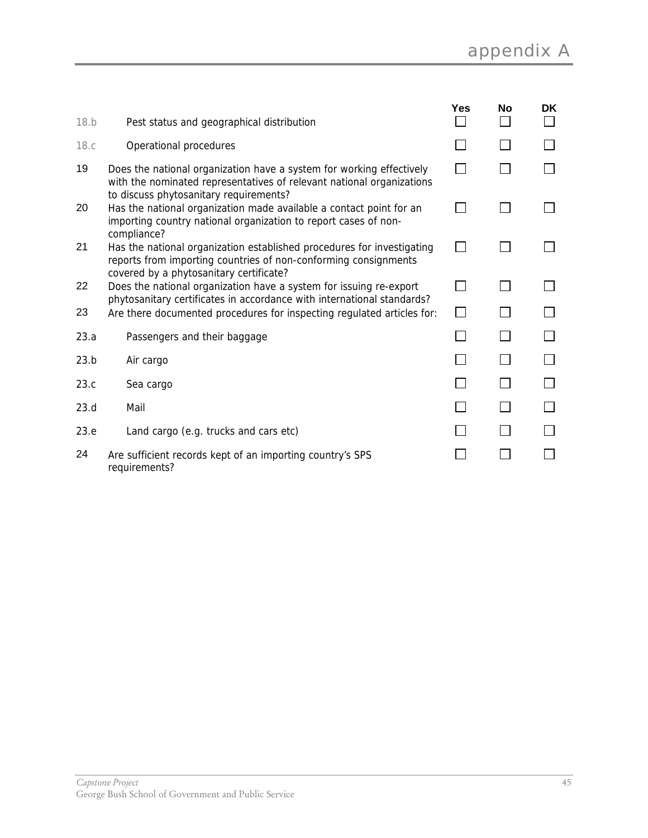| 18.b | Pest status and geographical distribution                                                                                                                                               | Yes            | No | <b>DK</b> |
|------|-----------------------------------------------------------------------------------------------------------------------------------------------------------------------------------------|----------------|----|-----------|
| 18.c | Operational procedures                                                                                                                                                                  |                |    |           |
| 19   | Does the national organization have a system for working effectively<br>with the nominated representatives of relevant national organizations<br>to discuss phytosanitary requirements? |                |    |           |
| 20   | Has the national organization made available a contact point for an<br>importing country national organization to report cases of non-<br>compliance?                                   |                |    |           |
| 21   | Has the national organization established procedures for investigating<br>reports from importing countries of non-conforming consignments<br>covered by a phytosanitary certificate?    | $\Box$         |    |           |
| 22   | Does the national organization have a system for issuing re-export                                                                                                                      | $\blacksquare$ |    |           |
| 23   | phytosanitary certificates in accordance with international standards?<br>Are there documented procedures for inspecting regulated articles for:                                        | $\mathbf{I}$   |    |           |
| 23.a | Passengers and their baggage                                                                                                                                                            |                |    |           |
| 23.b | Air cargo                                                                                                                                                                               |                |    |           |
| 23.c | Sea cargo                                                                                                                                                                               |                |    |           |
| 23.d | Mail                                                                                                                                                                                    |                |    |           |
| 23.e | Land cargo (e.g. trucks and cars etc)                                                                                                                                                   |                |    |           |
| 24   | Are sufficient records kept of an importing country's SPS<br>requirements?                                                                                                              |                |    |           |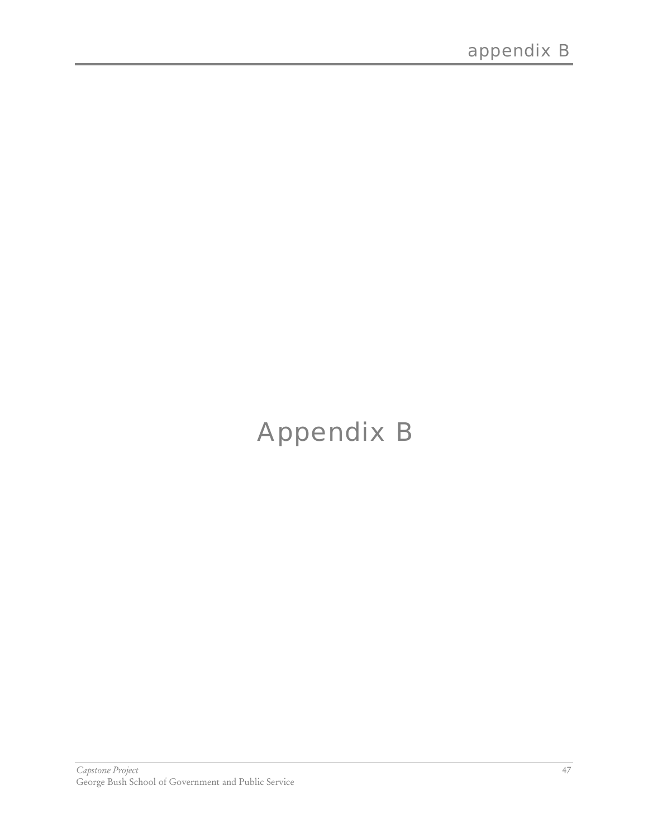# Appendix B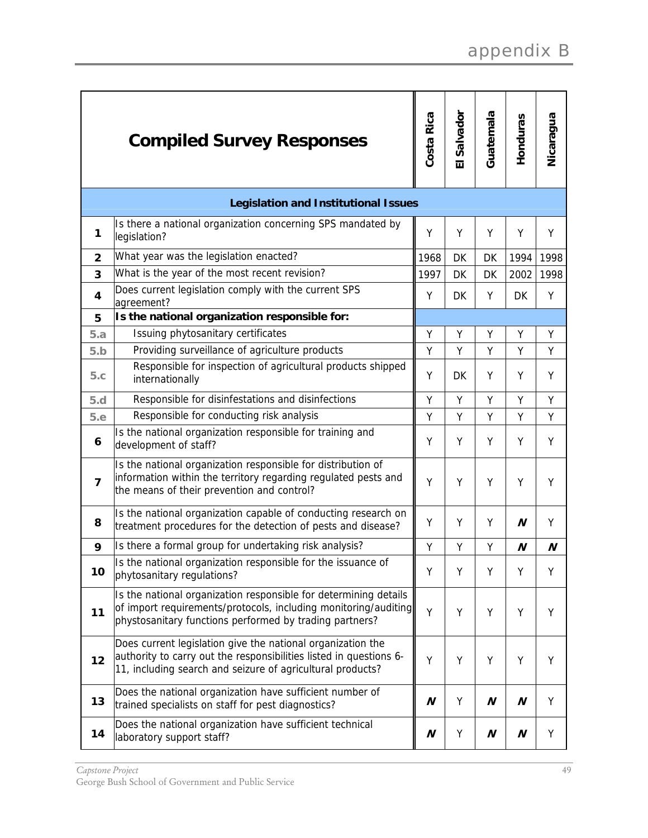|                | <b>Compiled Survey Responses</b>                                                                                                                                                                | Costa Rica       | Salvador<br>$\overline{\mathbf{u}}$ | Guatemala | Honduras         | Nicaragua        |
|----------------|-------------------------------------------------------------------------------------------------------------------------------------------------------------------------------------------------|------------------|-------------------------------------|-----------|------------------|------------------|
|                | <b>Legislation and Institutional Issues</b>                                                                                                                                                     |                  |                                     |           |                  |                  |
| 1              | Is there a national organization concerning SPS mandated by<br>legislation?                                                                                                                     | Y                | Y                                   | Υ         | Υ                | Y                |
| $\mathbf{2}$   | What year was the legislation enacted?                                                                                                                                                          | 1968             | DK                                  | DK        | 1994             | 1998             |
| 3              | What is the year of the most recent revision?                                                                                                                                                   | 1997             | DK                                  | <b>DK</b> | 2002             | 1998             |
| 4              | Does current legislation comply with the current SPS<br>agreement?                                                                                                                              | Y                | DK                                  | Y         | DK               | Y                |
| 5              | Is the national organization responsible for:                                                                                                                                                   |                  |                                     |           |                  |                  |
| 5.a            | Issuing phytosanitary certificates                                                                                                                                                              | Υ                | Υ                                   | Υ         | Υ                | Υ                |
| 5.b            | Providing surveillance of agriculture products                                                                                                                                                  | Y                | Y                                   | Y         | Υ                | Y                |
| 5.c            | Responsible for inspection of agricultural products shipped<br>internationally                                                                                                                  | Y                | DK                                  | Υ         | Υ                | Y                |
| 5.d            | Responsible for disinfestations and disinfections                                                                                                                                               | Υ                | Υ                                   | Υ         | Υ                | Y                |
| 5.e            | Responsible for conducting risk analysis                                                                                                                                                        | Υ                | Υ                                   | Υ         | Υ                | Υ                |
| 6              | Is the national organization responsible for training and<br>development of staff?                                                                                                              | Y                | Y                                   | Υ         | Υ                | Y                |
| $\overline{7}$ | Is the national organization responsible for distribution of<br>information within the territory regarding regulated pests and<br>the means of their prevention and control?                    | Y                | Υ                                   | Υ         | Y                | Y                |
| 8              | Is the national organization capable of conducting research on<br>treatment procedures for the detection of pests and disease?                                                                  | Υ                | Υ                                   | Υ         | $\boldsymbol{N}$ | Y                |
| 9              | Is there a formal group for undertaking risk analysis?                                                                                                                                          | Υ                | Υ                                   | Υ         | $\boldsymbol{N}$ | $\boldsymbol{N}$ |
| 10             | Is the national organization responsible for the issuance of<br>phytosanitary regulations?                                                                                                      | Υ                | Υ                                   | Υ         | Υ                | Υ                |
| 11             | Is the national organization responsible for determining details<br>of import requirements/protocols, including monitoring/auditing<br>phystosanitary functions performed by trading partners?  | Y                | Y                                   | Y         | Υ                | Y                |
| 12             | Does current legislation give the national organization the<br>authority to carry out the responsibilities listed in questions 6-<br>11, including search and seizure of agricultural products? | Y                | Υ                                   | Υ         | Υ                | Y                |
| 13             | Does the national organization have sufficient number of<br>trained specialists on staff for pest diagnostics?                                                                                  | $\boldsymbol{N}$ | Y                                   | N         | $\pmb N$         | Υ                |
| 14             | Does the national organization have sufficient technical<br>laboratory support staff?                                                                                                           | N                | Υ                                   | N         | N                | Υ                |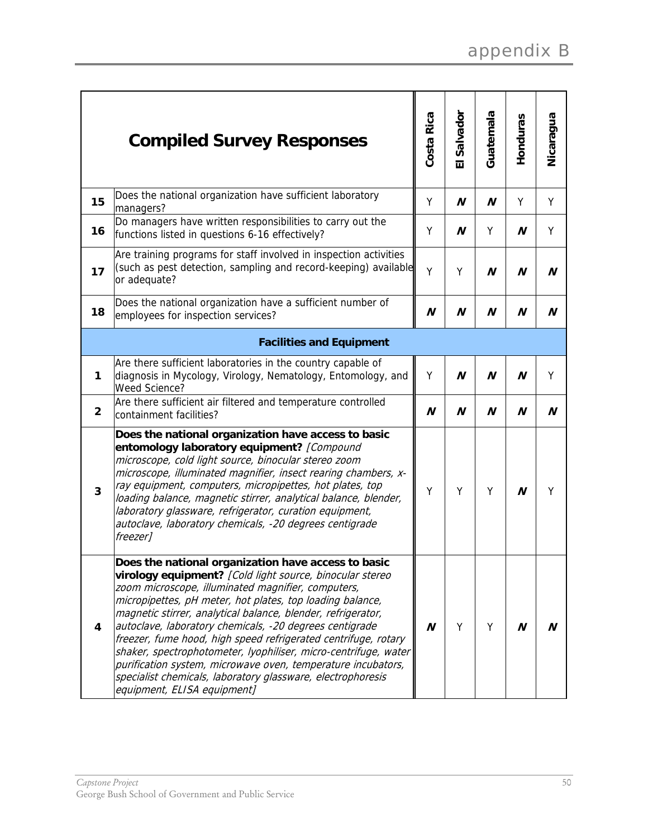|                | <b>Compiled Survey Responses</b>                                                                                                                                                                                                                                                                                                                                                                                                                                                                                                                                                                                                                                 | Costa Rica       | El Salvador      | Guatemala        | Honduras         | Nicaragua |
|----------------|------------------------------------------------------------------------------------------------------------------------------------------------------------------------------------------------------------------------------------------------------------------------------------------------------------------------------------------------------------------------------------------------------------------------------------------------------------------------------------------------------------------------------------------------------------------------------------------------------------------------------------------------------------------|------------------|------------------|------------------|------------------|-----------|
| 15             | Does the national organization have sufficient laboratory<br>managers?                                                                                                                                                                                                                                                                                                                                                                                                                                                                                                                                                                                           | Y                | $\boldsymbol{N}$ | $\boldsymbol{N}$ | Y                | Y         |
| 16             | Do managers have written responsibilities to carry out the<br>functions listed in questions 6-16 effectively?                                                                                                                                                                                                                                                                                                                                                                                                                                                                                                                                                    | Υ                | $\boldsymbol{N}$ | Υ                | $\boldsymbol{N}$ | Y         |
| 17             | Are training programs for staff involved in inspection activities<br>(such as pest detection, sampling and record-keeping) available<br>or adequate?                                                                                                                                                                                                                                                                                                                                                                                                                                                                                                             | Y                | Y                | $\boldsymbol{N}$ | $\boldsymbol{N}$ | N         |
| 18             | Does the national organization have a sufficient number of<br>employees for inspection services?                                                                                                                                                                                                                                                                                                                                                                                                                                                                                                                                                                 | $\boldsymbol{N}$ | N                | N                | $\boldsymbol{N}$ | N         |
|                | <b>Facilities and Equipment</b>                                                                                                                                                                                                                                                                                                                                                                                                                                                                                                                                                                                                                                  |                  |                  |                  |                  |           |
| $\mathbf{1}$   | Are there sufficient laboratories in the country capable of<br>diagnosis in Mycology, Virology, Nematology, Entomology, and<br>Weed Science?                                                                                                                                                                                                                                                                                                                                                                                                                                                                                                                     | Υ                | $\boldsymbol{N}$ | N                | $\boldsymbol{N}$ | Y         |
| $\overline{2}$ | Are there sufficient air filtered and temperature controlled<br>containment facilities?                                                                                                                                                                                                                                                                                                                                                                                                                                                                                                                                                                          | N                | $\boldsymbol{N}$ | N                | N                | N         |
| $\overline{3}$ | Does the national organization have access to basic<br>entomology laboratory equipment? [Compound<br>microscope, cold light source, binocular stereo zoom<br>microscope, illuminated magnifier, insect rearing chambers, x-<br>ray equipment, computers, micropipettes, hot plates, top<br>loading balance, magnetic stirrer, analytical balance, blender,<br>laboratory glassware, refrigerator, curation equipment,<br>autoclave, laboratory chemicals, -20 degrees centigrade<br>freezer]                                                                                                                                                                     | Υ                | Y                | Υ                | $\boldsymbol{N}$ | Y         |
| 4              | Does the national organization have access to basic<br>virology equipment? [Cold light source, binocular stereo<br>zoom microscope, illuminated magnifier, computers,<br>micropipettes, pH meter, hot plates, top loading balance,<br>magnetic stirrer, analytical balance, blender, refrigerator,<br>autoclave, laboratory chemicals, -20 degrees centigrade<br>freezer, fume hood, high speed refrigerated centrifuge, rotary<br>shaker, spectrophotometer, lyophiliser, micro-centrifuge, water<br>purification system, microwave oven, temperature incubators,<br>specialist chemicals, laboratory glassware, electrophoresis<br>equipment, ELISA equipment] | $\boldsymbol{N}$ | Y                | Y                | $\boldsymbol{N}$ | N         |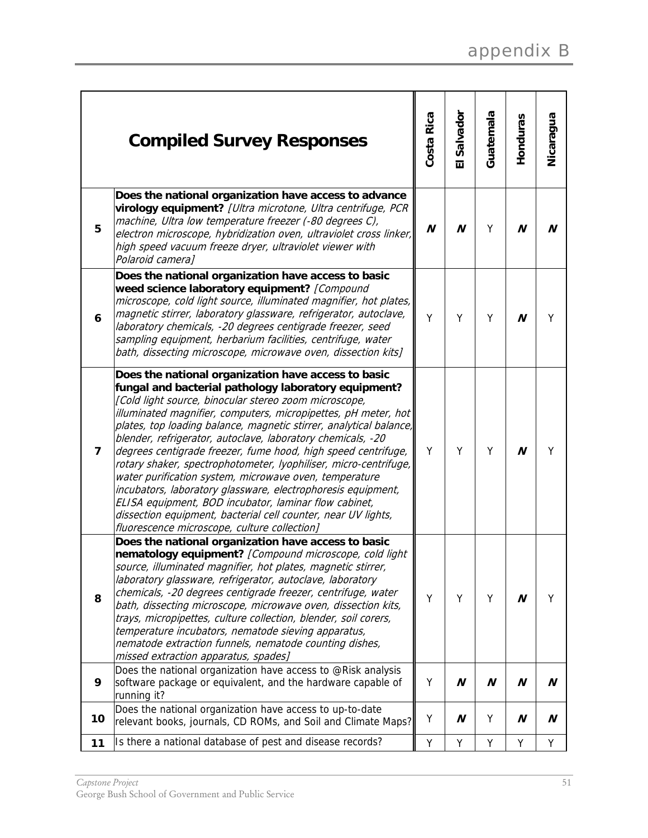|                | <b>Compiled Survey Responses</b>                                                                                                                                                                                                                                                                                                                                                                                                                                                                                                                                                                                                                                                                                                                                                                                     | Costa Rica       | Salvador<br>靣    | Guatemala | Honduras         | Nicaragua |
|----------------|----------------------------------------------------------------------------------------------------------------------------------------------------------------------------------------------------------------------------------------------------------------------------------------------------------------------------------------------------------------------------------------------------------------------------------------------------------------------------------------------------------------------------------------------------------------------------------------------------------------------------------------------------------------------------------------------------------------------------------------------------------------------------------------------------------------------|------------------|------------------|-----------|------------------|-----------|
| 5              | Does the national organization have access to advance<br>virology equipment? [Ultra microtone, Ultra centrifuge, PCR<br>machine, Ultra low temperature freezer (-80 degrees C),<br>electron microscope, hybridization oven, ultraviolet cross linker,<br>high speed vacuum freeze dryer, ultraviolet viewer with<br>Polaroid camera]                                                                                                                                                                                                                                                                                                                                                                                                                                                                                 | $\boldsymbol{N}$ | $\boldsymbol{N}$ | Y         | $\boldsymbol{N}$ | N         |
| 6              | Does the national organization have access to basic<br>weed science laboratory equipment? [Compound<br>microscope, cold light source, illuminated magnifier, hot plates,<br>magnetic stirrer, laboratory glassware, refrigerator, autoclave,<br>laboratory chemicals, -20 degrees centigrade freezer, seed<br>sampling equipment, herbarium facilities, centrifuge, water<br>bath, dissecting microscope, microwave oven, dissection kits]                                                                                                                                                                                                                                                                                                                                                                           | Y                | Y                | Y         | $\boldsymbol{N}$ | Υ         |
| $\overline{7}$ | Does the national organization have access to basic<br>fungal and bacterial pathology laboratory equipment?<br>[Cold light source, binocular stereo zoom microscope,<br>illuminated magnifier, computers, micropipettes, pH meter, hot<br>plates, top loading balance, magnetic stirrer, analytical balance,<br>blender, refrigerator, autoclave, laboratory chemicals, -20<br>degrees centigrade freezer, fume hood, high speed centrifuge,<br>rotary shaker, spectrophotometer, lyophiliser, micro-centrifuge,<br>water purification system, microwave oven, temperature<br>incubators, laboratory glassware, electrophoresis equipment,<br>ELISA equipment, BOD incubator, laminar flow cabinet,<br>dissection equipment, bacterial cell counter, near UV lights,<br>fluorescence microscope, culture collection] | Y                | Y                | Y         | $\boldsymbol{N}$ | Υ         |
| 8              | Does the national organization have access to basic<br>nematology equipment? [Compound microscope, cold light<br>source, illuminated magnifier, hot plates, magnetic stirrer,<br>laboratory glassware, refrigerator, autoclave, laboratory<br>chemicals, -20 degrees centigrade freezer, centrifuge, water<br>bath, dissecting microscope, microwave oven, dissection kits,<br>trays, micropipettes, culture collection, blender, soil corers,<br>temperature incubators, nematode sieving apparatus,<br>nematode extraction funnels, nematode counting dishes,<br>missed extraction apparatus, spades]<br>Does the national organization have access to @Risk analysis                                                                                                                                              | Υ                | Y                | Y         | $\boldsymbol{N}$ | Υ         |
| 9              | software package or equivalent, and the hardware capable of<br>running it?                                                                                                                                                                                                                                                                                                                                                                                                                                                                                                                                                                                                                                                                                                                                           | Υ                | N                | N         | N                | N         |
| 10             | Does the national organization have access to up-to-date<br>relevant books, journals, CD ROMs, and Soil and Climate Maps?                                                                                                                                                                                                                                                                                                                                                                                                                                                                                                                                                                                                                                                                                            | Υ                | $\boldsymbol{N}$ | Υ         | N                | N         |
| 11             | Is there a national database of pest and disease records?                                                                                                                                                                                                                                                                                                                                                                                                                                                                                                                                                                                                                                                                                                                                                            | Υ                | Υ                | Υ         | Υ                | Υ         |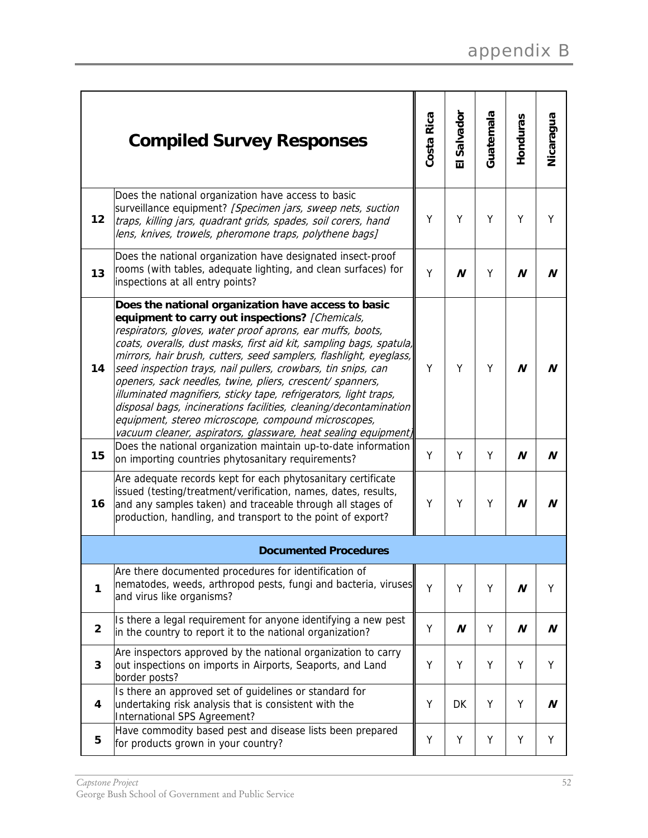|              | <b>Compiled Survey Responses</b>                                                                                                                                                                                                                                                                                                                                                                                                                                                                                                                                                                                                                                                                                                                                                   | Costa Rica | Salvador<br>$\overline{\mathbf{u}}$ | Guatemala | Honduras                   | Nicaragua                  |
|--------------|------------------------------------------------------------------------------------------------------------------------------------------------------------------------------------------------------------------------------------------------------------------------------------------------------------------------------------------------------------------------------------------------------------------------------------------------------------------------------------------------------------------------------------------------------------------------------------------------------------------------------------------------------------------------------------------------------------------------------------------------------------------------------------|------------|-------------------------------------|-----------|----------------------------|----------------------------|
| 12           | Does the national organization have access to basic<br>surveillance equipment? [Specimen jars, sweep nets, suction<br>traps, killing jars, quadrant grids, spades, soil corers, hand<br>lens, knives, trowels, pheromone traps, polythene bags]                                                                                                                                                                                                                                                                                                                                                                                                                                                                                                                                    | Υ          | Y                                   | Υ         | Υ                          | Υ                          |
| 13           | Does the national organization have designated insect-proof<br>rooms (with tables, adequate lighting, and clean surfaces) for<br>inspections at all entry points?                                                                                                                                                                                                                                                                                                                                                                                                                                                                                                                                                                                                                  | Υ          | $\boldsymbol{N}$                    | Υ         | $\boldsymbol{N}$           | $\boldsymbol{N}$           |
| 14           | Does the national organization have access to basic<br>equipment to carry out inspections? [Chemicals,<br>respirators, gloves, water proof aprons, ear muffs, boots,<br>coats, overalls, dust masks, first aid kit, sampling bags, spatula,<br>mirrors, hair brush, cutters, seed samplers, flashlight, eyeglass,<br>seed inspection trays, nail pullers, crowbars, tin snips, can<br>openers, sack needles, twine, pliers, crescent/spanners,<br>illuminated magnifiers, sticky tape, refrigerators, light traps,<br>disposal bags, incinerations facilities, cleaning/decontamination<br>equipment, stereo microscope, compound microscopes,<br>vacuum cleaner, aspirators, glassware, heat sealing equipmentj<br>Does the national organization maintain up-to-date information | Y          | Y                                   | Υ         | $\boldsymbol{N}$           | N                          |
| 15           | on importing countries phytosanitary requirements?                                                                                                                                                                                                                                                                                                                                                                                                                                                                                                                                                                                                                                                                                                                                 | Υ          | Y                                   | Y         | $\boldsymbol{\mathcal{N}}$ | N                          |
| 16           | Are adequate records kept for each phytosanitary certificate<br>issued (testing/treatment/verification, names, dates, results,<br>and any samples taken) and traceable through all stages of<br>production, handling, and transport to the point of export?                                                                                                                                                                                                                                                                                                                                                                                                                                                                                                                        | Y          | Y                                   | Υ         | $\boldsymbol{N}$           | $\boldsymbol{\mathcal{N}}$ |
|              | <b>Documented Procedures</b>                                                                                                                                                                                                                                                                                                                                                                                                                                                                                                                                                                                                                                                                                                                                                       |            |                                     |           |                            |                            |
| $\mathbf{1}$ | Are there documented procedures for identification of<br>nematodes, weeds, arthropod pests, fungi and bacteria, viruses<br>and virus like organisms?                                                                                                                                                                                                                                                                                                                                                                                                                                                                                                                                                                                                                               | Y          | Y                                   | Y         | $\boldsymbol{N}$           | Y                          |
| $\mathbf{2}$ | Is there a legal requirement for anyone identifying a new pest<br>in the country to report it to the national organization?                                                                                                                                                                                                                                                                                                                                                                                                                                                                                                                                                                                                                                                        | Υ          | $\pmb N$                            | Υ         | $\boldsymbol{N}$           | N                          |
| $\mathbf{3}$ | Are inspectors approved by the national organization to carry<br>out inspections on imports in Airports, Seaports, and Land<br>border posts?                                                                                                                                                                                                                                                                                                                                                                                                                                                                                                                                                                                                                                       | Y          | Υ                                   | Y         | Y                          | Y                          |
| 4            | Is there an approved set of guidelines or standard for<br>undertaking risk analysis that is consistent with the<br>International SPS Agreement?                                                                                                                                                                                                                                                                                                                                                                                                                                                                                                                                                                                                                                    | Y          | DK                                  | Υ         | Υ                          | $\boldsymbol{N}$           |
| 5            | Have commodity based pest and disease lists been prepared<br>for products grown in your country?                                                                                                                                                                                                                                                                                                                                                                                                                                                                                                                                                                                                                                                                                   | Υ          | Υ                                   | Υ         | Υ                          | Υ                          |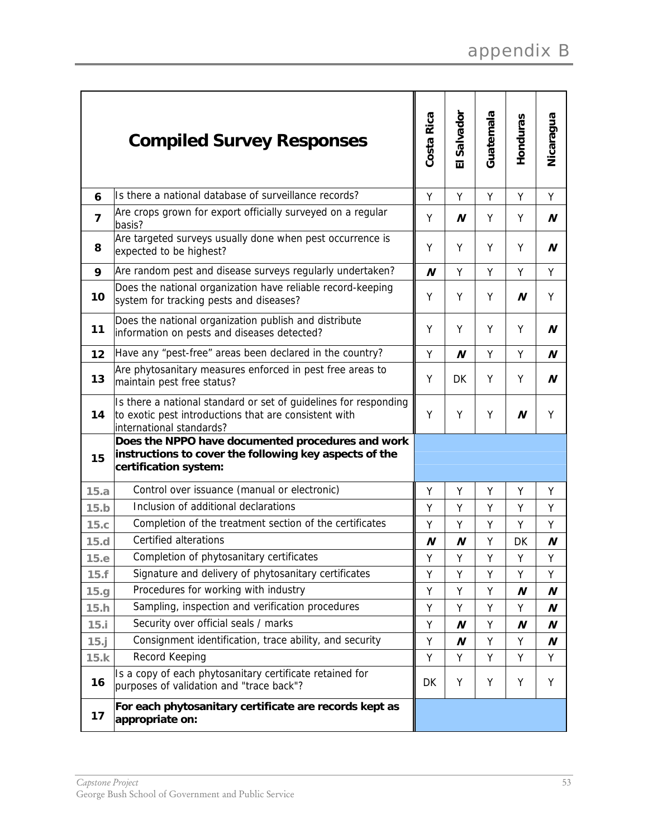|      | <b>Compiled Survey Responses</b>                                                                                                                      | Costa Rica                 | Salvador<br>$\overline{\mathbf{u}}$ | Guatemala | Honduras         | Nicaragua                  |
|------|-------------------------------------------------------------------------------------------------------------------------------------------------------|----------------------------|-------------------------------------|-----------|------------------|----------------------------|
| 6    | Is there a national database of surveillance records?                                                                                                 | Y                          | Y                                   | Υ         | Υ                | Y                          |
| 7    | Are crops grown for export officially surveyed on a regular<br>basis?                                                                                 | Υ                          | N                                   | Υ         | Υ                | N                          |
| 8    | Are targeted surveys usually done when pest occurrence is<br>expected to be highest?                                                                  | Y                          | Y                                   | Y         | Y                | N                          |
| 9    | Are random pest and disease surveys regularly undertaken?                                                                                             | $\boldsymbol{\mathcal{N}}$ | Y                                   | Υ         | Υ                | Y                          |
| 10   | Does the national organization have reliable record-keeping<br>system for tracking pests and diseases?                                                | Y                          | Y                                   | Y         | N                | Y                          |
| 11   | Does the national organization publish and distribute<br>information on pests and diseases detected?                                                  | Y                          | Y                                   | Υ         | Y                | N                          |
| 12   | Have any "pest-free" areas been declared in the country?                                                                                              | Y                          | $\boldsymbol{\mathcal{N}}$          | Y         | Υ                | $\boldsymbol{\mathcal{N}}$ |
| 13   | Are phytosanitary measures enforced in pest free areas to<br>maintain pest free status?                                                               | Y                          | DK.                                 | Y         | Y                | N                          |
| 14   | Is there a national standard or set of guidelines for responding<br>to exotic pest introductions that are consistent with<br>international standards? | Y                          | Y                                   | Y         | $\boldsymbol{N}$ | Y                          |
| 15   | Does the NPPO have documented procedures and work<br>instructions to cover the following key aspects of the<br>certification system:                  |                            |                                     |           |                  |                            |
| 15.a | Control over issuance (manual or electronic)                                                                                                          | Υ                          | Y                                   | Y         | Y                | Υ                          |
| 15.b | Inclusion of additional declarations                                                                                                                  | Y                          | Y                                   | Y         | Υ                | Y                          |
| 15.c | Completion of the treatment section of the certificates                                                                                               | Y                          | Y                                   | Y         | Y                | Y                          |
| 15.d | Certified alterations                                                                                                                                 | N                          | N                                   | Y         | DK               | N                          |
| 15.e | Completion of phytosanitary certificates                                                                                                              | Υ                          | Y                                   | Y         | Υ                | Υ                          |
| 15.f | Signature and delivery of phytosanitary certificates                                                                                                  | Υ                          | Υ                                   | Υ         | Υ                | Υ                          |
| 15.g | Procedures for working with industry                                                                                                                  | Υ                          | Υ                                   | Y         | N                | N                          |
| 15.h | Sampling, inspection and verification procedures                                                                                                      | Υ                          | Y                                   | Υ         | Υ                | N                          |
| 15.i | Security over official seals / marks                                                                                                                  | Υ                          | $\boldsymbol{N}$                    | Υ         | N                | N                          |
| 15.j | Consignment identification, trace ability, and security                                                                                               | Υ                          | N                                   | Υ         | Υ                | N                          |
| 15.k | Record Keeping                                                                                                                                        | Υ                          | Υ                                   | Υ         | Υ                | Y                          |
| 16   | Is a copy of each phytosanitary certificate retained for<br>purposes of validation and "trace back"?                                                  | DK                         | Υ                                   | Y         | Υ                | Υ                          |
| 17   | For each phytosanitary certificate are records kept as<br>appropriate on:                                                                             |                            |                                     |           |                  |                            |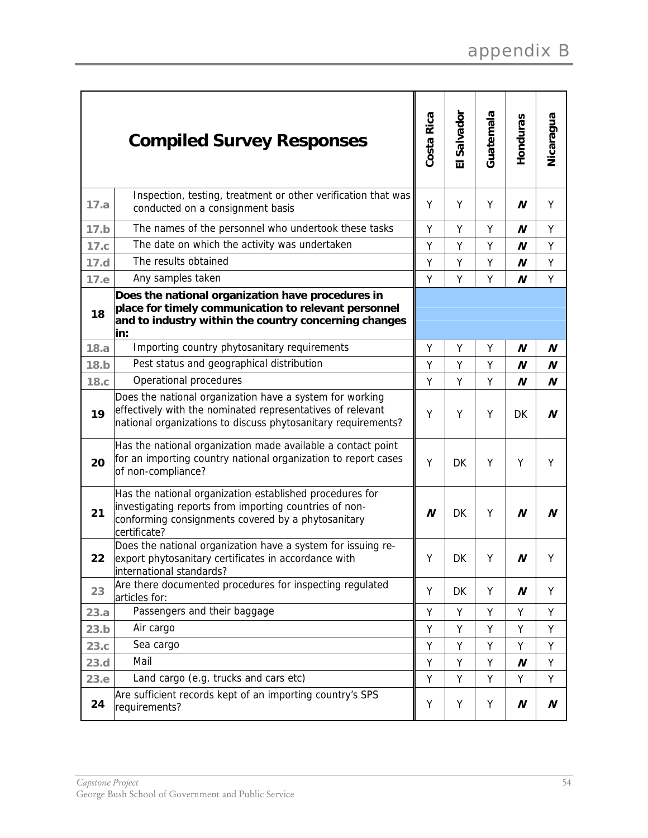|      | <b>Compiled Survey Responses</b>                                                                                                                                                         | Costa Rica       | Salvador<br>$\overline{\mathbf{u}}$ | Guatemala | Honduras         | Nicaragua        |
|------|------------------------------------------------------------------------------------------------------------------------------------------------------------------------------------------|------------------|-------------------------------------|-----------|------------------|------------------|
| 17.a | Inspection, testing, treatment or other verification that was<br>conducted on a consignment basis                                                                                        | Y                | Y                                   | Y         | $\boldsymbol{N}$ | Y                |
| 17.b | The names of the personnel who undertook these tasks                                                                                                                                     | Y                | Y                                   | Y         | $\boldsymbol{N}$ | Υ                |
| 17.c | The date on which the activity was undertaken                                                                                                                                            | Y                | Υ                                   | Y         | $\boldsymbol{N}$ | Υ                |
| 17.d | The results obtained                                                                                                                                                                     | Υ                | Υ                                   | Υ         | N                | Υ                |
| 17.e | Any samples taken                                                                                                                                                                        | Y                | Y                                   | Y         | N                | Y                |
| 18   | Does the national organization have procedures in<br>place for timely communication to relevant personnel<br>and to industry within the country concerning changes<br>lin:               |                  |                                     |           |                  |                  |
| 18.a | Importing country phytosanitary requirements                                                                                                                                             | Y                | Y                                   | Y         | N                | N                |
| 18.b | Pest status and geographical distribution                                                                                                                                                | Υ                | Υ                                   | Υ         | N                | N                |
| 18.c | Operational procedures                                                                                                                                                                   | Y                | Y                                   | Y         | N                | $\boldsymbol{N}$ |
| 19   | Does the national organization have a system for working<br>effectively with the nominated representatives of relevant<br>national organizations to discuss phytosanitary requirements?  | Y                | Y                                   | Y         | <b>DK</b>        | N                |
| 20   | Has the national organization made available a contact point<br>for an importing country national organization to report cases<br>of non-compliance?                                     | Y                | DK                                  | Y         | Υ                | Y                |
| 21   | Has the national organization established procedures for<br>investigating reports from importing countries of non-<br>conforming consignments covered by a phytosanitary<br>certificate? | $\boldsymbol{N}$ | <b>DK</b>                           | Y         | $\boldsymbol{N}$ | $\boldsymbol{N}$ |
| 22   | Does the national organization have a system for issuing re-<br>export phytosanitary certificates in accordance with<br>international standards?                                         | Υ                | DK                                  | Y         | N                | Υ                |
| 23   | Are there documented procedures for inspecting regulated<br>articles for:                                                                                                                | Υ                | DK                                  | Υ         | N                | Y                |
| 23.a | Passengers and their baggage                                                                                                                                                             | Υ                | Υ                                   | Y         | Υ                | Υ                |
| 23.b | Air cargo                                                                                                                                                                                | Υ                | Υ                                   | Υ         | Υ                | Υ                |
| 23.c | Sea cargo                                                                                                                                                                                | Υ                | Υ                                   | Υ         | Υ                | Υ                |
| 23.d | Mail                                                                                                                                                                                     | Υ                | Υ                                   | Υ         | N                | Υ                |
| 23.e | Land cargo (e.g. trucks and cars etc)                                                                                                                                                    | Υ                | Y                                   | Υ         | Υ                | Υ                |
| 24   | Are sufficient records kept of an importing country's SPS<br>requirements?                                                                                                               | Υ                | Υ                                   | Υ         | N                | $\boldsymbol{N}$ |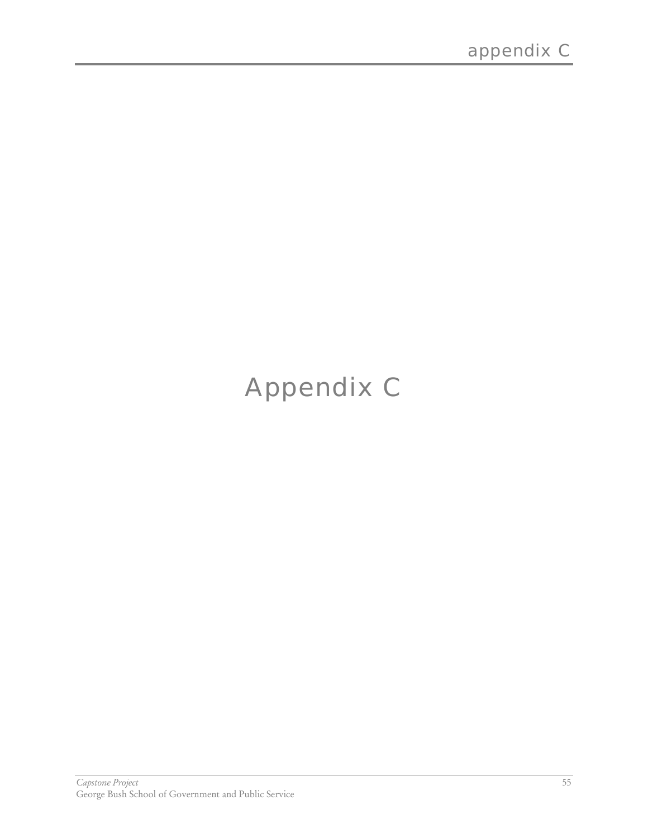# Appendix C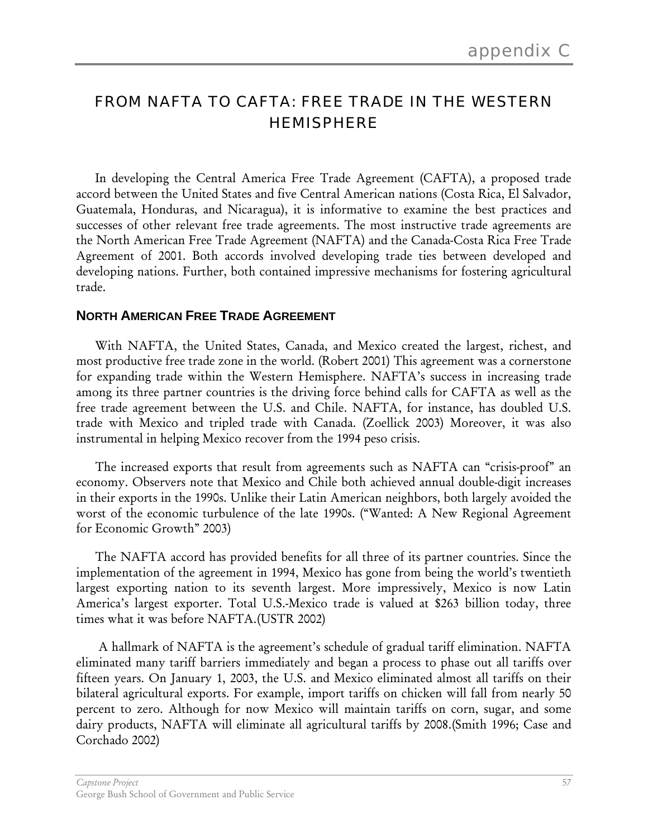# FROM NAFTA TO CAFTA: FREE TRADE IN THE WESTERN **HEMISPHERE**

In developing the Central America Free Trade Agreement (CAFTA), a proposed trade accord between the United States and five Central American nations (Costa Rica, El Salvador, Guatemala, Honduras, and Nicaragua), it is informative to examine the best practices and successes of other relevant free trade agreements. The most instructive trade agreements are the North American Free Trade Agreement (NAFTA) and the Canada-Costa Rica Free Trade Agreement of 2001. Both accords involved developing trade ties between developed and developing nations. Further, both contained impressive mechanisms for fostering agricultural trade.

### **NORTH AMERICAN FREE TRADE AGREEMENT**

With NAFTA, the United States, Canada, and Mexico created the largest, richest, and most productive free trade zone in the world. (Robert 2001) This agreement was a cornerstone for expanding trade within the Western Hemisphere. NAFTA's success in increasing trade among its three partner countries is the driving force behind calls for CAFTA as well as the free trade agreement between the U.S. and Chile. NAFTA, for instance, has doubled U.S. trade with Mexico and tripled trade with Canada. (Zoellick 2003) Moreover, it was also instrumental in helping Mexico recover from the 1994 peso crisis.

The increased exports that result from agreements such as NAFTA can "crisis-proof" an economy. Observers note that Mexico and Chile both achieved annual double-digit increases in their exports in the 1990s. Unlike their Latin American neighbors, both largely avoided the worst of the economic turbulence of the late 1990s. ("Wanted: A New Regional Agreement for Economic Growth" 2003)

The NAFTA accord has provided benefits for all three of its partner countries. Since the implementation of the agreement in 1994, Mexico has gone from being the world's twentieth largest exporting nation to its seventh largest. More impressively, Mexico is now Latin America's largest exporter. Total U.S.-Mexico trade is valued at \$263 billion today, three times what it was before NAFTA.(USTR 2002)

 A hallmark of NAFTA is the agreement's schedule of gradual tariff elimination. NAFTA eliminated many tariff barriers immediately and began a process to phase out all tariffs over fifteen years. On January 1, 2003, the U.S. and Mexico eliminated almost all tariffs on their bilateral agricultural exports. For example, import tariffs on chicken will fall from nearly 50 percent to zero. Although for now Mexico will maintain tariffs on corn, sugar, and some dairy products, NAFTA will eliminate all agricultural tariffs by 2008.(Smith 1996; Case and Corchado 2002)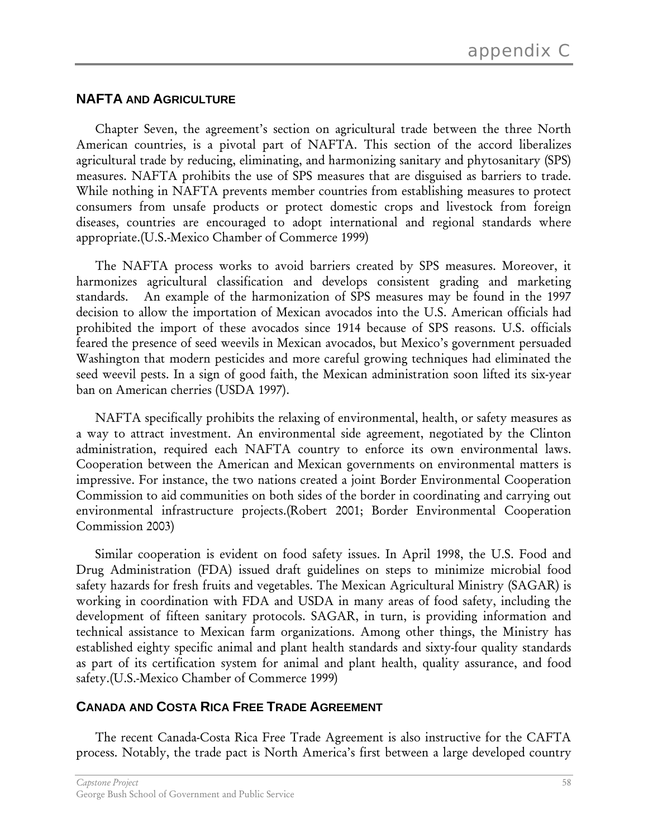# **NAFTA AND AGRICULTURE**

Chapter Seven, the agreement's section on agricultural trade between the three North American countries, is a pivotal part of NAFTA. This section of the accord liberalizes agricultural trade by reducing, eliminating, and harmonizing sanitary and phytosanitary (SPS) measures. NAFTA prohibits the use of SPS measures that are disguised as barriers to trade. While nothing in NAFTA prevents member countries from establishing measures to protect consumers from unsafe products or protect domestic crops and livestock from foreign diseases, countries are encouraged to adopt international and regional standards where appropriate.(U.S.-Mexico Chamber of Commerce 1999)

The NAFTA process works to avoid barriers created by SPS measures. Moreover, it harmonizes agricultural classification and develops consistent grading and marketing standards. An example of the harmonization of SPS measures may be found in the 1997 decision to allow the importation of Mexican avocados into the U.S. American officials had prohibited the import of these avocados since 1914 because of SPS reasons. U.S. officials feared the presence of seed weevils in Mexican avocados, but Mexico's government persuaded Washington that modern pesticides and more careful growing techniques had eliminated the seed weevil pests. In a sign of good faith, the Mexican administration soon lifted its six-year ban on American cherries (USDA 1997).

NAFTA specifically prohibits the relaxing of environmental, health, or safety measures as a way to attract investment. An environmental side agreement, negotiated by the Clinton administration, required each NAFTA country to enforce its own environmental laws. Cooperation between the American and Mexican governments on environmental matters is impressive. For instance, the two nations created a joint Border Environmental Cooperation Commission to aid communities on both sides of the border in coordinating and carrying out environmental infrastructure projects.(Robert 2001; Border Environmental Cooperation Commission 2003)

Similar cooperation is evident on food safety issues. In April 1998, the U.S. Food and Drug Administration (FDA) issued draft guidelines on steps to minimize microbial food safety hazards for fresh fruits and vegetables. The Mexican Agricultural Ministry (SAGAR) is working in coordination with FDA and USDA in many areas of food safety, including the development of fifteen sanitary protocols. SAGAR, in turn, is providing information and technical assistance to Mexican farm organizations. Among other things, the Ministry has established eighty specific animal and plant health standards and sixty-four quality standards as part of its certification system for animal and plant health, quality assurance, and food safety.(U.S.-Mexico Chamber of Commerce 1999)

# **CANADA AND COSTA RICA FREE TRADE AGREEMENT**

The recent Canada-Costa Rica Free Trade Agreement is also instructive for the CAFTA process. Notably, the trade pact is North America's first between a large developed country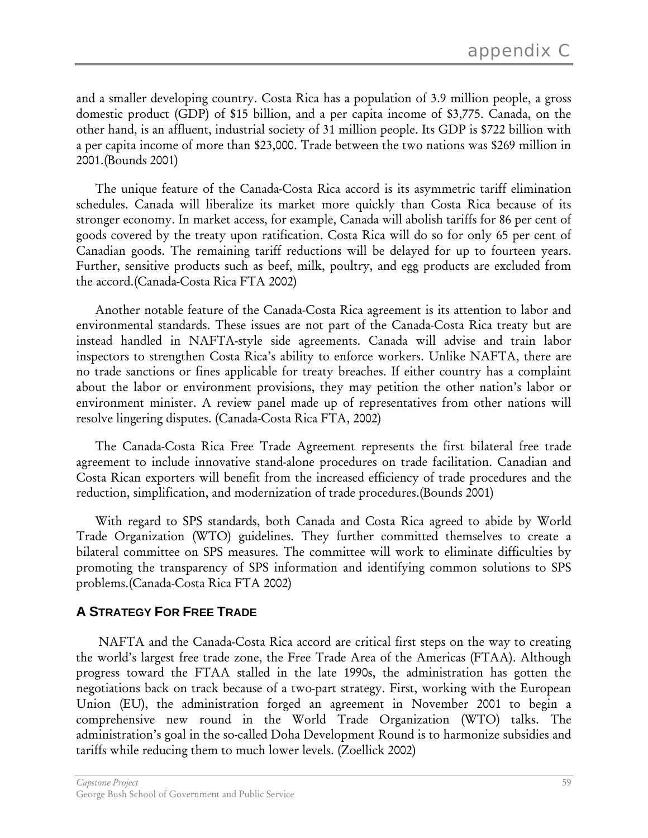and a smaller developing country. Costa Rica has a population of 3.9 million people, a gross domestic product (GDP) of \$15 billion, and a per capita income of \$3,775. Canada, on the other hand, is an affluent, industrial society of 31 million people. Its GDP is \$722 billion with a per capita income of more than \$23,000. Trade between the two nations was \$269 million in 2001.(Bounds 2001)

The unique feature of the Canada-Costa Rica accord is its asymmetric tariff elimination schedules. Canada will liberalize its market more quickly than Costa Rica because of its stronger economy. In market access, for example, Canada will abolish tariffs for 86 per cent of goods covered by the treaty upon ratification. Costa Rica will do so for only 65 per cent of Canadian goods. The remaining tariff reductions will be delayed for up to fourteen years. Further, sensitive products such as beef, milk, poultry, and egg products are excluded from the accord.(Canada-Costa Rica FTA 2002)

Another notable feature of the Canada-Costa Rica agreement is its attention to labor and environmental standards. These issues are not part of the Canada-Costa Rica treaty but are instead handled in NAFTA-style side agreements. Canada will advise and train labor inspectors to strengthen Costa Rica's ability to enforce workers. Unlike NAFTA, there are no trade sanctions or fines applicable for treaty breaches. If either country has a complaint about the labor or environment provisions, they may petition the other nation's labor or environment minister. A review panel made up of representatives from other nations will resolve lingering disputes. (Canada-Costa Rica FTA, 2002)

The Canada-Costa Rica Free Trade Agreement represents the first bilateral free trade agreement to include innovative stand-alone procedures on trade facilitation. Canadian and Costa Rican exporters will benefit from the increased efficiency of trade procedures and the reduction, simplification, and modernization of trade procedures.(Bounds 2001)

With regard to SPS standards, both Canada and Costa Rica agreed to abide by World Trade Organization (WTO) guidelines. They further committed themselves to create a bilateral committee on SPS measures. The committee will work to eliminate difficulties by promoting the transparency of SPS information and identifying common solutions to SPS problems.(Canada-Costa Rica FTA 2002)

# **A STRATEGY FOR FREE TRADE**

 NAFTA and the Canada-Costa Rica accord are critical first steps on the way to creating the world's largest free trade zone, the Free Trade Area of the Americas (FTAA). Although progress toward the FTAA stalled in the late 1990s, the administration has gotten the negotiations back on track because of a two-part strategy. First, working with the European Union (EU), the administration forged an agreement in November 2001 to begin a comprehensive new round in the World Trade Organization (WTO) talks. The administration's goal in the so-called Doha Development Round is to harmonize subsidies and tariffs while reducing them to much lower levels. (Zoellick 2002)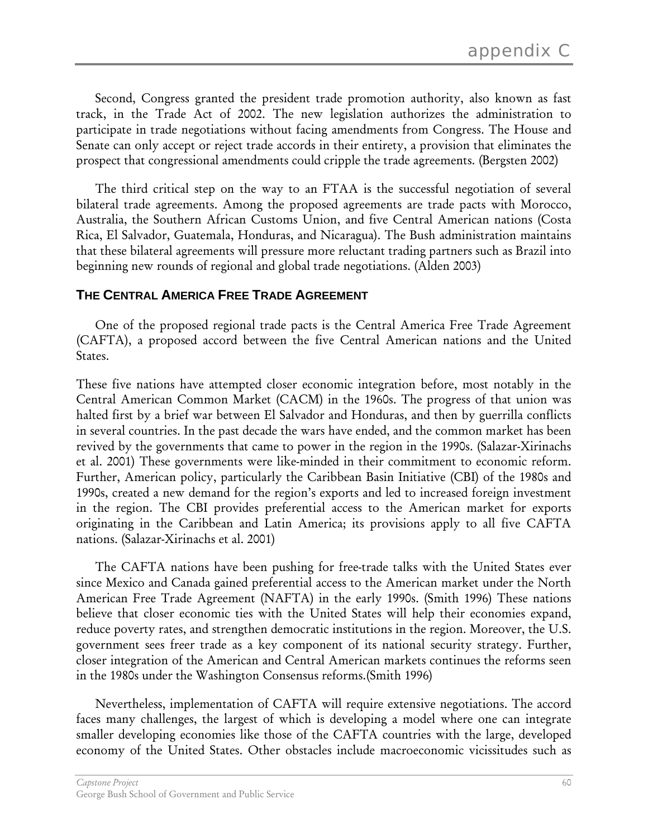Second, Congress granted the president trade promotion authority, also known as fast track, in the Trade Act of 2002. The new legislation authorizes the administration to participate in trade negotiations without facing amendments from Congress. The House and Senate can only accept or reject trade accords in their entirety, a provision that eliminates the prospect that congressional amendments could cripple the trade agreements. (Bergsten 2002)

The third critical step on the way to an FTAA is the successful negotiation of several bilateral trade agreements. Among the proposed agreements are trade pacts with Morocco, Australia, the Southern African Customs Union, and five Central American nations (Costa Rica, El Salvador, Guatemala, Honduras, and Nicaragua). The Bush administration maintains that these bilateral agreements will pressure more reluctant trading partners such as Brazil into beginning new rounds of regional and global trade negotiations. (Alden 2003)

# **THE CENTRAL AMERICA FREE TRADE AGREEMENT**

One of the proposed regional trade pacts is the Central America Free Trade Agreement (CAFTA), a proposed accord between the five Central American nations and the United States.

These five nations have attempted closer economic integration before, most notably in the Central American Common Market (CACM) in the 1960s. The progress of that union was halted first by a brief war between El Salvador and Honduras, and then by guerrilla conflicts in several countries. In the past decade the wars have ended, and the common market has been revived by the governments that came to power in the region in the 1990s. (Salazar-Xirinachs et al. 2001) These governments were like-minded in their commitment to economic reform. Further, American policy, particularly the Caribbean Basin Initiative (CBI) of the 1980s and 1990s, created a new demand for the region's exports and led to increased foreign investment in the region. The CBI provides preferential access to the American market for exports originating in the Caribbean and Latin America; its provisions apply to all five CAFTA nations. (Salazar-Xirinachs et al. 2001)

The CAFTA nations have been pushing for free-trade talks with the United States ever since Mexico and Canada gained preferential access to the American market under the North American Free Trade Agreement (NAFTA) in the early 1990s. (Smith 1996) These nations believe that closer economic ties with the United States will help their economies expand, reduce poverty rates, and strengthen democratic institutions in the region. Moreover, the U.S. government sees freer trade as a key component of its national security strategy. Further, closer integration of the American and Central American markets continues the reforms seen in the 1980s under the Washington Consensus reforms.(Smith 1996)

Nevertheless, implementation of CAFTA will require extensive negotiations. The accord faces many challenges, the largest of which is developing a model where one can integrate smaller developing economies like those of the CAFTA countries with the large, developed economy of the United States. Other obstacles include macroeconomic vicissitudes such as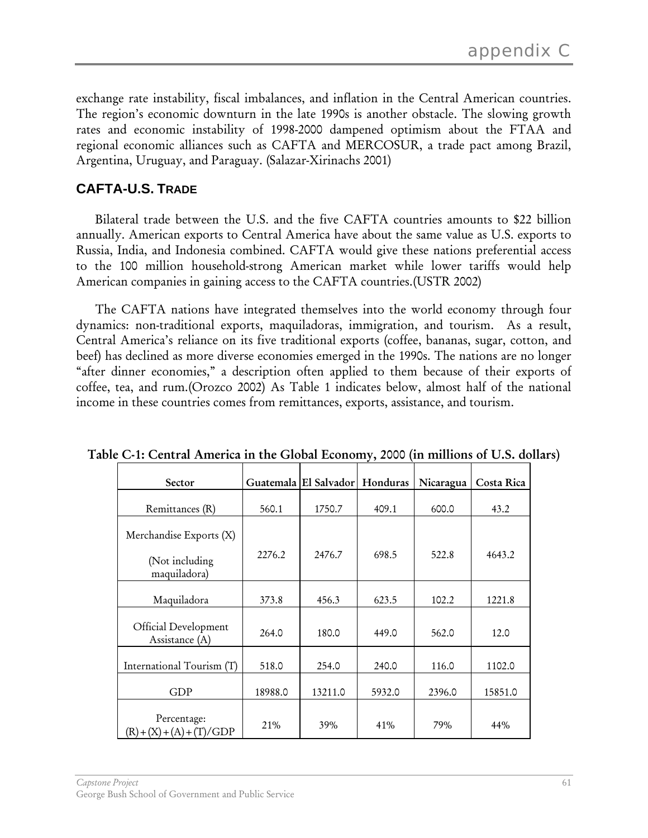exchange rate instability, fiscal imbalances, and inflation in the Central American countries. The region's economic downturn in the late 1990s is another obstacle. The slowing growth rates and economic instability of 1998-2000 dampened optimism about the FTAA and regional economic alliances such as CAFTA and MERCOSUR, a trade pact among Brazil, Argentina, Uruguay, and Paraguay. (Salazar-Xirinachs 2001)

## **CAFTA-U.S. TRADE**

Bilateral trade between the U.S. and the five CAFTA countries amounts to \$22 billion annually. American exports to Central America have about the same value as U.S. exports to Russia, India, and Indonesia combined. CAFTA would give these nations preferential access to the 100 million household-strong American market while lower tariffs would help American companies in gaining access to the CAFTA countries.(USTR 2002)

The CAFTA nations have integrated themselves into the world economy through four dynamics: non-traditional exports, maquiladoras, immigration, and tourism. As a result, Central America's reliance on its five traditional exports (coffee, bananas, sugar, cotton, and beef) has declined as more diverse economies emerged in the 1990s. The nations are no longer "after dinner economies," a description often applied to them because of their exports of coffee, tea, and rum.(Orozco 2002) As Table 1 indicates below, almost half of the national income in these countries comes from remittances, exports, assistance, and tourism.

| Sector                                                    |         | Guatemala El Salvador | Honduras | Nicaragua | Costa Rica |
|-----------------------------------------------------------|---------|-----------------------|----------|-----------|------------|
| Remittances (R)                                           | 560.1   | 1750.7                | 409.1    | 600.0     | 43.2       |
| Merchandise Exports (X)<br>(Not including<br>maquiladora) | 2276.2  | 2476.7                | 698.5    | 522.8     | 4643.2     |
|                                                           |         |                       |          |           |            |
| Maquiladora                                               | 373.8   | 456.3                 | 623.5    | 102.2     | 1221.8     |
| Official Development<br>Assistance (A)                    | 264.0   | 180.0                 | 449.0    | 562.0     | 12.0       |
| International Tourism (T)                                 | 518.0   | 254.0                 | 240.0    | 116.0     | 1102.0     |
| GDP                                                       | 18988.0 | 13211.0               | 5932.0   | 2396.0    | 15851.0    |
| Percentage:<br>$(R) + (X) + (A) + (T)$<br>'GDP            | 21%     | 39%                   | 41%      | 79%       | 44%        |

Table C-1: Central America in the Global Economy, 2000 (in millions of U.S. dollars)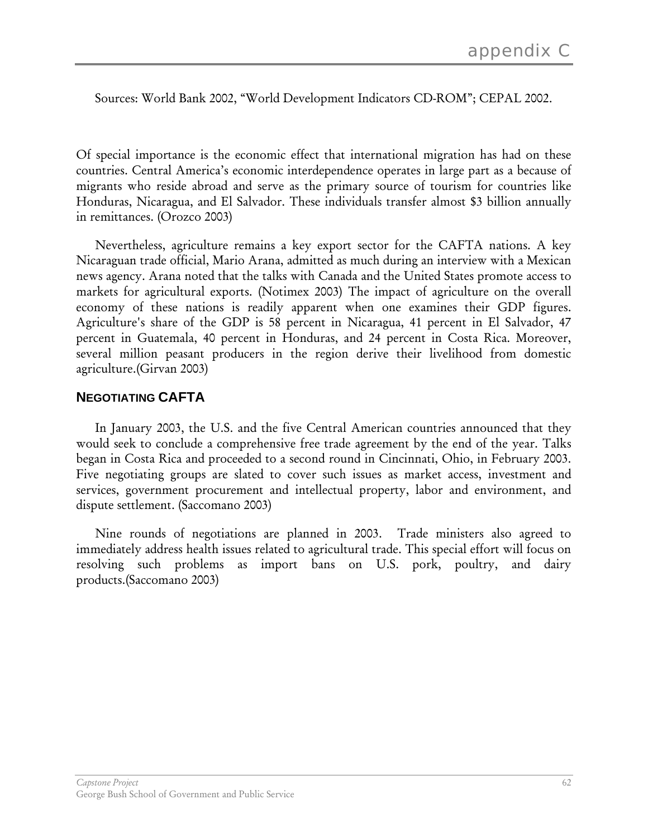Sources: World Bank 2002, "World Development Indicators CD-ROM"; CEPAL 2002.

Of special importance is the economic effect that international migration has had on these countries. Central America's economic interdependence operates in large part as a because of migrants who reside abroad and serve as the primary source of tourism for countries like Honduras, Nicaragua, and El Salvador. These individuals transfer almost \$3 billion annually in remittances. (Orozco 2003)

Nevertheless, agriculture remains a key export sector for the CAFTA nations. A key Nicaraguan trade official, Mario Arana, admitted as much during an interview with a Mexican news agency. Arana noted that the talks with Canada and the United States promote access to markets for agricultural exports. (Notimex 2003) The impact of agriculture on the overall economy of these nations is readily apparent when one examines their GDP figures. Agriculture's share of the GDP is 58 percent in Nicaragua, 41 percent in El Salvador, 47 percent in Guatemala, 40 percent in Honduras, and 24 percent in Costa Rica. Moreover, several million peasant producers in the region derive their livelihood from domestic agriculture.(Girvan 2003)

## **NEGOTIATING CAFTA**

In January 2003, the U.S. and the five Central American countries announced that they would seek to conclude a comprehensive free trade agreement by the end of the year. Talks began in Costa Rica and proceeded to a second round in Cincinnati, Ohio, in February 2003. Five negotiating groups are slated to cover such issues as market access, investment and services, government procurement and intellectual property, labor and environment, and dispute settlement. (Saccomano 2003)

Nine rounds of negotiations are planned in 2003. Trade ministers also agreed to immediately address health issues related to agricultural trade. This special effort will focus on resolving such problems as import bans on U.S. pork, poultry, and dairy products.(Saccomano 2003)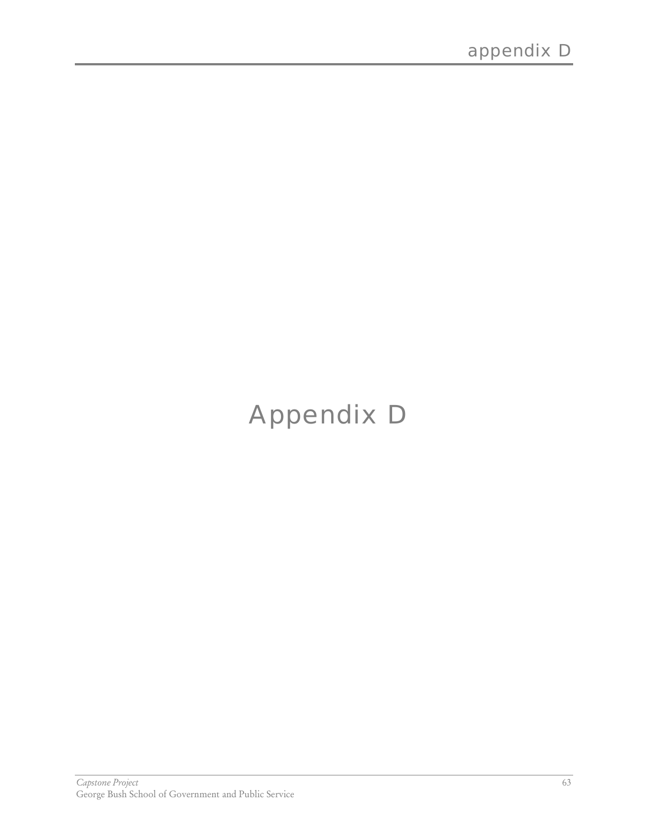# Appendix D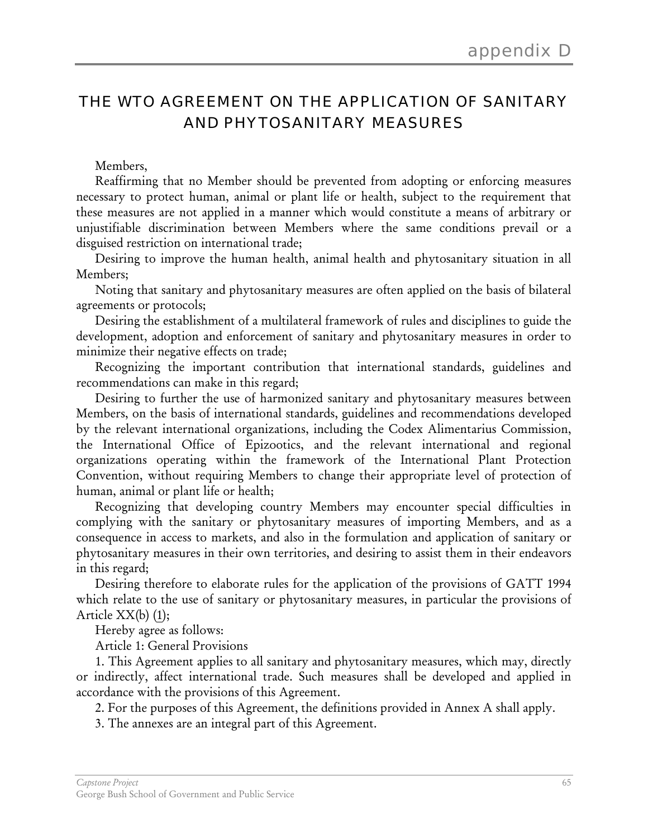## THE WTO AGREEMENT ON THE APPLICATION OF SANITARY AND PHYTOSANITARY MEASURES

Members,

Reaffirming that no Member should be prevented from adopting or enforcing measures necessary to protect human, animal or plant life or health, subject to the requirement that these measures are not applied in a manner which would constitute a means of arbitrary or unjustifiable discrimination between Members where the same conditions prevail or a disguised restriction on international trade;

Desiring to improve the human health, animal health and phytosanitary situation in all Members;

Noting that sanitary and phytosanitary measures are often applied on the basis of bilateral agreements or protocols;

Desiring the establishment of a multilateral framework of rules and disciplines to guide the development, adoption and enforcement of sanitary and phytosanitary measures in order to minimize their negative effects on trade;

Recognizing the important contribution that international standards, guidelines and recommendations can make in this regard;

Desiring to further the use of harmonized sanitary and phytosanitary measures between Members, on the basis of international standards, guidelines and recommendations developed by the relevant international organizations, including the Codex Alimentarius Commission, the International Office of Epizootics, and the relevant international and regional organizations operating within the framework of the International Plant Protection Convention, without requiring Members to change their appropriate level of protection of human, animal or plant life or health;

Recognizing that developing country Members may encounter special difficulties in complying with the sanitary or phytosanitary measures of importing Members, and as a consequence in access to markets, and also in the formulation and application of sanitary or phytosanitary measures in their own territories, and desiring to assist them in their endeavors in this regard;

Desiring therefore to elaborate rules for the application of the provisions of GATT 1994 which relate to the use of sanitary or phytosanitary measures, in particular the provisions of Article  $XX(b)$  (1);

Hereby agree as follows:

Article 1: General Provisions

1. This Agreement applies to all sanitary and phytosanitary measures, which may, directly or indirectly, affect international trade. Such measures shall be developed and applied in accordance with the provisions of this Agreement.

2. For the purposes of this Agreement, the definitions provided in Annex A shall apply.

3. The annexes are an integral part of this Agreement.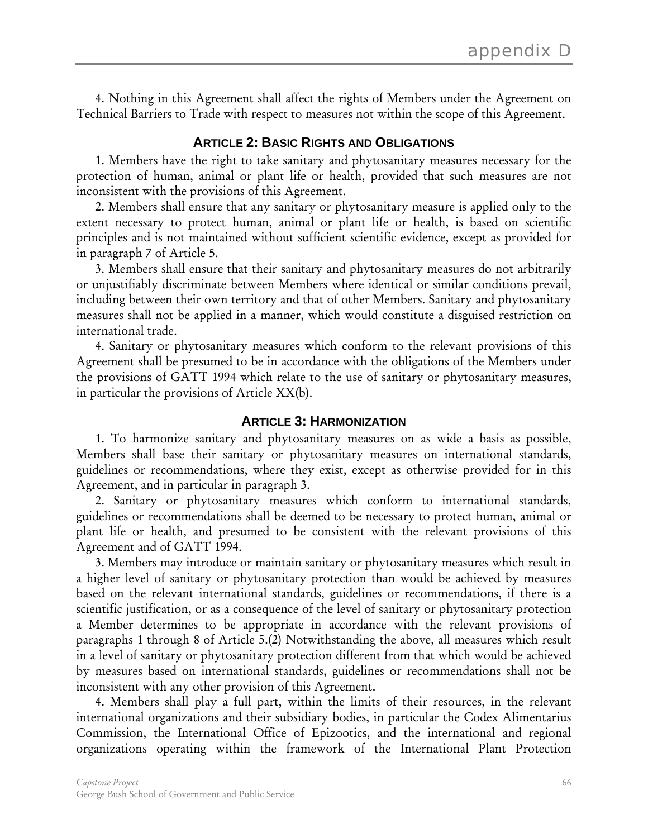4. Nothing in this Agreement shall affect the rights of Members under the Agreement on Technical Barriers to Trade with respect to measures not within the scope of this Agreement.

## **ARTICLE 2: BASIC RIGHTS AND OBLIGATIONS**

1. Members have the right to take sanitary and phytosanitary measures necessary for the protection of human, animal or plant life or health, provided that such measures are not inconsistent with the provisions of this Agreement.

2. Members shall ensure that any sanitary or phytosanitary measure is applied only to the extent necessary to protect human, animal or plant life or health, is based on scientific principles and is not maintained without sufficient scientific evidence, except as provided for in paragraph 7 of Article 5.

3. Members shall ensure that their sanitary and phytosanitary measures do not arbitrarily or unjustifiably discriminate between Members where identical or similar conditions prevail, including between their own territory and that of other Members. Sanitary and phytosanitary measures shall not be applied in a manner, which would constitute a disguised restriction on international trade.

4. Sanitary or phytosanitary measures which conform to the relevant provisions of this Agreement shall be presumed to be in accordance with the obligations of the Members under the provisions of GATT 1994 which relate to the use of sanitary or phytosanitary measures, in particular the provisions of Article XX(b).

## **ARTICLE 3: HARMONIZATION**

1. To harmonize sanitary and phytosanitary measures on as wide a basis as possible, Members shall base their sanitary or phytosanitary measures on international standards, guidelines or recommendations, where they exist, except as otherwise provided for in this Agreement, and in particular in paragraph 3.

2. Sanitary or phytosanitary measures which conform to international standards, guidelines or recommendations shall be deemed to be necessary to protect human, animal or plant life or health, and presumed to be consistent with the relevant provisions of this Agreement and of GATT 1994.

3. Members may introduce or maintain sanitary or phytosanitary measures which result in a higher level of sanitary or phytosanitary protection than would be achieved by measures based on the relevant international standards, guidelines or recommendations, if there is a scientific justification, or as a consequence of the level of sanitary or phytosanitary protection a Member determines to be appropriate in accordance with the relevant provisions of paragraphs 1 through 8 of Article 5.(2) Notwithstanding the above, all measures which result in a level of sanitary or phytosanitary protection different from that which would be achieved by measures based on international standards, guidelines or recommendations shall not be inconsistent with any other provision of this Agreement.

4. Members shall play a full part, within the limits of their resources, in the relevant international organizations and their subsidiary bodies, in particular the Codex Alimentarius Commission, the International Office of Epizootics, and the international and regional organizations operating within the framework of the International Plant Protection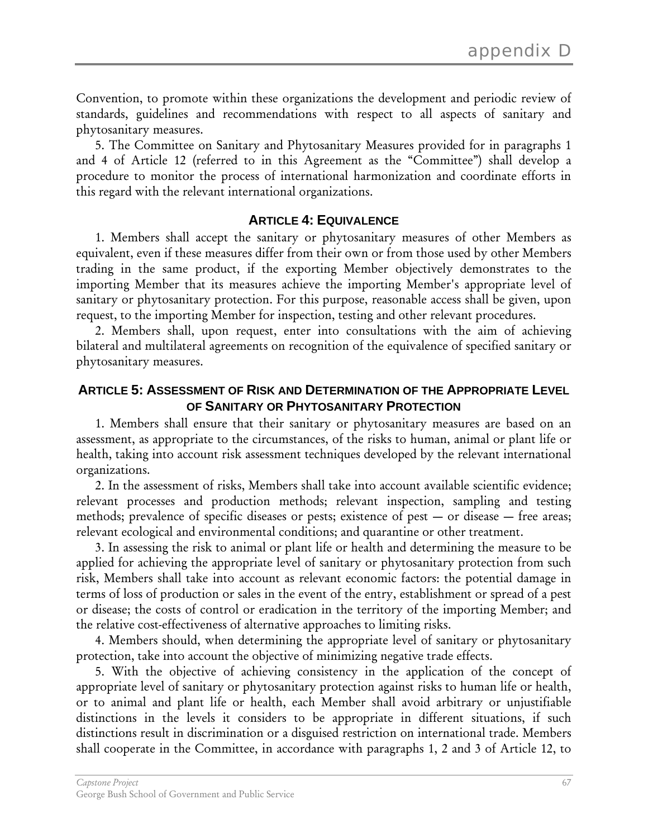Convention, to promote within these organizations the development and periodic review of standards, guidelines and recommendations with respect to all aspects of sanitary and phytosanitary measures.

5. The Committee on Sanitary and Phytosanitary Measures provided for in paragraphs 1 and 4 of Article 12 (referred to in this Agreement as the "Committee") shall develop a procedure to monitor the process of international harmonization and coordinate efforts in this regard with the relevant international organizations.

## **ARTICLE 4: EQUIVALENCE**

1. Members shall accept the sanitary or phytosanitary measures of other Members as equivalent, even if these measures differ from their own or from those used by other Members trading in the same product, if the exporting Member objectively demonstrates to the importing Member that its measures achieve the importing Member's appropriate level of sanitary or phytosanitary protection. For this purpose, reasonable access shall be given, upon request, to the importing Member for inspection, testing and other relevant procedures.

2. Members shall, upon request, enter into consultations with the aim of achieving bilateral and multilateral agreements on recognition of the equivalence of specified sanitary or phytosanitary measures.

## **ARTICLE 5: ASSESSMENT OF RISK AND DETERMINATION OF THE APPROPRIATE LEVEL OF SANITARY OR PHYTOSANITARY PROTECTION**

1. Members shall ensure that their sanitary or phytosanitary measures are based on an assessment, as appropriate to the circumstances, of the risks to human, animal or plant life or health, taking into account risk assessment techniques developed by the relevant international organizations.

2. In the assessment of risks, Members shall take into account available scientific evidence; relevant processes and production methods; relevant inspection, sampling and testing methods; prevalence of specific diseases or pests; existence of pest — or disease — free areas; relevant ecological and environmental conditions; and quarantine or other treatment.

3. In assessing the risk to animal or plant life or health and determining the measure to be applied for achieving the appropriate level of sanitary or phytosanitary protection from such risk, Members shall take into account as relevant economic factors: the potential damage in terms of loss of production or sales in the event of the entry, establishment or spread of a pest or disease; the costs of control or eradication in the territory of the importing Member; and the relative cost-effectiveness of alternative approaches to limiting risks.

4. Members should, when determining the appropriate level of sanitary or phytosanitary protection, take into account the objective of minimizing negative trade effects.

5. With the objective of achieving consistency in the application of the concept of appropriate level of sanitary or phytosanitary protection against risks to human life or health, or to animal and plant life or health, each Member shall avoid arbitrary or unjustifiable distinctions in the levels it considers to be appropriate in different situations, if such distinctions result in discrimination or a disguised restriction on international trade. Members shall cooperate in the Committee, in accordance with paragraphs 1, 2 and 3 of Article 12, to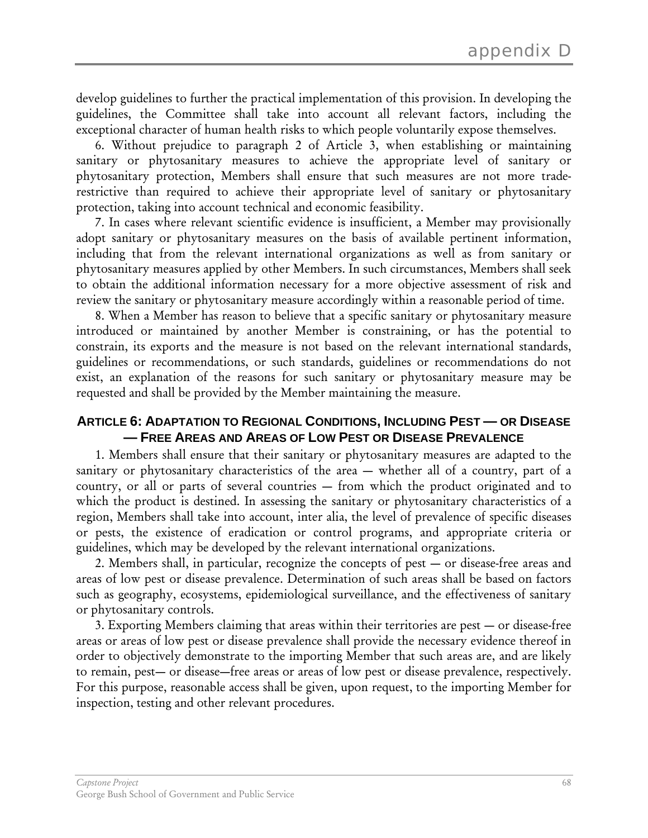develop guidelines to further the practical implementation of this provision. In developing the guidelines, the Committee shall take into account all relevant factors, including the exceptional character of human health risks to which people voluntarily expose themselves.

6. Without prejudice to paragraph 2 of Article 3, when establishing or maintaining sanitary or phytosanitary measures to achieve the appropriate level of sanitary or phytosanitary protection, Members shall ensure that such measures are not more traderestrictive than required to achieve their appropriate level of sanitary or phytosanitary protection, taking into account technical and economic feasibility.

7. In cases where relevant scientific evidence is insufficient, a Member may provisionally adopt sanitary or phytosanitary measures on the basis of available pertinent information, including that from the relevant international organizations as well as from sanitary or phytosanitary measures applied by other Members. In such circumstances, Members shall seek to obtain the additional information necessary for a more objective assessment of risk and review the sanitary or phytosanitary measure accordingly within a reasonable period of time.

8. When a Member has reason to believe that a specific sanitary or phytosanitary measure introduced or maintained by another Member is constraining, or has the potential to constrain, its exports and the measure is not based on the relevant international standards, guidelines or recommendations, or such standards, guidelines or recommendations do not exist, an explanation of the reasons for such sanitary or phytosanitary measure may be requested and shall be provided by the Member maintaining the measure.

## **ARTICLE 6: ADAPTATION TO REGIONAL CONDITIONS, INCLUDING PEST — OR DISEASE — FREE AREAS AND AREAS OF LOW PEST OR DISEASE PREVALENCE**

1. Members shall ensure that their sanitary or phytosanitary measures are adapted to the sanitary or phytosanitary characteristics of the area — whether all of a country, part of a country, or all or parts of several countries — from which the product originated and to which the product is destined. In assessing the sanitary or phytosanitary characteristics of a region, Members shall take into account, inter alia, the level of prevalence of specific diseases or pests, the existence of eradication or control programs, and appropriate criteria or guidelines, which may be developed by the relevant international organizations.

2. Members shall, in particular, recognize the concepts of pest — or disease-free areas and areas of low pest or disease prevalence. Determination of such areas shall be based on factors such as geography, ecosystems, epidemiological surveillance, and the effectiveness of sanitary or phytosanitary controls.

3. Exporting Members claiming that areas within their territories are pest — or disease-free areas or areas of low pest or disease prevalence shall provide the necessary evidence thereof in order to objectively demonstrate to the importing Member that such areas are, and are likely to remain, pest— or disease—free areas or areas of low pest or disease prevalence, respectively. For this purpose, reasonable access shall be given, upon request, to the importing Member for inspection, testing and other relevant procedures.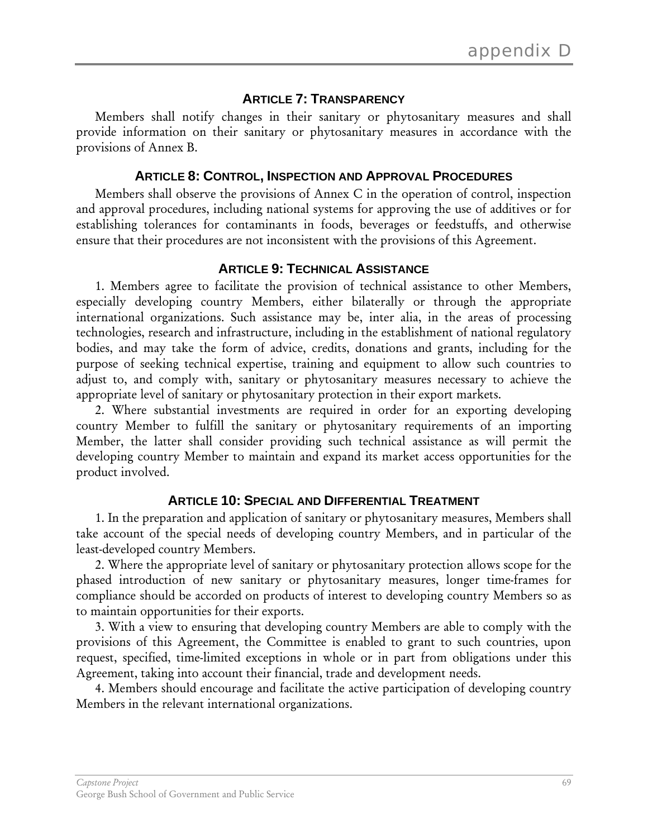## **ARTICLE 7: TRANSPARENCY**

Members shall notify changes in their sanitary or phytosanitary measures and shall provide information on their sanitary or phytosanitary measures in accordance with the provisions of Annex B.

## **ARTICLE 8: CONTROL, INSPECTION AND APPROVAL PROCEDURES**

Members shall observe the provisions of Annex C in the operation of control, inspection and approval procedures, including national systems for approving the use of additives or for establishing tolerances for contaminants in foods, beverages or feedstuffs, and otherwise ensure that their procedures are not inconsistent with the provisions of this Agreement.

## **ARTICLE 9: TECHNICAL ASSISTANCE**

1. Members agree to facilitate the provision of technical assistance to other Members, especially developing country Members, either bilaterally or through the appropriate international organizations. Such assistance may be, inter alia, in the areas of processing technologies, research and infrastructure, including in the establishment of national regulatory bodies, and may take the form of advice, credits, donations and grants, including for the purpose of seeking technical expertise, training and equipment to allow such countries to adjust to, and comply with, sanitary or phytosanitary measures necessary to achieve the appropriate level of sanitary or phytosanitary protection in their export markets.

2. Where substantial investments are required in order for an exporting developing country Member to fulfill the sanitary or phytosanitary requirements of an importing Member, the latter shall consider providing such technical assistance as will permit the developing country Member to maintain and expand its market access opportunities for the product involved.

## **ARTICLE 10: SPECIAL AND DIFFERENTIAL TREATMENT**

1. In the preparation and application of sanitary or phytosanitary measures, Members shall take account of the special needs of developing country Members, and in particular of the least-developed country Members.

2. Where the appropriate level of sanitary or phytosanitary protection allows scope for the phased introduction of new sanitary or phytosanitary measures, longer time-frames for compliance should be accorded on products of interest to developing country Members so as to maintain opportunities for their exports.

3. With a view to ensuring that developing country Members are able to comply with the provisions of this Agreement, the Committee is enabled to grant to such countries, upon request, specified, time-limited exceptions in whole or in part from obligations under this Agreement, taking into account their financial, trade and development needs.

4. Members should encourage and facilitate the active participation of developing country Members in the relevant international organizations.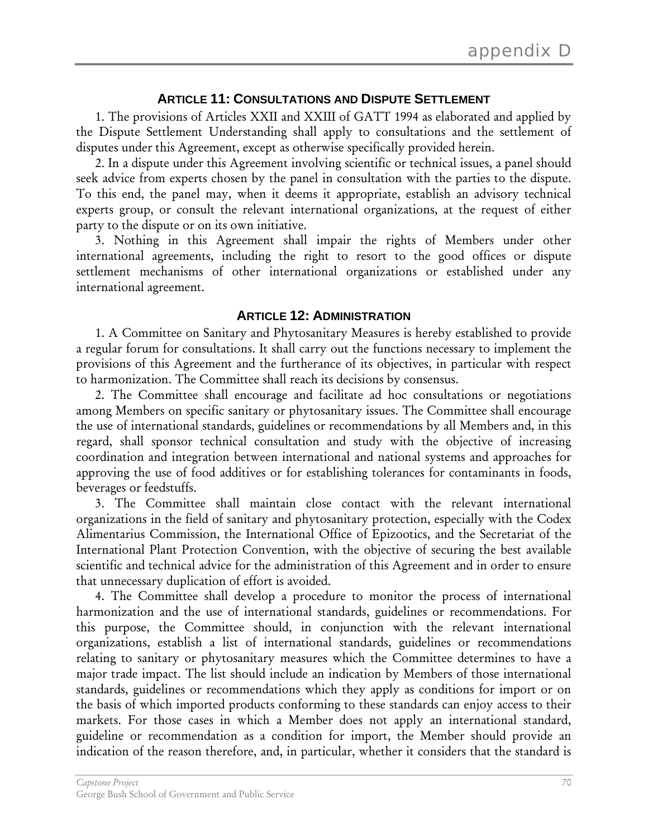## **ARTICLE 11: CONSULTATIONS AND DISPUTE SETTLEMENT**

1. The provisions of Articles XXII and XXIII of GATT 1994 as elaborated and applied by the Dispute Settlement Understanding shall apply to consultations and the settlement of disputes under this Agreement, except as otherwise specifically provided herein.

2. In a dispute under this Agreement involving scientific or technical issues, a panel should seek advice from experts chosen by the panel in consultation with the parties to the dispute. To this end, the panel may, when it deems it appropriate, establish an advisory technical experts group, or consult the relevant international organizations, at the request of either party to the dispute or on its own initiative.

3. Nothing in this Agreement shall impair the rights of Members under other international agreements, including the right to resort to the good offices or dispute settlement mechanisms of other international organizations or established under any international agreement.

## **ARTICLE 12: ADMINISTRATION**

1. A Committee on Sanitary and Phytosanitary Measures is hereby established to provide a regular forum for consultations. It shall carry out the functions necessary to implement the provisions of this Agreement and the furtherance of its objectives, in particular with respect to harmonization. The Committee shall reach its decisions by consensus.

2. The Committee shall encourage and facilitate ad hoc consultations or negotiations among Members on specific sanitary or phytosanitary issues. The Committee shall encourage the use of international standards, guidelines or recommendations by all Members and, in this regard, shall sponsor technical consultation and study with the objective of increasing coordination and integration between international and national systems and approaches for approving the use of food additives or for establishing tolerances for contaminants in foods, beverages or feedstuffs.

3. The Committee shall maintain close contact with the relevant international organizations in the field of sanitary and phytosanitary protection, especially with the Codex Alimentarius Commission, the International Office of Epizootics, and the Secretariat of the International Plant Protection Convention, with the objective of securing the best available scientific and technical advice for the administration of this Agreement and in order to ensure that unnecessary duplication of effort is avoided.

4. The Committee shall develop a procedure to monitor the process of international harmonization and the use of international standards, guidelines or recommendations. For this purpose, the Committee should, in conjunction with the relevant international organizations, establish a list of international standards, guidelines or recommendations relating to sanitary or phytosanitary measures which the Committee determines to have a major trade impact. The list should include an indication by Members of those international standards, guidelines or recommendations which they apply as conditions for import or on the basis of which imported products conforming to these standards can enjoy access to their markets. For those cases in which a Member does not apply an international standard, guideline or recommendation as a condition for import, the Member should provide an indication of the reason therefore, and, in particular, whether it considers that the standard is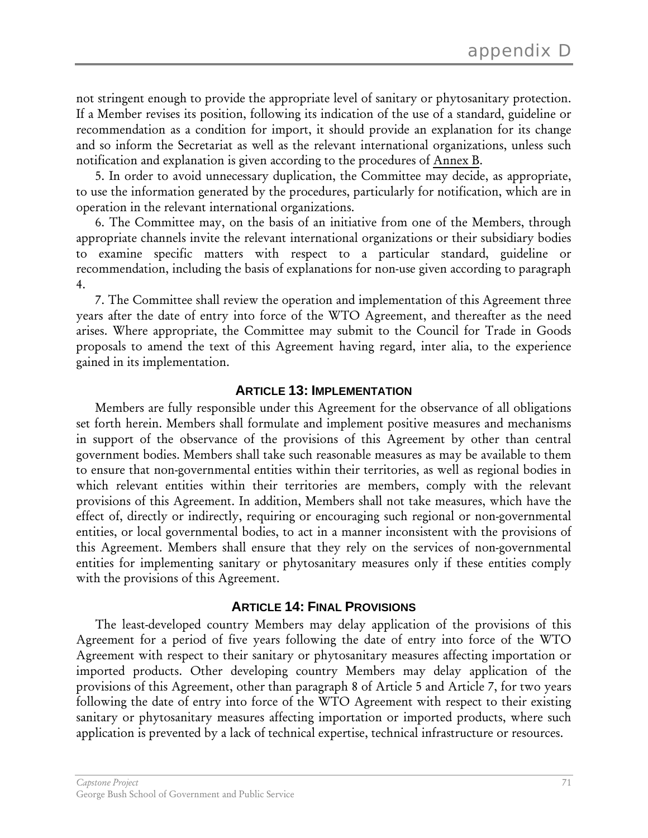not stringent enough to provide the appropriate level of sanitary or phytosanitary protection. If a Member revises its position, following its indication of the use of a standard, guideline or recommendation as a condition for import, it should provide an explanation for its change and so inform the Secretariat as well as the relevant international organizations, unless such notification and explanation is given according to the procedures of Annex B.

5. In order to avoid unnecessary duplication, the Committee may decide, as appropriate, to use the information generated by the procedures, particularly for notification, which are in operation in the relevant international organizations.

6. The Committee may, on the basis of an initiative from one of the Members, through appropriate channels invite the relevant international organizations or their subsidiary bodies to examine specific matters with respect to a particular standard, guideline or recommendation, including the basis of explanations for non-use given according to paragraph 4.

7. The Committee shall review the operation and implementation of this Agreement three years after the date of entry into force of the WTO Agreement, and thereafter as the need arises. Where appropriate, the Committee may submit to the Council for Trade in Goods proposals to amend the text of this Agreement having regard, inter alia, to the experience gained in its implementation.

### **ARTICLE 13: IMPLEMENTATION**

Members are fully responsible under this Agreement for the observance of all obligations set forth herein. Members shall formulate and implement positive measures and mechanisms in support of the observance of the provisions of this Agreement by other than central government bodies. Members shall take such reasonable measures as may be available to them to ensure that non-governmental entities within their territories, as well as regional bodies in which relevant entities within their territories are members, comply with the relevant provisions of this Agreement. In addition, Members shall not take measures, which have the effect of, directly or indirectly, requiring or encouraging such regional or non-governmental entities, or local governmental bodies, to act in a manner inconsistent with the provisions of this Agreement. Members shall ensure that they rely on the services of non-governmental entities for implementing sanitary or phytosanitary measures only if these entities comply with the provisions of this Agreement.

### **ARTICLE 14: FINAL PROVISIONS**

The least-developed country Members may delay application of the provisions of this Agreement for a period of five years following the date of entry into force of the WTO Agreement with respect to their sanitary or phytosanitary measures affecting importation or imported products. Other developing country Members may delay application of the provisions of this Agreement, other than paragraph 8 of Article 5 and Article 7, for two years following the date of entry into force of the WTO Agreement with respect to their existing sanitary or phytosanitary measures affecting importation or imported products, where such application is prevented by a lack of technical expertise, technical infrastructure or resources.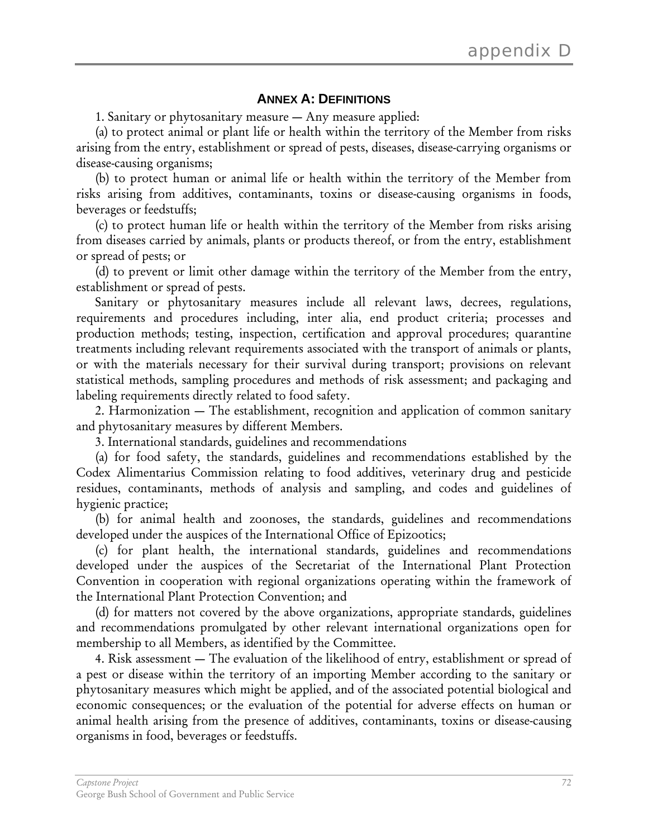## **ANNEX A: DEFINITIONS**

1. Sanitary or phytosanitary measure — Any measure applied:

(a) to protect animal or plant life or health within the territory of the Member from risks arising from the entry, establishment or spread of pests, diseases, disease-carrying organisms or disease-causing organisms;

(b) to protect human or animal life or health within the territory of the Member from risks arising from additives, contaminants, toxins or disease-causing organisms in foods, beverages or feedstuffs;

(c) to protect human life or health within the territory of the Member from risks arising from diseases carried by animals, plants or products thereof, or from the entry, establishment or spread of pests; or

(d) to prevent or limit other damage within the territory of the Member from the entry, establishment or spread of pests.

Sanitary or phytosanitary measures include all relevant laws, decrees, regulations, requirements and procedures including, inter alia, end product criteria; processes and production methods; testing, inspection, certification and approval procedures; quarantine treatments including relevant requirements associated with the transport of animals or plants, or with the materials necessary for their survival during transport; provisions on relevant statistical methods, sampling procedures and methods of risk assessment; and packaging and labeling requirements directly related to food safety.

2. Harmonization — The establishment, recognition and application of common sanitary and phytosanitary measures by different Members.

3. International standards, guidelines and recommendations

(a) for food safety, the standards, guidelines and recommendations established by the Codex Alimentarius Commission relating to food additives, veterinary drug and pesticide residues, contaminants, methods of analysis and sampling, and codes and guidelines of hygienic practice;

(b) for animal health and zoonoses, the standards, guidelines and recommendations developed under the auspices of the International Office of Epizootics;

(c) for plant health, the international standards, guidelines and recommendations developed under the auspices of the Secretariat of the International Plant Protection Convention in cooperation with regional organizations operating within the framework of the International Plant Protection Convention; and

(d) for matters not covered by the above organizations, appropriate standards, guidelines and recommendations promulgated by other relevant international organizations open for membership to all Members, as identified by the Committee.

4. Risk assessment — The evaluation of the likelihood of entry, establishment or spread of a pest or disease within the territory of an importing Member according to the sanitary or phytosanitary measures which might be applied, and of the associated potential biological and economic consequences; or the evaluation of the potential for adverse effects on human or animal health arising from the presence of additives, contaminants, toxins or disease-causing organisms in food, beverages or feedstuffs.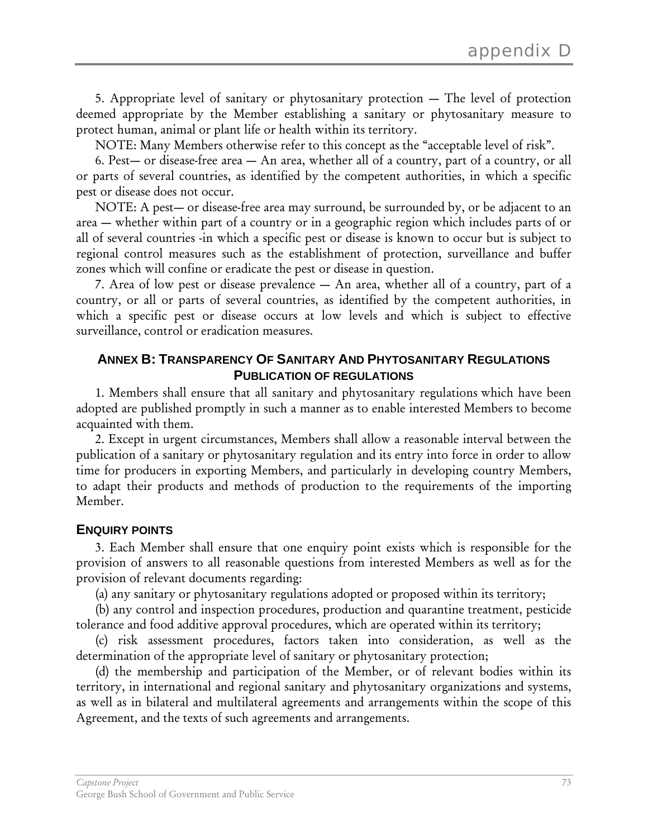5. Appropriate level of sanitary or phytosanitary protection — The level of protection deemed appropriate by the Member establishing a sanitary or phytosanitary measure to protect human, animal or plant life or health within its territory.

NOTE: Many Members otherwise refer to this concept as the "acceptable level of risk".

6. Pest— or disease-free area — An area, whether all of a country, part of a country, or all or parts of several countries, as identified by the competent authorities, in which a specific pest or disease does not occur.

NOTE: A pest— or disease-free area may surround, be surrounded by, or be adjacent to an area — whether within part of a country or in a geographic region which includes parts of or all of several countries -in which a specific pest or disease is known to occur but is subject to regional control measures such as the establishment of protection, surveillance and buffer zones which will confine or eradicate the pest or disease in question.

7. Area of low pest or disease prevalence — An area, whether all of a country, part of a country, or all or parts of several countries, as identified by the competent authorities, in which a specific pest or disease occurs at low levels and which is subject to effective surveillance, control or eradication measures.

## **ANNEX B: TRANSPARENCY OF SANITARY AND PHYTOSANITARY REGULATIONS PUBLICATION OF REGULATIONS**

1. Members shall ensure that all sanitary and phytosanitary regulations which have been adopted are published promptly in such a manner as to enable interested Members to become acquainted with them.

2. Except in urgent circumstances, Members shall allow a reasonable interval between the publication of a sanitary or phytosanitary regulation and its entry into force in order to allow time for producers in exporting Members, and particularly in developing country Members, to adapt their products and methods of production to the requirements of the importing Member.

## **ENQUIRY POINTS**

3. Each Member shall ensure that one enquiry point exists which is responsible for the provision of answers to all reasonable questions from interested Members as well as for the provision of relevant documents regarding:

(a) any sanitary or phytosanitary regulations adopted or proposed within its territory;

(b) any control and inspection procedures, production and quarantine treatment, pesticide tolerance and food additive approval procedures, which are operated within its territory;

(c) risk assessment procedures, factors taken into consideration, as well as the determination of the appropriate level of sanitary or phytosanitary protection;

(d) the membership and participation of the Member, or of relevant bodies within its territory, in international and regional sanitary and phytosanitary organizations and systems, as well as in bilateral and multilateral agreements and arrangements within the scope of this Agreement, and the texts of such agreements and arrangements.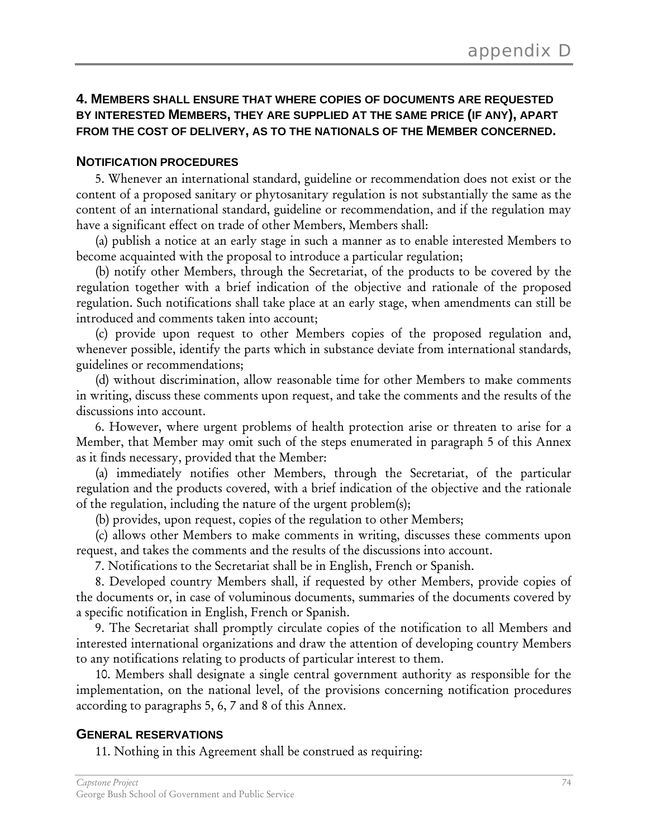## **4. MEMBERS SHALL ENSURE THAT WHERE COPIES OF DOCUMENTS ARE REQUESTED BY INTERESTED MEMBERS, THEY ARE SUPPLIED AT THE SAME PRICE (IF ANY), APART FROM THE COST OF DELIVERY, AS TO THE NATIONALS OF THE MEMBER CONCERNED.**

## **NOTIFICATION PROCEDURES**

5. Whenever an international standard, guideline or recommendation does not exist or the content of a proposed sanitary or phytosanitary regulation is not substantially the same as the content of an international standard, guideline or recommendation, and if the regulation may have a significant effect on trade of other Members, Members shall:

(a) publish a notice at an early stage in such a manner as to enable interested Members to become acquainted with the proposal to introduce a particular regulation;

(b) notify other Members, through the Secretariat, of the products to be covered by the regulation together with a brief indication of the objective and rationale of the proposed regulation. Such notifications shall take place at an early stage, when amendments can still be introduced and comments taken into account;

(c) provide upon request to other Members copies of the proposed regulation and, whenever possible, identify the parts which in substance deviate from international standards, guidelines or recommendations;

(d) without discrimination, allow reasonable time for other Members to make comments in writing, discuss these comments upon request, and take the comments and the results of the discussions into account.

6. However, where urgent problems of health protection arise or threaten to arise for a Member, that Member may omit such of the steps enumerated in paragraph 5 of this Annex as it finds necessary, provided that the Member:

(a) immediately notifies other Members, through the Secretariat, of the particular regulation and the products covered, with a brief indication of the objective and the rationale of the regulation, including the nature of the urgent problem(s);

(b) provides, upon request, copies of the regulation to other Members;

(c) allows other Members to make comments in writing, discusses these comments upon request, and takes the comments and the results of the discussions into account.

7. Notifications to the Secretariat shall be in English, French or Spanish.

8. Developed country Members shall, if requested by other Members, provide copies of the documents or, in case of voluminous documents, summaries of the documents covered by a specific notification in English, French or Spanish.

9. The Secretariat shall promptly circulate copies of the notification to all Members and interested international organizations and draw the attention of developing country Members to any notifications relating to products of particular interest to them.

10. Members shall designate a single central government authority as responsible for the implementation, on the national level, of the provisions concerning notification procedures according to paragraphs 5, 6, 7 and 8 of this Annex.

## **GENERAL RESERVATIONS**

11. Nothing in this Agreement shall be construed as requiring: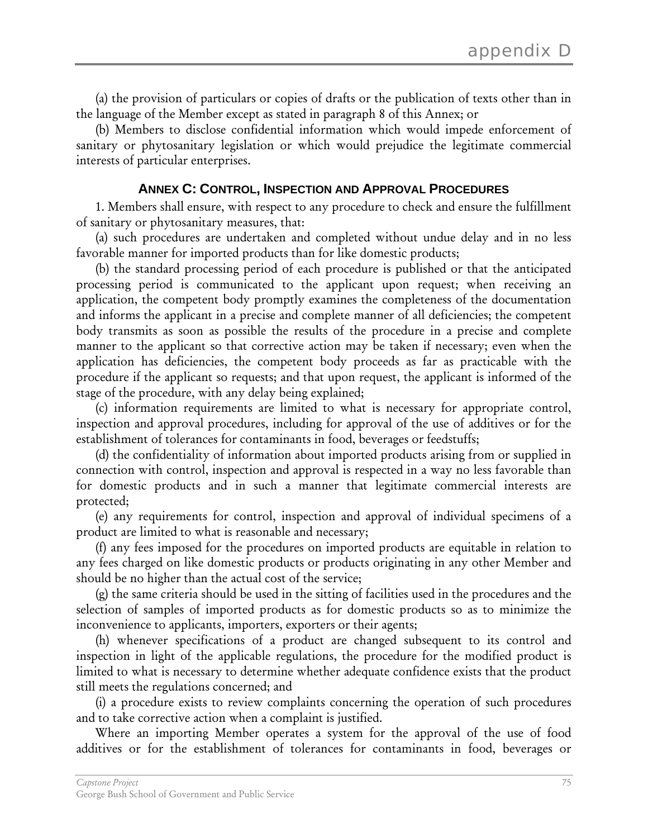(a) the provision of particulars or copies of drafts or the publication of texts other than in the language of the Member except as stated in paragraph 8 of this Annex; or

(b) Members to disclose confidential information which would impede enforcement of sanitary or phytosanitary legislation or which would prejudice the legitimate commercial interests of particular enterprises.

## **ANNEX C: CONTROL, INSPECTION AND APPROVAL PROCEDURES**

1. Members shall ensure, with respect to any procedure to check and ensure the fulfillment of sanitary or phytosanitary measures, that:

(a) such procedures are undertaken and completed without undue delay and in no less favorable manner for imported products than for like domestic products;

(b) the standard processing period of each procedure is published or that the anticipated processing period is communicated to the applicant upon request; when receiving an application, the competent body promptly examines the completeness of the documentation and informs the applicant in a precise and complete manner of all deficiencies; the competent body transmits as soon as possible the results of the procedure in a precise and complete manner to the applicant so that corrective action may be taken if necessary; even when the application has deficiencies, the competent body proceeds as far as practicable with the procedure if the applicant so requests; and that upon request, the applicant is informed of the stage of the procedure, with any delay being explained;

(c) information requirements are limited to what is necessary for appropriate control, inspection and approval procedures, including for approval of the use of additives or for the establishment of tolerances for contaminants in food, beverages or feedstuffs;

(d) the confidentiality of information about imported products arising from or supplied in connection with control, inspection and approval is respected in a way no less favorable than for domestic products and in such a manner that legitimate commercial interests are protected;

(e) any requirements for control, inspection and approval of individual specimens of a product are limited to what is reasonable and necessary;

(f) any fees imposed for the procedures on imported products are equitable in relation to any fees charged on like domestic products or products originating in any other Member and should be no higher than the actual cost of the service;

(g) the same criteria should be used in the sitting of facilities used in the procedures and the selection of samples of imported products as for domestic products so as to minimize the inconvenience to applicants, importers, exporters or their agents;

(h) whenever specifications of a product are changed subsequent to its control and inspection in light of the applicable regulations, the procedure for the modified product is limited to what is necessary to determine whether adequate confidence exists that the product still meets the regulations concerned; and

(i) a procedure exists to review complaints concerning the operation of such procedures and to take corrective action when a complaint is justified.

Where an importing Member operates a system for the approval of the use of food additives or for the establishment of tolerances for contaminants in food, beverages or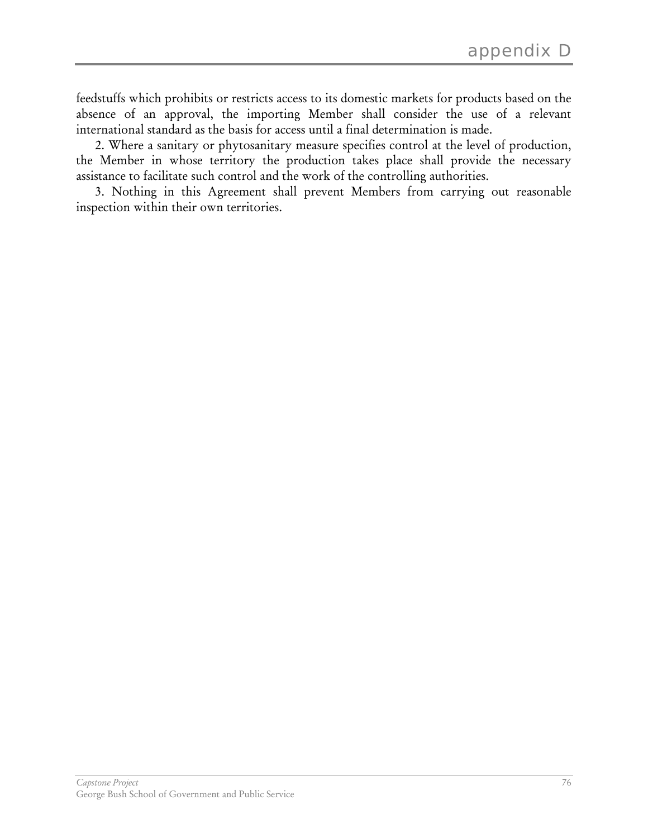feedstuffs which prohibits or restricts access to its domestic markets for products based on the absence of an approval, the importing Member shall consider the use of a relevant international standard as the basis for access until a final determination is made.

2. Where a sanitary or phytosanitary measure specifies control at the level of production, the Member in whose territory the production takes place shall provide the necessary assistance to facilitate such control and the work of the controlling authorities.

3. Nothing in this Agreement shall prevent Members from carrying out reasonable inspection within their own territories.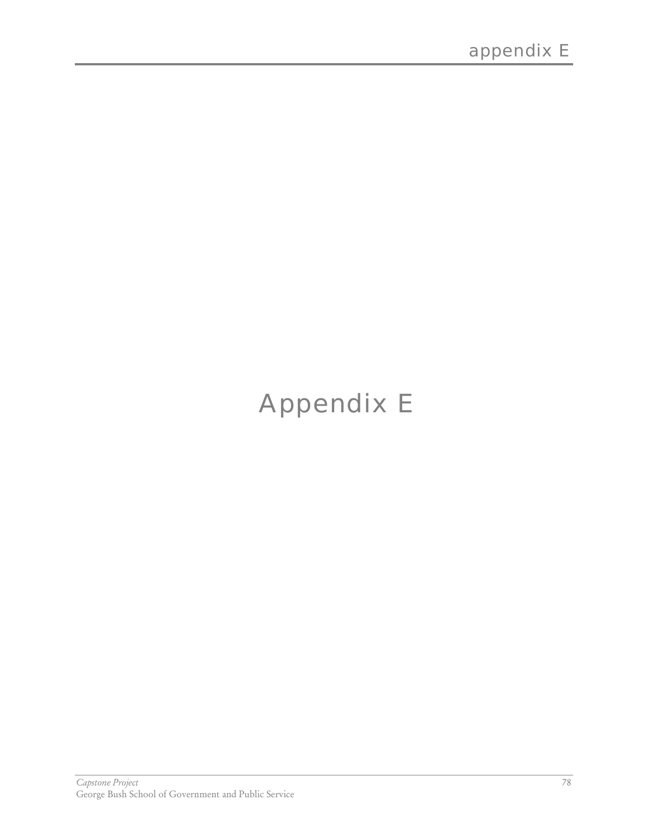## Appendix E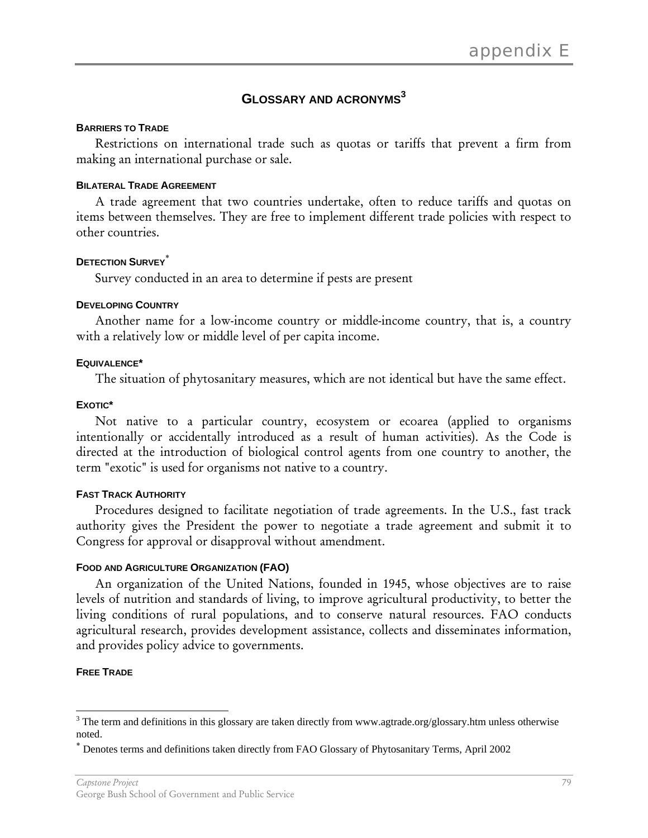## **GLOSSARY AND ACRONYMS<sup>3</sup>**

#### **BARRIERS TO TRADE**

Restrictions on international trade such as quotas or tariffs that prevent a firm from making an international purchase or sale.

#### **BILATERAL TRADE AGREEMENT**

A trade agreement that two countries undertake, often to reduce tariffs and quotas on items between themselves. They are free to implement different trade policies with respect to other countries.

#### **DETECTION SURVEY<sup>\*</sup>**

Survey conducted in an area to determine if pests are present

#### **DEVELOPING COUNTRY**

Another name for a low-income country or middle-income country, that is, a country with a relatively low or middle level of per capita income.

#### **EQUIVALENCE\***

The situation of phytosanitary measures, which are not identical but have the same effect.

#### **EXOTIC\***

Not native to a particular country, ecosystem or ecoarea (applied to organisms intentionally or accidentally introduced as a result of human activities). As the Code is directed at the introduction of biological control agents from one country to another, the term "exotic" is used for organisms not native to a country.

#### **FAST TRACK AUTHORITY**

Procedures designed to facilitate negotiation of trade agreements. In the U.S., fast track authority gives the President the power to negotiate a trade agreement and submit it to Congress for approval or disapproval without amendment.

#### **FOOD AND AGRICULTURE ORGANIZATION (FAO)**

An organization of the United Nations, founded in 1945, whose objectives are to raise levels of nutrition and standards of living, to improve agricultural productivity, to better the living conditions of rural populations, and to conserve natural resources. FAO conducts agricultural research, provides development assistance, collects and disseminates information, and provides policy advice to governments.

#### **FREE TRADE**

<sup>&</sup>lt;sup>3</sup> The term and definitions in this glossary are taken directly from www.agtrade.org/glossary.htm unless otherwise noted.

<sup>∗</sup> Denotes terms and definitions taken directly from FAO Glossary of Phytosanitary Terms, April 2002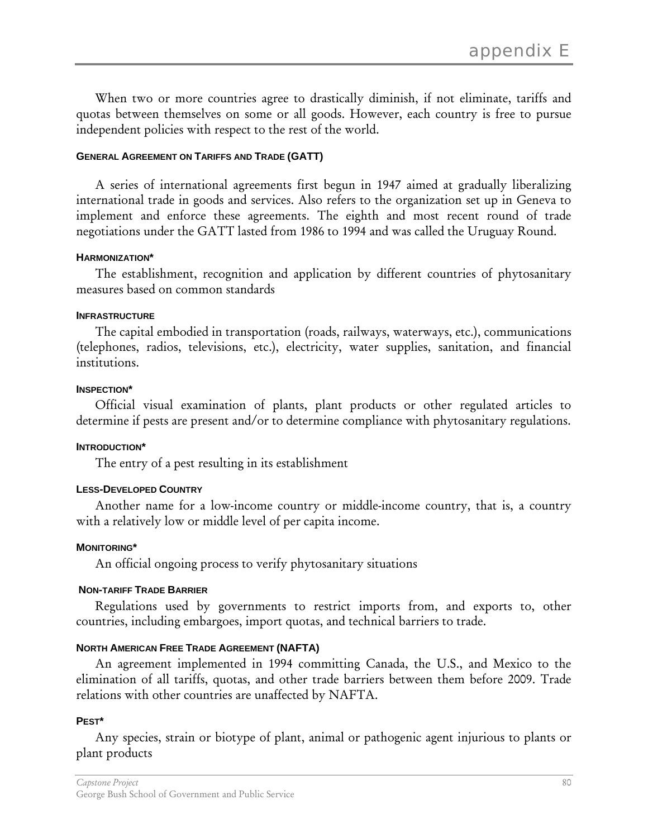When two or more countries agree to drastically diminish, if not eliminate, tariffs and quotas between themselves on some or all goods. However, each country is free to pursue independent policies with respect to the rest of the world.

#### **GENERAL AGREEMENT ON TARIFFS AND TRADE (GATT)**

A series of international agreements first begun in 1947 aimed at gradually liberalizing international trade in goods and services. Also refers to the organization set up in Geneva to implement and enforce these agreements. The eighth and most recent round of trade negotiations under the GATT lasted from 1986 to 1994 and was called the Uruguay Round.

#### **HARMONIZATION\***

The establishment, recognition and application by different countries of phytosanitary measures based on common standards

#### **INFRASTRUCTURE**

The capital embodied in transportation (roads, railways, waterways, etc.), communications (telephones, radios, televisions, etc.), electricity, water supplies, sanitation, and financial institutions.

#### **INSPECTION\***

Official visual examination of plants, plant products or other regulated articles to determine if pests are present and/or to determine compliance with phytosanitary regulations.

#### **INTRODUCTION\***

The entry of a pest resulting in its establishment

#### **LESS-DEVELOPED COUNTRY**

Another name for a low-income country or middle-income country, that is, a country with a relatively low or middle level of per capita income.

#### **MONITORING\***

An official ongoing process to verify phytosanitary situations

#### **NON-TARIFF TRADE BARRIER**

Regulations used by governments to restrict imports from, and exports to, other countries, including embargoes, import quotas, and technical barriers to trade.

#### **NORTH AMERICAN FREE TRADE AGREEMENT (NAFTA)**

An agreement implemented in 1994 committing Canada, the U.S., and Mexico to the elimination of all tariffs, quotas, and other trade barriers between them before 2009. Trade relations with other countries are unaffected by NAFTA.

#### **PEST\***

Any species, strain or biotype of plant, animal or pathogenic agent injurious to plants or plant products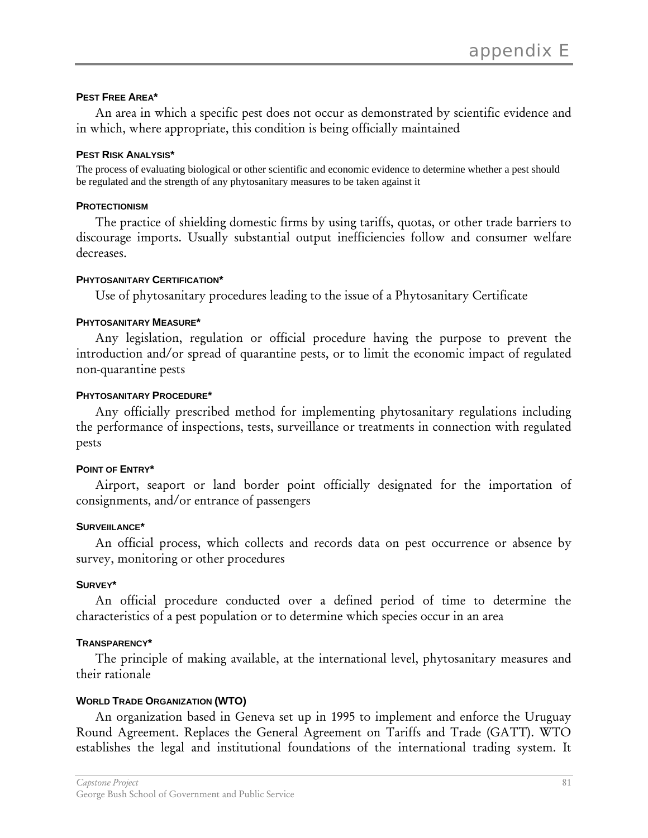#### **PEST FREE AREA\***

An area in which a specific pest does not occur as demonstrated by scientific evidence and in which, where appropriate, this condition is being officially maintained

#### **PEST RISK ANALYSIS\***

The process of evaluating biological or other scientific and economic evidence to determine whether a pest should be regulated and the strength of any phytosanitary measures to be taken against it

#### **PROTECTIONISM**

The practice of shielding domestic firms by using tariffs, quotas, or other trade barriers to discourage imports. Usually substantial output inefficiencies follow and consumer welfare decreases.

#### **PHYTOSANITARY CERTIFICATION\***

Use of phytosanitary procedures leading to the issue of a Phytosanitary Certificate

#### **PHYTOSANITARY MEASURE\***

Any legislation, regulation or official procedure having the purpose to prevent the introduction and/or spread of quarantine pests, or to limit the economic impact of regulated non-quarantine pests

#### **PHYTOSANITARY PROCEDURE\***

Any officially prescribed method for implementing phytosanitary regulations including the performance of inspections, tests, surveillance or treatments in connection with regulated pests

#### **POINT OF ENTRY\***

Airport, seaport or land border point officially designated for the importation of consignments, and/or entrance of passengers

#### **SURVEIILANCE\***

An official process, which collects and records data on pest occurrence or absence by survey, monitoring or other procedures

#### **SURVEY\***

An official procedure conducted over a defined period of time to determine the characteristics of a pest population or to determine which species occur in an area

#### **TRANSPARENCY\***

The principle of making available, at the international level, phytosanitary measures and their rationale

#### **WORLD TRADE ORGANIZATION (WTO)**

An organization based in Geneva set up in 1995 to implement and enforce the Uruguay Round Agreement. Replaces the General Agreement on Tariffs and Trade (GATT). WTO establishes the legal and institutional foundations of the international trading system. It